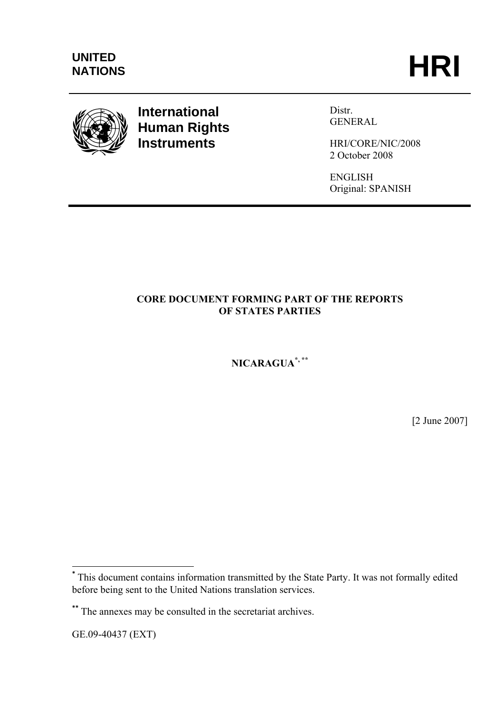

# **International Human Rights Instruments**

Distr. **GENERAL** 

HRI/CORE/NIC/2008 2 October 2008

ENGLISH Original: SPANISH

## **CORE DOCUMENT FORMING PART OF THE REPORTS OF STATES PARTIES**

**NICARAGUA\*, \*\***

[2 June 2007]

GE.09-40437 (EXT)

**.** 

**<sup>\*</sup>** This document contains information transmitted by the State Party. It was not formally edited before being sent to the United Nations translation services.

**<sup>\*\*</sup>** The annexes may be consulted in the secretariat archives.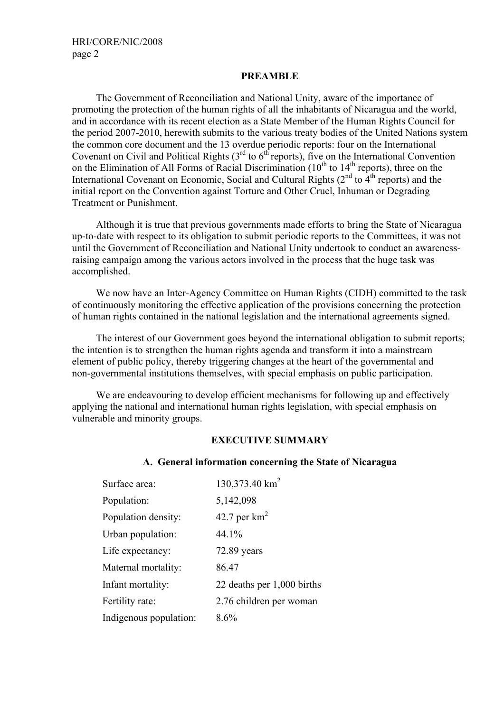#### **PREAMBLE**

 The Government of Reconciliation and National Unity, aware of the importance of promoting the protection of the human rights of all the inhabitants of Nicaragua and the world, and in accordance with its recent election as a State Member of the Human Rights Council for the period 2007-2010, herewith submits to the various treaty bodies of the United Nations system the common core document and the 13 overdue periodic reports: four on the International Covenant on Civil and Political Rights  $(3<sup>rd</sup>$  to  $6<sup>th</sup>$  reports), five on the International Convention on the Elimination of All Forms of Racial Discrimination ( $10<sup>th</sup>$  to  $14<sup>th</sup>$  reports), three on the International Covenant on Economic, Social and Cultural Rights  $(2<sup>nd</sup>$  to  $4<sup>th</sup>$  reports) and the initial report on the Convention against Torture and Other Cruel, Inhuman or Degrading Treatment or Punishment.

 Although it is true that previous governments made efforts to bring the State of Nicaragua up-to-date with respect to its obligation to submit periodic reports to the Committees, it was not until the Government of Reconciliation and National Unity undertook to conduct an awarenessraising campaign among the various actors involved in the process that the huge task was accomplished.

 We now have an Inter-Agency Committee on Human Rights (CIDH) committed to the task of continuously monitoring the effective application of the provisions concerning the protection of human rights contained in the national legislation and the international agreements signed.

 The interest of our Government goes beyond the international obligation to submit reports; the intention is to strengthen the human rights agenda and transform it into a mainstream element of public policy, thereby triggering changes at the heart of the governmental and non-governmental institutions themselves, with special emphasis on public participation.

We are endeavouring to develop efficient mechanisms for following up and effectively applying the national and international human rights legislation, with special emphasis on vulnerable and minority groups.

### **EXECUTIVE SUMMARY**

#### **A. General information concerning the State of Nicaragua**

| Surface area:          | 130,373.40 km <sup>2</sup> |
|------------------------|----------------------------|
| Population:            | 5,142,098                  |
| Population density:    | 42.7 per $km2$             |
| Urban population:      | 44.1%                      |
| Life expectancy:       | 72.89 years                |
| Maternal mortality:    | 86.47                      |
| Infant mortality:      | 22 deaths per 1,000 births |
| Fertility rate:        | 2.76 children per woman    |
| Indigenous population: | 8.6%                       |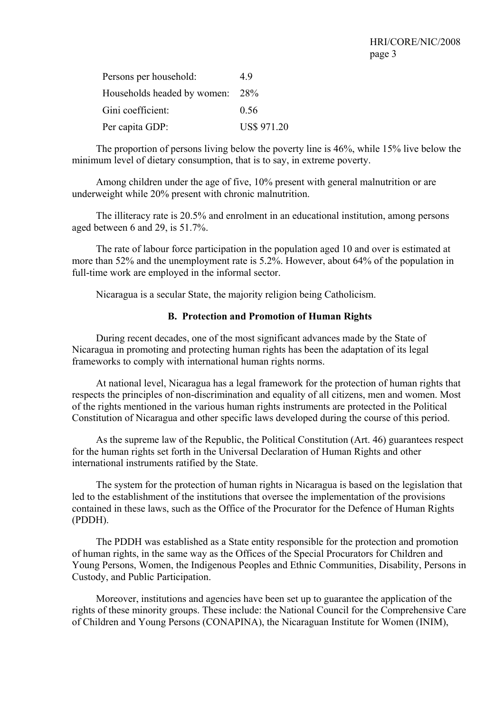| Persons per household:          | 49                 |
|---------------------------------|--------------------|
| Households headed by women: 28% |                    |
| Gini coefficient:               | 0.56               |
| Per capita GDP:                 | <b>US\$ 971.20</b> |

 The proportion of persons living below the poverty line is 46%, while 15% live below the minimum level of dietary consumption, that is to say, in extreme poverty.

 Among children under the age of five, 10% present with general malnutrition or are underweight while 20% present with chronic malnutrition.

 The illiteracy rate is 20.5% and enrolment in an educational institution, among persons aged between 6 and 29, is 51.7%.

 The rate of labour force participation in the population aged 10 and over is estimated at more than 52% and the unemployment rate is 5.2%. However, about 64% of the population in full-time work are employed in the informal sector.

Nicaragua is a secular State, the majority religion being Catholicism.

#### **B. Protection and Promotion of Human Rights**

 During recent decades, one of the most significant advances made by the State of Nicaragua in promoting and protecting human rights has been the adaptation of its legal frameworks to comply with international human rights norms.

 At national level, Nicaragua has a legal framework for the protection of human rights that respects the principles of non-discrimination and equality of all citizens, men and women. Most of the rights mentioned in the various human rights instruments are protected in the Political Constitution of Nicaragua and other specific laws developed during the course of this period.

 As the supreme law of the Republic, the Political Constitution (Art. 46) guarantees respect for the human rights set forth in the Universal Declaration of Human Rights and other international instruments ratified by the State.

 The system for the protection of human rights in Nicaragua is based on the legislation that led to the establishment of the institutions that oversee the implementation of the provisions contained in these laws, such as the Office of the Procurator for the Defence of Human Rights (PDDH).

 The PDDH was established as a State entity responsible for the protection and promotion of human rights, in the same way as the Offices of the Special Procurators for Children and Young Persons, Women, the Indigenous Peoples and Ethnic Communities, Disability, Persons in Custody, and Public Participation.

 Moreover, institutions and agencies have been set up to guarantee the application of the rights of these minority groups. These include: the National Council for the Comprehensive Care of Children and Young Persons (CONAPINA), the Nicaraguan Institute for Women (INIM),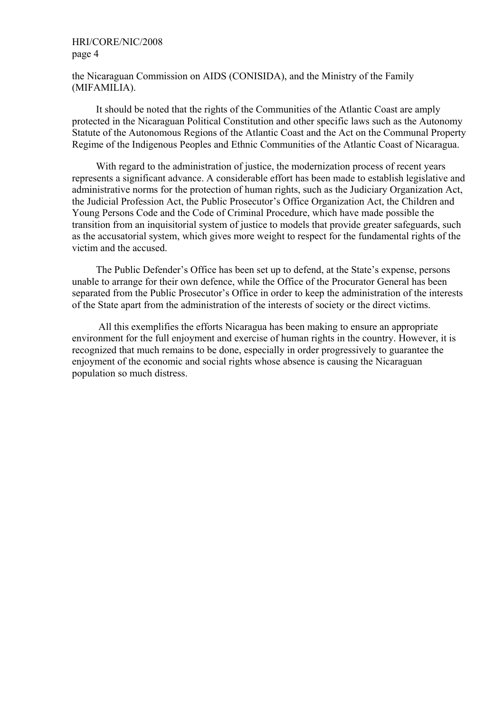#### HRI/CORE/NIC/2008 page 4

the Nicaraguan Commission on AIDS (CONISIDA), and the Ministry of the Family (MIFAMILIA).

 It should be noted that the rights of the Communities of the Atlantic Coast are amply protected in the Nicaraguan Political Constitution and other specific laws such as the Autonomy Statute of the Autonomous Regions of the Atlantic Coast and the Act on the Communal Property Regime of the Indigenous Peoples and Ethnic Communities of the Atlantic Coast of Nicaragua.

 With regard to the administration of justice, the modernization process of recent years represents a significant advance. A considerable effort has been made to establish legislative and administrative norms for the protection of human rights, such as the Judiciary Organization Act, the Judicial Profession Act, the Public Prosecutor's Office Organization Act, the Children and Young Persons Code and the Code of Criminal Procedure, which have made possible the transition from an inquisitorial system of justice to models that provide greater safeguards, such as the accusatorial system, which gives more weight to respect for the fundamental rights of the victim and the accused.

 The Public Defender's Office has been set up to defend, at the State's expense, persons unable to arrange for their own defence, while the Office of the Procurator General has been separated from the Public Prosecutor's Office in order to keep the administration of the interests of the State apart from the administration of the interests of society or the direct victims.

 All this exemplifies the efforts Nicaragua has been making to ensure an appropriate environment for the full enjoyment and exercise of human rights in the country. However, it is recognized that much remains to be done, especially in order progressively to guarantee the enjoyment of the economic and social rights whose absence is causing the Nicaraguan population so much distress.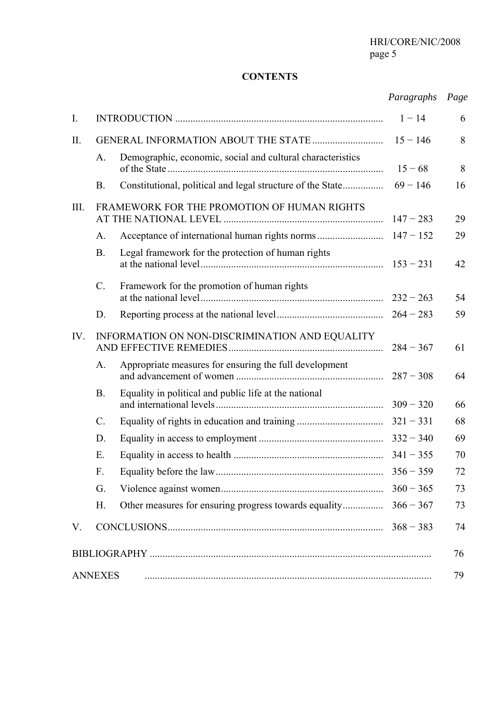# **CONTENTS**

| Paragraphs Page |  |
|-----------------|--|
|                 |  |
|                 |  |

| I.   |                |                                                            | $1 - 14$    | 6  |
|------|----------------|------------------------------------------------------------|-------------|----|
| Π.   |                |                                                            | $15 - 146$  | 8  |
|      | A.             | Demographic, economic, social and cultural characteristics | $15 - 68$   | 8  |
|      | <b>B.</b>      |                                                            | $69 - 146$  | 16 |
| III. |                | FRAMEWORK FOR THE PROMOTION OF HUMAN RIGHTS                | $147 - 283$ | 29 |
|      | A.             |                                                            |             | 29 |
|      | <b>B.</b>      | Legal framework for the protection of human rights         | $153 - 231$ | 42 |
|      | $C$ .          | Framework for the promotion of human rights                | $232 - 263$ | 54 |
|      | D.             |                                                            | $264 - 283$ | 59 |
| IV.  |                | INFORMATION ON NON-DISCRIMINATION AND EQUALITY             | $284 - 367$ | 61 |
|      | A.             | Appropriate measures for ensuring the full development     | $287 - 308$ | 64 |
|      | <b>B.</b>      | Equality in political and public life at the national      | $309 - 320$ | 66 |
|      | $C$ .          |                                                            | $321 - 331$ | 68 |
|      | D.             |                                                            | $332 - 340$ | 69 |
|      | Ε.             |                                                            | $341 - 355$ | 70 |
|      | F.             |                                                            | $356 - 359$ | 72 |
|      | G.             |                                                            | $360 - 365$ | 73 |
|      | H.             |                                                            | $366 - 367$ | 73 |
| V.   |                |                                                            | $368 - 383$ | 74 |
|      |                |                                                            |             | 76 |
|      | <b>ANNEXES</b> |                                                            |             | 79 |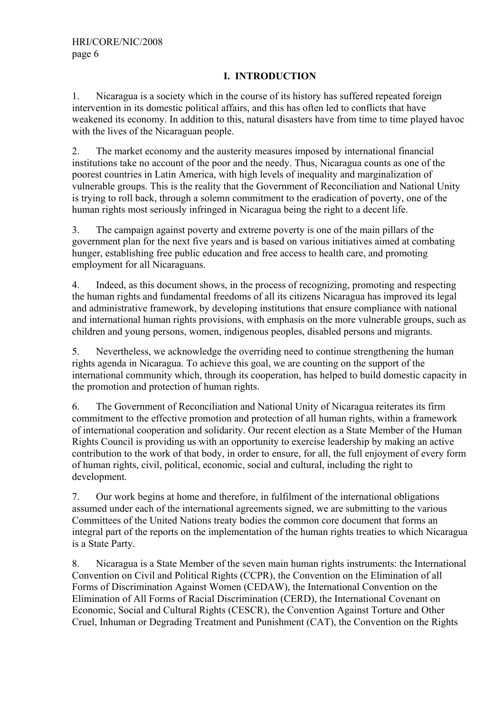# **I. INTRODUCTION**

1. Nicaragua is a society which in the course of its history has suffered repeated foreign intervention in its domestic political affairs, and this has often led to conflicts that have weakened its economy. In addition to this, natural disasters have from time to time played havoc with the lives of the Nicaraguan people.

2. The market economy and the austerity measures imposed by international financial institutions take no account of the poor and the needy. Thus, Nicaragua counts as one of the poorest countries in Latin America, with high levels of inequality and marginalization of vulnerable groups. This is the reality that the Government of Reconciliation and National Unity is trying to roll back, through a solemn commitment to the eradication of poverty, one of the human rights most seriously infringed in Nicaragua being the right to a decent life.

3. The campaign against poverty and extreme poverty is one of the main pillars of the government plan for the next five years and is based on various initiatives aimed at combating hunger, establishing free public education and free access to health care, and promoting employment for all Nicaraguans.

4. Indeed, as this document shows, in the process of recognizing, promoting and respecting the human rights and fundamental freedoms of all its citizens Nicaragua has improved its legal and administrative framework, by developing institutions that ensure compliance with national and international human rights provisions, with emphasis on the more vulnerable groups, such as children and young persons, women, indigenous peoples, disabled persons and migrants.

5. Nevertheless, we acknowledge the overriding need to continue strengthening the human rights agenda in Nicaragua. To achieve this goal, we are counting on the support of the international community which, through its cooperation, has helped to build domestic capacity in the promotion and protection of human rights.

6. The Government of Reconciliation and National Unity of Nicaragua reiterates its firm commitment to the effective promotion and protection of all human rights, within a framework of international cooperation and solidarity. Our recent election as a State Member of the Human Rights Council is providing us with an opportunity to exercise leadership by making an active contribution to the work of that body, in order to ensure, for all, the full enjoyment of every form of human rights, civil, political, economic, social and cultural, including the right to development.

7. Our work begins at home and therefore, in fulfilment of the international obligations assumed under each of the international agreements signed, we are submitting to the various Committees of the United Nations treaty bodies the common core document that forms an integral part of the reports on the implementation of the human rights treaties to which Nicaragua is a State Party.

8. Nicaragua is a State Member of the seven main human rights instruments: the International Convention on Civil and Political Rights (CCPR), the Convention on the Elimination of all Forms of Discrimination Against Women (CEDAW), the International Convention on the Elimination of All Forms of Racial Discrimination (CERD), the International Covenant on Economic, Social and Cultural Rights (CESCR), the Convention Against Torture and Other Cruel, Inhuman or Degrading Treatment and Punishment (CAT), the Convention on the Rights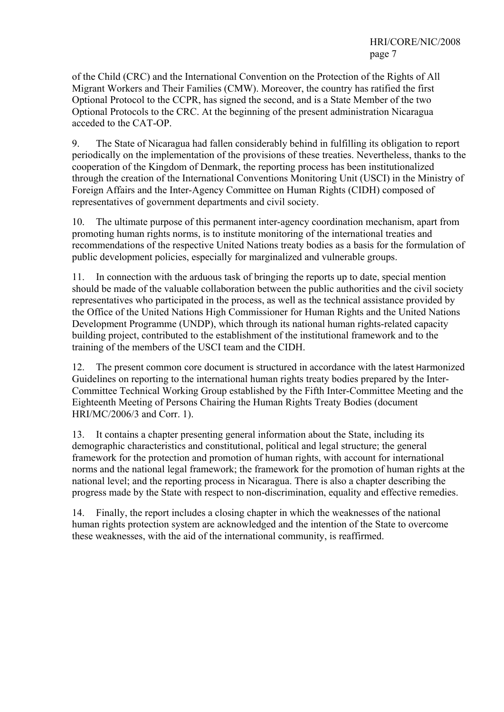of the Child (CRC) and the International Convention on the Protection of the Rights of All Migrant Workers and Their Families (CMW). Moreover, the country has ratified the first Optional Protocol to the CCPR, has signed the second, and is a State Member of the two Optional Protocols to the CRC. At the beginning of the present administration Nicaragua acceded to the CAT-OP.

9. The State of Nicaragua had fallen considerably behind in fulfilling its obligation to report periodically on the implementation of the provisions of these treaties. Nevertheless, thanks to the cooperation of the Kingdom of Denmark, the reporting process has been institutionalized through the creation of the International Conventions Monitoring Unit (USCI) in the Ministry of Foreign Affairs and the Inter-Agency Committee on Human Rights (CIDH) composed of representatives of government departments and civil society.

10. The ultimate purpose of this permanent inter-agency coordination mechanism, apart from promoting human rights norms, is to institute monitoring of the international treaties and recommendations of the respective United Nations treaty bodies as a basis for the formulation of public development policies, especially for marginalized and vulnerable groups.

11. In connection with the arduous task of bringing the reports up to date, special mention should be made of the valuable collaboration between the public authorities and the civil society representatives who participated in the process, as well as the technical assistance provided by the Office of the United Nations High Commissioner for Human Rights and the United Nations Development Programme (UNDP), which through its national human rights-related capacity building project, contributed to the establishment of the institutional framework and to the training of the members of the USCI team and the CIDH.

12. The present common core document is structured in accordance with the latest Harmonized Guidelines on reporting to the international human rights treaty bodies prepared by the Inter-Committee Technical Working Group established by the Fifth Inter-Committee Meeting and the Eighteenth Meeting of Persons Chairing the Human Rights Treaty Bodies (document HRI/MC/2006/3 and Corr. 1).

13. It contains a chapter presenting general information about the State, including its demographic characteristics and constitutional, political and legal structure; the general framework for the protection and promotion of human rights, with account for international norms and the national legal framework; the framework for the promotion of human rights at the national level; and the reporting process in Nicaragua. There is also a chapter describing the progress made by the State with respect to non-discrimination, equality and effective remedies.

14. Finally, the report includes a closing chapter in which the weaknesses of the national human rights protection system are acknowledged and the intention of the State to overcome these weaknesses, with the aid of the international community, is reaffirmed.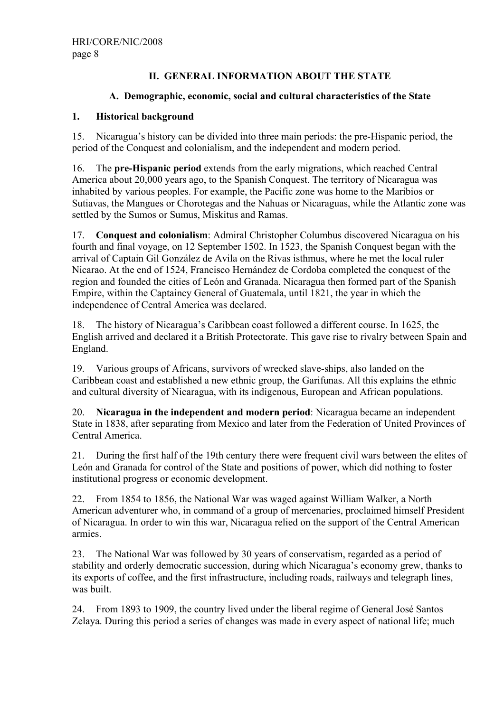## **II. GENERAL INFORMATION ABOUT THE STATE**

## **A. Demographic, economic, social and cultural characteristics of the State**

## **1. Historical background**

15. Nicaragua's history can be divided into three main periods: the pre-Hispanic period, the period of the Conquest and colonialism, and the independent and modern period.

16. The **pre-Hispanic period** extends from the early migrations, which reached Central America about 20,000 years ago, to the Spanish Conquest. The territory of Nicaragua was inhabited by various peoples. For example, the Pacific zone was home to the Maribios or Sutiavas, the Mangues or Chorotegas and the Nahuas or Nicaraguas, while the Atlantic zone was settled by the Sumos or Sumus, Miskitus and Ramas.

17. **Conquest and colonialism**: Admiral Christopher Columbus discovered Nicaragua on his fourth and final voyage, on 12 September 1502. In 1523, the Spanish Conquest began with the arrival of Captain Gil González de Avila on the Rivas isthmus, where he met the local ruler Nicarao. At the end of 1524, Francisco Hernández de Cordoba completed the conquest of the region and founded the cities of León and Granada. Nicaragua then formed part of the Spanish Empire, within the Captaincy General of Guatemala, until 1821, the year in which the independence of Central America was declared.

18. The history of Nicaragua's Caribbean coast followed a different course. In 1625, the English arrived and declared it a British Protectorate. This gave rise to rivalry between Spain and England.

19. Various groups of Africans, survivors of wrecked slave-ships, also landed on the Caribbean coast and established a new ethnic group, the Garifunas. All this explains the ethnic and cultural diversity of Nicaragua, with its indigenous, European and African populations.

20. **Nicaragua in the independent and modern period**: Nicaragua became an independent State in 1838, after separating from Mexico and later from the Federation of United Provinces of Central America.

21. During the first half of the 19th century there were frequent civil wars between the elites of León and Granada for control of the State and positions of power, which did nothing to foster institutional progress or economic development.

22. From 1854 to 1856, the National War was waged against William Walker, a North American adventurer who, in command of a group of mercenaries, proclaimed himself President of Nicaragua. In order to win this war, Nicaragua relied on the support of the Central American armies.

23. The National War was followed by 30 years of conservatism, regarded as a period of stability and orderly democratic succession, during which Nicaragua's economy grew, thanks to its exports of coffee, and the first infrastructure, including roads, railways and telegraph lines, was built.

24. From 1893 to 1909, the country lived under the liberal regime of General José Santos Zelaya. During this period a series of changes was made in every aspect of national life; much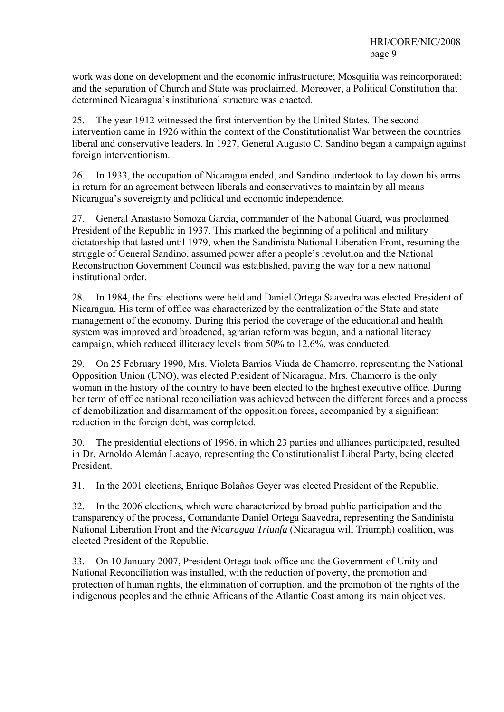work was done on development and the economic infrastructure; Mosquitia was reincorporated; and the separation of Church and State was proclaimed. Moreover, a Political Constitution that determined Nicaragua's institutional structure was enacted.

25. The year 1912 witnessed the first intervention by the United States. The second intervention came in 1926 within the context of the Constitutionalist War between the countries liberal and conservative leaders. In 1927, General Augusto C. Sandino began a campaign against foreign interventionism.

26. In 1933, the occupation of Nicaragua ended, and Sandino undertook to lay down his arms in return for an agreement between liberals and conservatives to maintain by all means Nicaragua's sovereignty and political and economic independence.

27. General Anastasio Somoza García, commander of the National Guard, was proclaimed President of the Republic in 1937. This marked the beginning of a political and military dictatorship that lasted until 1979, when the Sandinista National Liberation Front, resuming the struggle of General Sandino, assumed power after a people's revolution and the National Reconstruction Government Council was established, paving the way for a new national institutional order.

28. In 1984, the first elections were held and Daniel Ortega Saavedra was elected President of Nicaragua. His term of office was characterized by the centralization of the State and state management of the economy. During this period the coverage of the educational and health system was improved and broadened, agrarian reform was begun, and a national literacy campaign, which reduced illiteracy levels from 50% to 12.6%, was conducted.

29. On 25 February 1990, Mrs. Violeta Barrios Viuda de Chamorro, representing the National Opposition Union (UNO), was elected President of Nicaragua. Mrs. Chamorro is the only woman in the history of the country to have been elected to the highest executive office. During her term of office national reconciliation was achieved between the different forces and a process of demobilization and disarmament of the opposition forces, accompanied by a significant reduction in the foreign debt, was completed.

30. The presidential elections of 1996, in which 23 parties and alliances participated, resulted in Dr. Arnoldo Alemán Lacayo, representing the Constitutionalist Liberal Party, being elected President.

31. In the 2001 elections, Enrique Bolaños Geyer was elected President of the Republic.

32. In the 2006 elections, which were characterized by broad public participation and the transparency of the process, Comandante Daniel Ortega Saavedra, representing the Sandinista National Liberation Front and the *Nicaragua Triunfa* (Nicaragua will Triumph) coalition, was elected President of the Republic.

33. On 10 January 2007, President Ortega took office and the Government of Unity and National Reconciliation was installed, with the reduction of poverty, the promotion and protection of human rights, the elimination of corruption, and the promotion of the rights of the indigenous peoples and the ethnic Africans of the Atlantic Coast among its main objectives.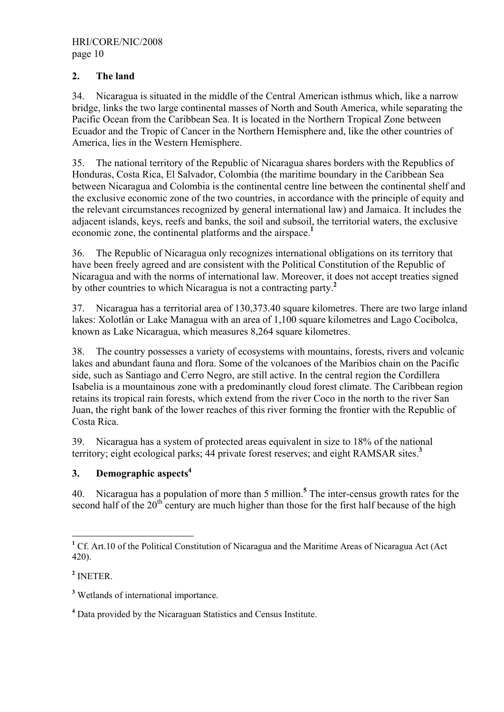## **2. The land**

34. Nicaragua is situated in the middle of the Central American isthmus which, like a narrow bridge, links the two large continental masses of North and South America, while separating the Pacific Ocean from the Caribbean Sea. It is located in the Northern Tropical Zone between Ecuador and the Tropic of Cancer in the Northern Hemisphere and, like the other countries of America, lies in the Western Hemisphere.

35. The national territory of the Republic of Nicaragua shares borders with the Republics of Honduras, Costa Rica, El Salvador, Colombia (the maritime boundary in the Caribbean Sea between Nicaragua and Colombia is the continental centre line between the continental shelf and the exclusive economic zone of the two countries, in accordance with the principle of equity and the relevant circumstances recognized by general international law) and Jamaica. It includes the adjacent islands, keys, reefs and banks, the soil and subsoil, the territorial waters, the exclusive economic zone, the continental platforms and the airspace.<sup>1</sup>

36. The Republic of Nicaragua only recognizes international obligations on its territory that have been freely agreed and are consistent with the Political Constitution of the Republic of Nicaragua and with the norms of international law. Moreover, it does not accept treaties signed by other countries to which Nicaragua is not a contracting party.**<sup>2</sup>**

37. Nicaragua has a territorial area of 130,373.40 square kilometres. There are two large inland lakes: Xolotlán or Lake Managua with an area of 1,100 square kilometres and Lago Cocibolca, known as Lake Nicaragua, which measures 8,264 square kilometres.

38. The country possesses a variety of ecosystems with mountains, forests, rivers and volcanic lakes and abundant fauna and flora. Some of the volcanoes of the Maribios chain on the Pacific side, such as Santiago and Cerro Negro, are still active. In the central region the Cordillera Isabelia is a mountainous zone with a predominantly cloud forest climate. The Caribbean region retains its tropical rain forests, which extend from the river Coco in the north to the river San Juan, the right bank of the lower reaches of this river forming the frontier with the Republic of Costa Rica.

39. Nicaragua has a system of protected areas equivalent in size to 18% of the national territory; eight ecological parks; 44 private forest reserves; and eight RAMSAR sites.**<sup>3</sup>**

## **3. Demographic aspects4**

40. Nicaragua has a population of more than 5 million.**<sup>5</sup>** The inter-census growth rates for the second half of the  $20<sup>th</sup>$  century are much higher than those for the first half because of the high

**2** INETER.

**<sup>.</sup> <sup>1</sup>** Cf. Art.10 of the Political Constitution of Nicaragua and the Maritime Areas of Nicaragua Act (Act 420).

<sup>&</sup>lt;sup>3</sup> Wetlands of international importance.

**<sup>4</sup>** Data provided by the Nicaraguan Statistics and Census Institute.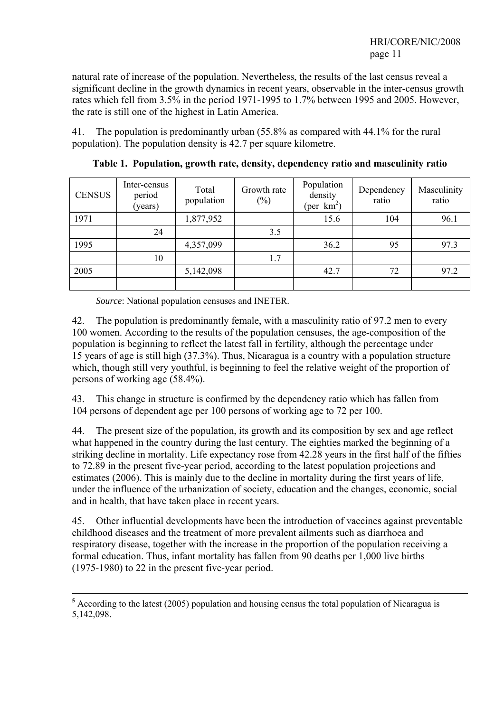## HRI/CORE/NIC/2008 page 11

natural rate of increase of the population. Nevertheless, the results of the last census reveal a significant decline in the growth dynamics in recent years, observable in the inter-census growth rates which fell from 3.5% in the period 1971-1995 to 1.7% between 1995 and 2005. However, the rate is still one of the highest in Latin America.

41. The population is predominantly urban (55.8% as compared with 44.1% for the rural population). The population density is 42.7 per square kilometre.

| <b>CENSUS</b> | Inter-census<br>period<br>(years) | Total<br>population | Growth rate<br>$(\%)$ | Population<br>density<br>(per $km^2$ ) | Dependency<br>ratio | Masculinity<br>ratio |
|---------------|-----------------------------------|---------------------|-----------------------|----------------------------------------|---------------------|----------------------|
| 1971          |                                   | 1,877,952           |                       | 15.6                                   | 104                 | 96.1                 |
|               | 24                                |                     | 3.5                   |                                        |                     |                      |
| 1995          |                                   | 4,357,099           |                       | 36.2                                   | 95                  | 97.3                 |
|               | 10                                |                     | 1.7                   |                                        |                     |                      |
| 2005          |                                   | 5,142,098           |                       | 42.7                                   | 72                  | 97.2                 |
|               |                                   |                     |                       |                                        |                     |                      |

**Table 1. Population, growth rate, density, dependency ratio and masculinity ratio** 

*Source*: National population censuses and INETER.

42. The population is predominantly female, with a masculinity ratio of 97.2 men to every 100 women. According to the results of the population censuses, the age-composition of the population is beginning to reflect the latest fall in fertility, although the percentage under 15 years of age is still high (37.3%). Thus, Nicaragua is a country with a population structure which, though still very youthful, is beginning to feel the relative weight of the proportion of persons of working age (58.4%).

43. This change in structure is confirmed by the dependency ratio which has fallen from 104 persons of dependent age per 100 persons of working age to 72 per 100.

44. The present size of the population, its growth and its composition by sex and age reflect what happened in the country during the last century. The eighties marked the beginning of a striking decline in mortality. Life expectancy rose from 42.28 years in the first half of the fifties to 72.89 in the present five-year period, according to the latest population projections and estimates (2006). This is mainly due to the decline in mortality during the first years of life, under the influence of the urbanization of society, education and the changes, economic, social and in health, that have taken place in recent years.

45. Other influential developments have been the introduction of vaccines against preventable childhood diseases and the treatment of more prevalent ailments such as diarrhoea and respiratory disease, together with the increase in the proportion of the population receiving a formal education. Thus, infant mortality has fallen from 90 deaths per 1,000 live births (1975-1980) to 22 in the present five-year period.

**5** According to the latest (2005) population and housing census the total population of Nicaragua is 5,142,098.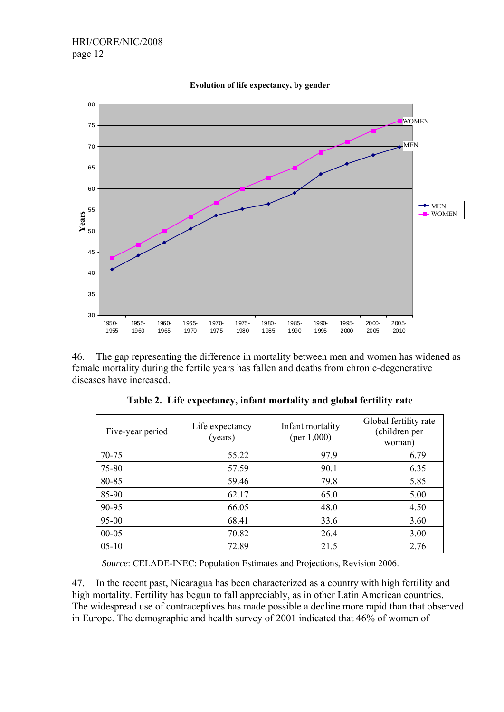

**Evolution of life expectancy, by gender** 

46. The gap representing the difference in mortality between men and women has widened as female mortality during the fertile years has fallen and deaths from chronic-degenerative diseases have increased.

| Five-year period | Life expectancy<br>(years) | Infant mortality<br>(per $1,000$ ) | Global fertility rate<br>(children per<br>woman) |
|------------------|----------------------------|------------------------------------|--------------------------------------------------|
| $70 - 75$        | 55.22                      | 97.9                               | 6.79                                             |
| 75-80            | 57.59                      | 90.1                               | 6.35                                             |
| 80-85            | 59.46                      | 79.8                               | 5.85                                             |
| 85-90            | 62.17                      | 65.0                               | 5.00                                             |
| 90-95            | 66.05                      | 48.0                               | 4.50                                             |
| $95 - 00$        | 68.41                      | 33.6                               | 3.60                                             |
| $00 - 05$        | 70.82                      | 26.4                               | 3.00                                             |
| $05-10$          | 72.89                      | 21.5                               | 2.76                                             |

**Table 2. Life expectancy, infant mortality and global fertility rate** 

*Source*: CELADE-INEC: Population Estimates and Projections, Revision 2006.

47. In the recent past, Nicaragua has been characterized as a country with high fertility and high mortality. Fertility has begun to fall appreciably, as in other Latin American countries. The widespread use of contraceptives has made possible a decline more rapid than that observed in Europe. The demographic and health survey of 2001 indicated that 46% of women of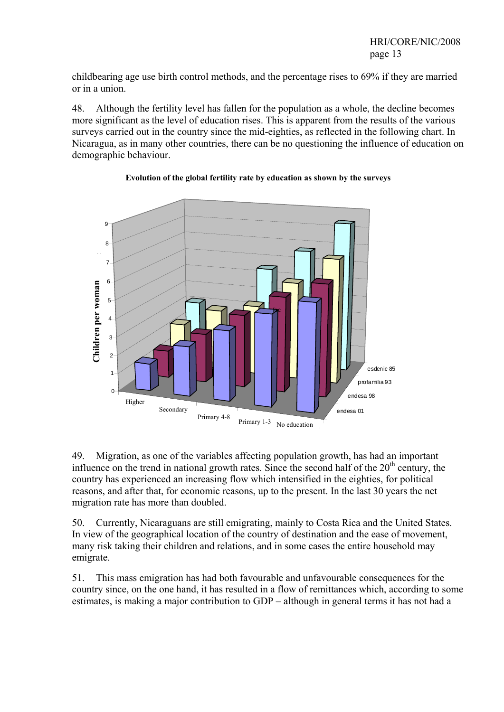childbearing age use birth control methods, and the percentage rises to 69% if they are married or in a union.

48. Although the fertility level has fallen for the population as a whole, the decline becomes more significant as the level of education rises. This is apparent from the results of the various surveys carried out in the country since the mid-eighties, as reflected in the following chart. In Nicaragua, as in many other countries, there can be no questioning the influence of education on demographic behaviour.



# Evolution of the global fertility rate by education as shown by the surveys

49. Migration, as one of the variables affecting population growth, has had an important influence on the trend in national growth rates. Since the second half of the  $20<sup>th</sup>$  century, the country has experienced an increasing flow which intensified in the eighties, for political reasons, and after that, for economic reasons, up to the present. In the last 30 years the net migration rate has more than doubled.

50. Currently, Nicaraguans are still emigrating, mainly to Costa Rica and the United States. In view of the geographical location of the country of destination and the ease of movement, many risk taking their children and relations, and in some cases the entire household may emigrate.

51. This mass emigration has had both favourable and unfavourable consequences for the country since, on the one hand, it has resulted in a flow of remittances which, according to some estimates, is making a major contribution to GDP – although in general terms it has not had a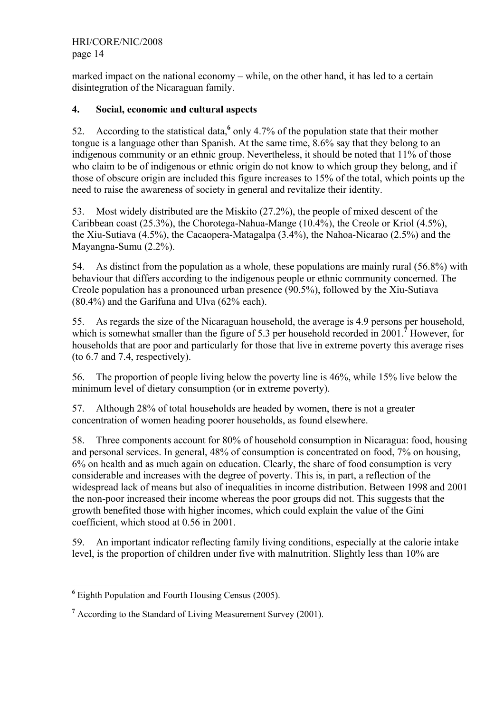HRI/CORE/NIC/2008 page 14

marked impact on the national economy – while, on the other hand, it has led to a certain disintegration of the Nicaraguan family.

## **4. Social, economic and cultural aspects**

52. According to the statistical data,**<sup>6</sup>** only 4.7% of the population state that their mother tongue is a language other than Spanish. At the same time, 8.6% say that they belong to an indigenous community or an ethnic group. Nevertheless, it should be noted that 11% of those who claim to be of indigenous or ethnic origin do not know to which group they belong, and if those of obscure origin are included this figure increases to 15% of the total, which points up the need to raise the awareness of society in general and revitalize their identity.

53. Most widely distributed are the Miskito (27.2%), the people of mixed descent of the Caribbean coast (25.3%), the Chorotega-Nahua-Mange (10.4%), the Creole or Kriol (4.5%), the Xiu-Sutiava (4.5%), the Cacaopera-Matagalpa (3.4%), the Nahoa-Nicarao (2.5%) and the Mayangna-Sumu (2.2%).

54. As distinct from the population as a whole, these populations are mainly rural (56.8%) with behaviour that differs according to the indigenous people or ethnic community concerned. The Creole population has a pronounced urban presence (90.5%), followed by the Xiu-Sutiava (80.4%) and the Garífuna and Ulva (62% each).

55. As regards the size of the Nicaraguan household, the average is 4.9 persons per household, which is somewhat smaller than the figure of 5.3 per household recorded in 2001.<sup>7</sup> However, for households that are poor and particularly for those that live in extreme poverty this average rises (to 6.7 and 7.4, respectively).

56. The proportion of people living below the poverty line is 46%, while 15% live below the minimum level of dietary consumption (or in extreme poverty).

57. Although 28% of total households are headed by women, there is not a greater concentration of women heading poorer households, as found elsewhere.

58. Three components account for 80% of household consumption in Nicaragua: food, housing and personal services. In general, 48% of consumption is concentrated on food, 7% on housing, 6% on health and as much again on education. Clearly, the share of food consumption is very considerable and increases with the degree of poverty. This is, in part, a reflection of the widespread lack of means but also of inequalities in income distribution. Between 1998 and 2001 the non-poor increased their income whereas the poor groups did not. This suggests that the growth benefited those with higher incomes, which could explain the value of the Gini coefficient, which stood at 0.56 in 2001.

59. An important indicator reflecting family living conditions, especially at the calorie intake level, is the proportion of children under five with malnutrition. Slightly less than 10% are

**<sup>6</sup>**<br> **6** Eighth Population and Fourth Housing Census (2005).

<sup>&</sup>lt;sup>7</sup> According to the Standard of Living Measurement Survey (2001).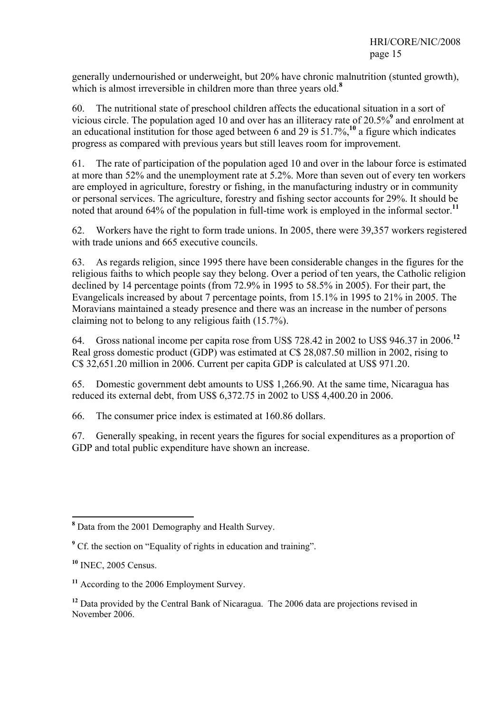generally undernourished or underweight, but 20% have chronic malnutrition (stunted growth), which is almost irreversible in children more than three years old.<sup>8</sup>

60. The nutritional state of preschool children affects the educational situation in a sort of vicious circle. The population aged 10 and over has an illiteracy rate of 20.5%<sup>9</sup> and enrolment at an educational institution for those aged between 6 and 29 is 51.7%,**<sup>10</sup>** a figure which indicates progress as compared with previous years but still leaves room for improvement.

61. The rate of participation of the population aged 10 and over in the labour force is estimated at more than 52% and the unemployment rate at 5.2%. More than seven out of every ten workers are employed in agriculture, forestry or fishing, in the manufacturing industry or in community or personal services. The agriculture, forestry and fishing sector accounts for 29%. It should be noted that around 64% of the population in full-time work is employed in the informal sector.<sup>11</sup>

62. Workers have the right to form trade unions. In 2005, there were 39,357 workers registered with trade unions and 665 executive councils.

63. As regards religion, since 1995 there have been considerable changes in the figures for the religious faiths to which people say they belong. Over a period of ten years, the Catholic religion declined by 14 percentage points (from 72.9% in 1995 to 58.5% in 2005). For their part, the Evangelicals increased by about 7 percentage points, from 15.1% in 1995 to 21% in 2005. The Moravians maintained a steady presence and there was an increase in the number of persons claiming not to belong to any religious faith (15.7%).

64. Gross national income per capita rose from US\$ 728.42 in 2002 to US\$ 946.37 in 2006.**<sup>12</sup>** Real gross domestic product (GDP) was estimated at C\$ 28,087.50 million in 2002, rising to C\$ 32,651.20 million in 2006. Current per capita GDP is calculated at US\$ 971.20.

65. Domestic government debt amounts to US\$ 1,266.90. At the same time, Nicaragua has reduced its external debt, from US\$ 6,372.75 in 2002 to US\$ 4,400.20 in 2006.

66. The consumer price index is estimated at 160.86 dollars.

67. Generally speaking, in recent years the figures for social expenditures as a proportion of GDP and total public expenditure have shown an increase.

**<sup>.</sup> <sup>8</sup>** Data from the 2001 Demography and Health Survey.

<sup>&</sup>lt;sup>9</sup> Cf. the section on "Equality of rights in education and training".

**<sup>10</sup>** INEC, 2005 Census.

**<sup>11</sup>** According to the 2006 Employment Survey.

**<sup>12</sup>** Data provided by the Central Bank of Nicaragua. The 2006 data are projections revised in November 2006.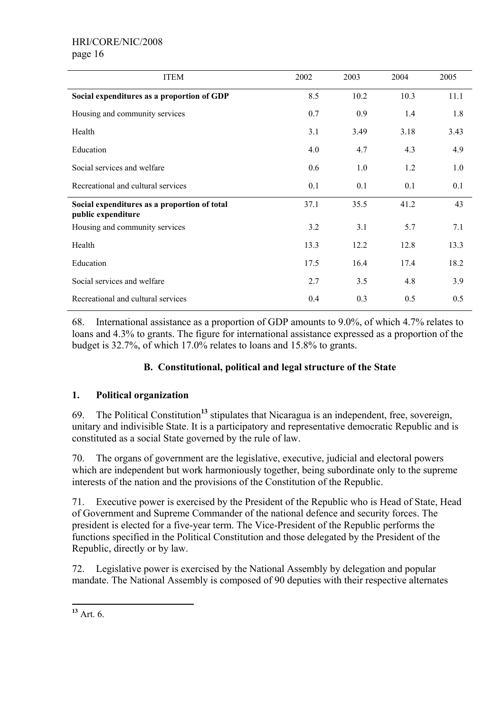# HRI/CORE/NIC/2008

page 16

| <b>ITEM</b>                                                        | 2002 | 2003 | 2004 | 2005 |
|--------------------------------------------------------------------|------|------|------|------|
| Social expenditures as a proportion of GDP                         | 8.5  | 10.2 | 10.3 | 11.1 |
| Housing and community services                                     | 0.7  | 0.9  | 1.4  | 1.8  |
| Health                                                             | 3.1  | 3.49 | 3.18 | 3.43 |
| Education                                                          | 4.0  | 4.7  | 4.3  | 4.9  |
| Social services and welfare                                        | 0.6  | 1.0  | 1.2  | 1.0  |
| Recreational and cultural services                                 | 0.1  | 0.1  | 0.1  | 0.1  |
| Social expenditures as a proportion of total<br>public expenditure | 37.1 | 35.5 | 41.2 | 43   |
| Housing and community services                                     | 3.2  | 3.1  | 5.7  | 7.1  |
| Health                                                             | 13.3 | 12.2 | 12.8 | 13.3 |
| Education                                                          | 17.5 | 16.4 | 17.4 | 18.2 |
| Social services and welfare                                        | 2.7  | 3.5  | 4.8  | 3.9  |
| Recreational and cultural services                                 | 0.4  | 0.3  | 0.5  | 0.5  |

68. International assistance as a proportion of GDP amounts to 9.0%, of which 4.7% relates to loans and 4.3% to grants. The figure for international assistance expressed as a proportion of the budget is 32.7%, of which 17.0% relates to loans and 15.8% to grants.

## **B. Constitutional, political and legal structure of the State**

## **1. Political organization**

69. The Political Constitution**<sup>13</sup>** stipulates that Nicaragua is an independent, free, sovereign, unitary and indivisible State. It is a participatory and representative democratic Republic and is constituted as a social State governed by the rule of law.

70. The organs of government are the legislative, executive, judicial and electoral powers which are independent but work harmoniously together, being subordinate only to the supreme interests of the nation and the provisions of the Constitution of the Republic.

71. Executive power is exercised by the President of the Republic who is Head of State, Head of Government and Supreme Commander of the national defence and security forces. The president is elected for a five-year term. The Vice-President of the Republic performs the functions specified in the Political Constitution and those delegated by the President of the Republic, directly or by law.

72. Legislative power is exercised by the National Assembly by delegation and popular mandate. The National Assembly is composed of 90 deputies with their respective alternates

**.** 

**<sup>13</sup>** Art. 6.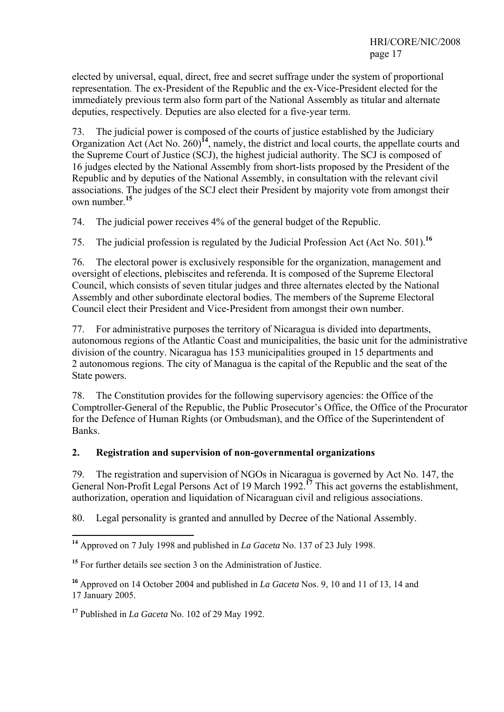elected by universal, equal, direct, free and secret suffrage under the system of proportional representation. The ex-President of the Republic and the ex-Vice-President elected for the immediately previous term also form part of the National Assembly as titular and alternate deputies, respectively. Deputies are also elected for a five-year term.

73. The judicial power is composed of the courts of justice established by the Judiciary Organization Act (Act No. 260)**<sup>14</sup>**, namely, the district and local courts, the appellate courts and the Supreme Court of Justice (SCJ), the highest judicial authority. The SCJ is composed of 16 judges elected by the National Assembly from short-lists proposed by the President of the Republic and by deputies of the National Assembly, in consultation with the relevant civil associations. The judges of the SCJ elect their President by majority vote from amongst their own number.**<sup>15</sup>**

74. The judicial power receives 4% of the general budget of the Republic.

75. The judicial profession is regulated by the Judicial Profession Act (Act No. 501).**<sup>16</sup>**

76. The electoral power is exclusively responsible for the organization, management and oversight of elections, plebiscites and referenda. It is composed of the Supreme Electoral Council, which consists of seven titular judges and three alternates elected by the National Assembly and other subordinate electoral bodies. The members of the Supreme Electoral Council elect their President and Vice-President from amongst their own number.

77. For administrative purposes the territory of Nicaragua is divided into departments, autonomous regions of the Atlantic Coast and municipalities, the basic unit for the administrative division of the country. Nicaragua has 153 municipalities grouped in 15 departments and 2 autonomous regions. The city of Managua is the capital of the Republic and the seat of the State powers.

78. The Constitution provides for the following supervisory agencies: the Office of the Comptroller-General of the Republic, the Public Prosecutor's Office, the Office of the Procurator for the Defence of Human Rights (or Ombudsman), and the Office of the Superintendent of Banks.

### **2. Registration and supervision of non-governmental organizations**

79. The registration and supervision of NGOs in Nicaragua is governed by Act No. 147, the General Non-Profit Legal Persons Act of 19 March 1992.**<sup>17</sup>** This act governs the establishment, authorization, operation and liquidation of Nicaraguan civil and religious associations.

80. Legal personality is granted and annulled by Decree of the National Assembly.

**<sup>.</sup> <sup>14</sup>** Approved on 7 July 1998 and published in *La Gaceta* No. 137 of 23 July 1998.

**<sup>15</sup>** For further details see section 3 on the Administration of Justice.

**<sup>16</sup>** Approved on 14 October 2004 and published in *La Gaceta* Nos. 9, 10 and 11 of 13, 14 and 17 January 2005.

**<sup>17</sup>** Published in *La Gaceta* No. 102 of 29 May 1992.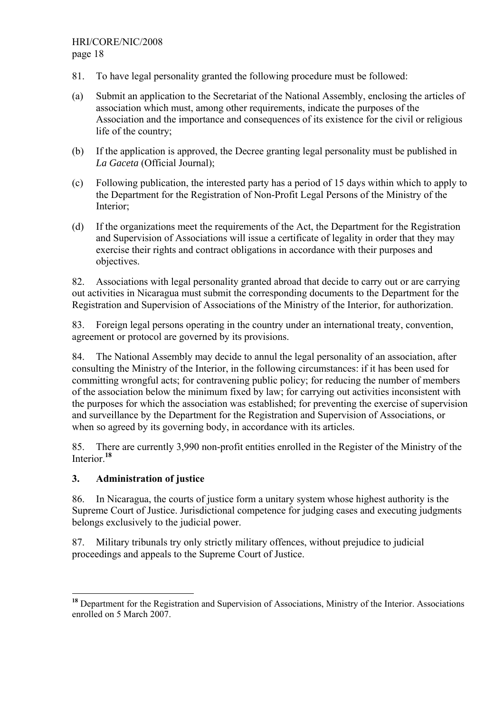- 81. To have legal personality granted the following procedure must be followed:
- (a) Submit an application to the Secretariat of the National Assembly, enclosing the articles of association which must, among other requirements, indicate the purposes of the Association and the importance and consequences of its existence for the civil or religious life of the country;
- (b) If the application is approved, the Decree granting legal personality must be published in *La Gaceta* (Official Journal);
- (c) Following publication, the interested party has a period of 15 days within which to apply to the Department for the Registration of Non-Profit Legal Persons of the Ministry of the Interior;
- (d) If the organizations meet the requirements of the Act, the Department for the Registration and Supervision of Associations will issue a certificate of legality in order that they may exercise their rights and contract obligations in accordance with their purposes and objectives.

82. Associations with legal personality granted abroad that decide to carry out or are carrying out activities in Nicaragua must submit the corresponding documents to the Department for the Registration and Supervision of Associations of the Ministry of the Interior, for authorization.

83. Foreign legal persons operating in the country under an international treaty, convention, agreement or protocol are governed by its provisions.

84. The National Assembly may decide to annul the legal personality of an association, after consulting the Ministry of the Interior, in the following circumstances: if it has been used for committing wrongful acts; for contravening public policy; for reducing the number of members of the association below the minimum fixed by law; for carrying out activities inconsistent with the purposes for which the association was established; for preventing the exercise of supervision and surveillance by the Department for the Registration and Supervision of Associations, or when so agreed by its governing body, in accordance with its articles.

85. There are currently 3,990 non-profit entities enrolled in the Register of the Ministry of the Interior<sup>18</sup>

### **3. Administration of justice**

1

86. In Nicaragua, the courts of justice form a unitary system whose highest authority is the Supreme Court of Justice. Jurisdictional competence for judging cases and executing judgments belongs exclusively to the judicial power.

87. Military tribunals try only strictly military offences, without prejudice to judicial proceedings and appeals to the Supreme Court of Justice.

**<sup>18</sup>** Department for the Registration and Supervision of Associations, Ministry of the Interior. Associations enrolled on 5 March 2007.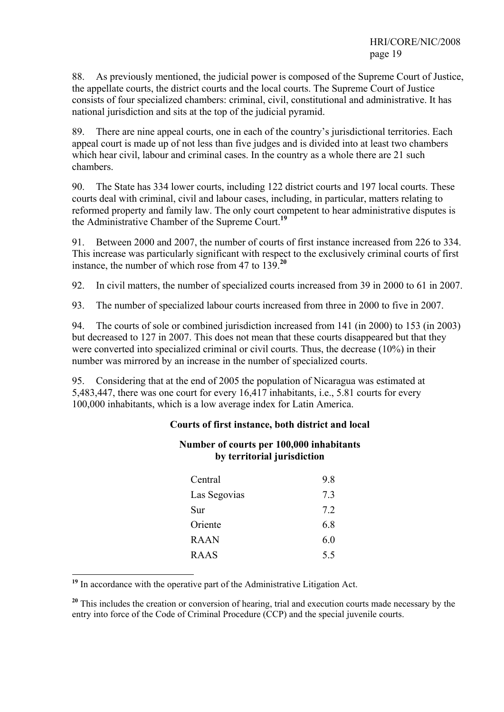88. As previously mentioned, the judicial power is composed of the Supreme Court of Justice, the appellate courts, the district courts and the local courts. The Supreme Court of Justice consists of four specialized chambers: criminal, civil, constitutional and administrative. It has national jurisdiction and sits at the top of the judicial pyramid.

89. There are nine appeal courts, one in each of the country's jurisdictional territories. Each appeal court is made up of not less than five judges and is divided into at least two chambers which hear civil, labour and criminal cases. In the country as a whole there are 21 such chambers.

90. The State has 334 lower courts, including 122 district courts and 197 local courts. These courts deal with criminal, civil and labour cases, including, in particular, matters relating to reformed property and family law. The only court competent to hear administrative disputes is the Administrative Chamber of the Supreme Court.**<sup>19</sup>**

91. Between 2000 and 2007, the number of courts of first instance increased from 226 to 334. This increase was particularly significant with respect to the exclusively criminal courts of first instance, the number of which rose from 47 to 139.**<sup>20</sup>**

92. In civil matters, the number of specialized courts increased from 39 in 2000 to 61 in 2007.

93. The number of specialized labour courts increased from three in 2000 to five in 2007.

94. The courts of sole or combined jurisdiction increased from 141 (in 2000) to 153 (in 2003) but decreased to 127 in 2007. This does not mean that these courts disappeared but that they were converted into specialized criminal or civil courts. Thus, the decrease (10%) in their number was mirrored by an increase in the number of specialized courts.

95. Considering that at the end of 2005 the population of Nicaragua was estimated at 5,483,447, there was one court for every 16,417 inhabitants, i.e., 5.81 courts for every 100,000 inhabitants, which is a low average index for Latin America.

### **Courts of first instance, both district and local**

| Central      | 9.8 |
|--------------|-----|
| Las Segovias | 7.3 |
| Sur          | 7.2 |
| Oriente      | 6.8 |
| <b>RAAN</b>  | 6.0 |
| <b>RAAS</b>  | 5.5 |

### **Number of courts per 100,000 inhabitants by territorial jurisdiction**

<sup>19</sup> In accordance with the operative part of the Administrative Litigation Act.

**.** 

<sup>20</sup> This includes the creation or conversion of hearing, trial and execution courts made necessary by the entry into force of the Code of Criminal Procedure (CCP) and the special juvenile courts.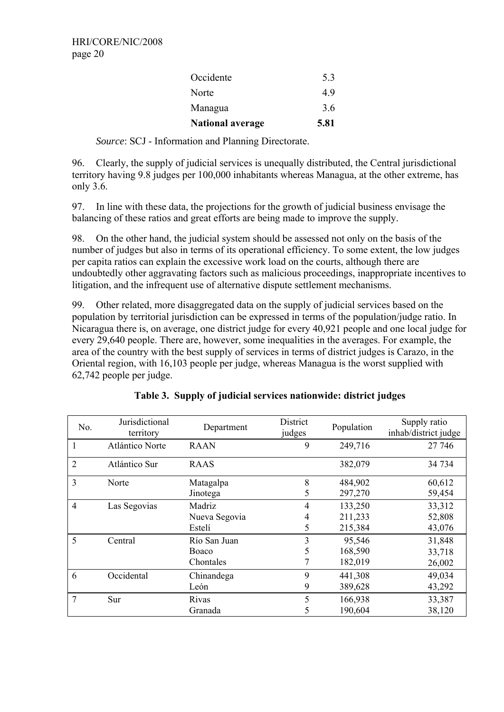| <b>National average</b> | 5.81 |
|-------------------------|------|
| Managua                 | 36   |
| Norte                   | 49   |
| Occidente               | 53   |

 *Source*: SCJ - Information and Planning Directorate.

96. Clearly, the supply of judicial services is unequally distributed, the Central jurisdictional territory having 9.8 judges per 100,000 inhabitants whereas Managua, at the other extreme, has only 3.6.

97. In line with these data, the projections for the growth of judicial business envisage the balancing of these ratios and great efforts are being made to improve the supply.

98. On the other hand, the judicial system should be assessed not only on the basis of the number of judges but also in terms of its operational efficiency. To some extent, the low judges per capita ratios can explain the excessive work load on the courts, although there are undoubtedly other aggravating factors such as malicious proceedings, inappropriate incentives to litigation, and the infrequent use of alternative dispute settlement mechanisms.

99. Other related, more disaggregated data on the supply of judicial services based on the population by territorial jurisdiction can be expressed in terms of the population/judge ratio. In Nicaragua there is, on average, one district judge for every 40,921 people and one local judge for every 29,640 people. There are, however, some inequalities in the averages. For example, the area of the country with the best supply of services in terms of district judges is Carazo, in the Oriental region, with 16,103 people per judge, whereas Managua is the worst supplied with 62,742 people per judge.

| No.            | Jurisdictional<br>territory | Department    | District<br>judges | Population | Supply ratio<br>inhab/district judge |
|----------------|-----------------------------|---------------|--------------------|------------|--------------------------------------|
|                | Atlántico Norte             | <b>RAAN</b>   | 9                  | 249,716    | 27 746                               |
| $\overline{2}$ | Atlántico Sur               | <b>RAAS</b>   |                    | 382,079    | 34 734                               |
| 3              | Norte                       | Matagalpa     | 8                  | 484,902    | 60,612                               |
|                |                             | Jinotega      | 5                  | 297,270    | 59,454                               |
| $\overline{4}$ | Las Segovias                | Madriz        | 4                  | 133,250    | 33,312                               |
|                |                             | Nueva Segovia | 4                  | 211,233    | 52,808                               |
|                |                             | Estelí        | 5                  | 215,384    | 43,076                               |
| 5              | Central                     | Río San Juan  | 3                  | 95,546     | 31,848                               |
|                |                             | <b>Boaco</b>  | 5                  | 168,590    | 33,718                               |
|                |                             | Chontales     | 7                  | 182,019    | 26,002                               |
| 6              | Occidental                  | Chinandega    | 9                  | 441,308    | 49,034                               |
|                |                             | León          | 9                  | 389,628    | 43,292                               |
| 7              | Sur                         | <b>Rivas</b>  | 5                  | 166,938    | 33,387                               |
|                |                             | Granada       | 5                  | 190,604    | 38,120                               |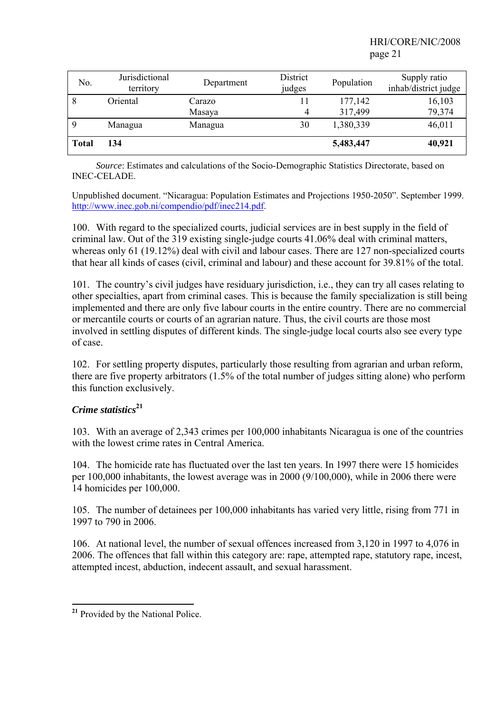HRI/CORE/NIC/2008 page 21

| No.          | Jurisdictional<br>territory | Department | District<br>judges | Population | Supply ratio<br>inhab/district judge |
|--------------|-----------------------------|------------|--------------------|------------|--------------------------------------|
| 8            | Oriental                    | Carazo     | 11                 | 177,142    | 16,103                               |
|              |                             | Masaya     | 4                  | 317,499    | 79,374                               |
| 9            | Managua                     | Managua    | 30                 | 1,380,339  | 46,011                               |
| <b>Total</b> | 134                         |            |                    | 5,483,447  | 40,921                               |

*Source*: Estimates and calculations of the Socio-Demographic Statistics Directorate, based on INEC-CELADE.

Unpublished document. "Nicaragua: Population Estimates and Projections 1950-2050". September 1999. http://www.inec.gob.ni/compendio/pdf/inec214.pdf.

100. With regard to the specialized courts, judicial services are in best supply in the field of criminal law. Out of the 319 existing single-judge courts 41.06% deal with criminal matters, whereas only 61 (19.12%) deal with civil and labour cases. There are 127 non-specialized courts that hear all kinds of cases (civil, criminal and labour) and these account for 39.81% of the total.

101. The country's civil judges have residuary jurisdiction, i.e., they can try all cases relating to other specialties, apart from criminal cases. This is because the family specialization is still being implemented and there are only five labour courts in the entire country. There are no commercial or mercantile courts or courts of an agrarian nature. Thus, the civil courts are those most involved in settling disputes of different kinds. The single-judge local courts also see every type of case.

102. For settling property disputes, particularly those resulting from agrarian and urban reform, there are five property arbitrators (1.5% of the total number of judges sitting alone) who perform this function exclusively.

## *Crime statistics***<sup>21</sup>**

103. With an average of 2,343 crimes per 100,000 inhabitants Nicaragua is one of the countries with the lowest crime rates in Central America.

104. The homicide rate has fluctuated over the last ten years. In 1997 there were 15 homicides per 100,000 inhabitants, the lowest average was in 2000 (9/100,000), while in 2006 there were 14 homicides per 100,000.

105. The number of detainees per 100,000 inhabitants has varied very little, rising from 771 in 1997 to 790 in 2006.

106. At national level, the number of sexual offences increased from 3,120 in 1997 to 4,076 in 2006. The offences that fall within this category are: rape, attempted rape, statutory rape, incest, attempted incest, abduction, indecent assault, and sexual harassment.

**.** 

**<sup>21</sup>** Provided by the National Police.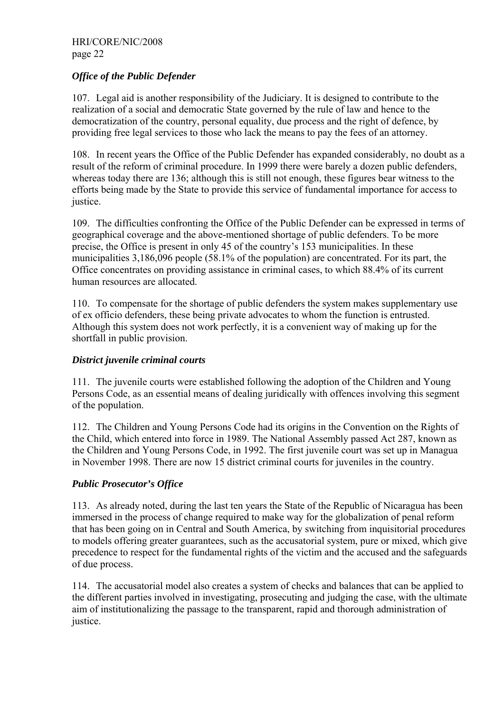## *Office of the Public Defender*

107. Legal aid is another responsibility of the Judiciary. It is designed to contribute to the realization of a social and democratic State governed by the rule of law and hence to the democratization of the country, personal equality, due process and the right of defence, by providing free legal services to those who lack the means to pay the fees of an attorney.

108. In recent years the Office of the Public Defender has expanded considerably, no doubt as a result of the reform of criminal procedure. In 1999 there were barely a dozen public defenders, whereas today there are 136; although this is still not enough, these figures bear witness to the efforts being made by the State to provide this service of fundamental importance for access to justice.

109. The difficulties confronting the Office of the Public Defender can be expressed in terms of geographical coverage and the above-mentioned shortage of public defenders. To be more precise, the Office is present in only 45 of the country's 153 municipalities. In these municipalities 3,186,096 people (58.1% of the population) are concentrated. For its part, the Office concentrates on providing assistance in criminal cases, to which 88.4% of its current human resources are allocated.

110. To compensate for the shortage of public defenders the system makes supplementary use of ex officio defenders, these being private advocates to whom the function is entrusted. Although this system does not work perfectly, it is a convenient way of making up for the shortfall in public provision.

### *District juvenile criminal courts*

111. The juvenile courts were established following the adoption of the Children and Young Persons Code, as an essential means of dealing juridically with offences involving this segment of the population.

112. The Children and Young Persons Code had its origins in the Convention on the Rights of the Child, which entered into force in 1989. The National Assembly passed Act 287, known as the Children and Young Persons Code, in 1992. The first juvenile court was set up in Managua in November 1998. There are now 15 district criminal courts for juveniles in the country.

## *Public Prosecutor's Office*

113. As already noted, during the last ten years the State of the Republic of Nicaragua has been immersed in the process of change required to make way for the globalization of penal reform that has been going on in Central and South America, by switching from inquisitorial procedures to models offering greater guarantees, such as the accusatorial system, pure or mixed, which give precedence to respect for the fundamental rights of the victim and the accused and the safeguards of due process.

114. The accusatorial model also creates a system of checks and balances that can be applied to the different parties involved in investigating, prosecuting and judging the case, with the ultimate aim of institutionalizing the passage to the transparent, rapid and thorough administration of justice.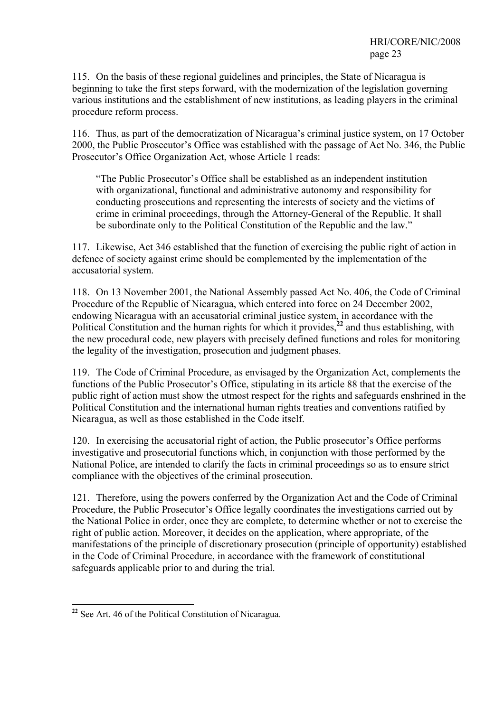115. On the basis of these regional guidelines and principles, the State of Nicaragua is beginning to take the first steps forward, with the modernization of the legislation governing various institutions and the establishment of new institutions, as leading players in the criminal procedure reform process.

116. Thus, as part of the democratization of Nicaragua's criminal justice system, on 17 October 2000, the Public Prosecutor's Office was established with the passage of Act No. 346, the Public Prosecutor's Office Organization Act, whose Article 1 reads:

"The Public Prosecutor's Office shall be established as an independent institution with organizational, functional and administrative autonomy and responsibility for conducting prosecutions and representing the interests of society and the victims of crime in criminal proceedings, through the Attorney-General of the Republic. It shall be subordinate only to the Political Constitution of the Republic and the law."

117. Likewise, Act 346 established that the function of exercising the public right of action in defence of society against crime should be complemented by the implementation of the accusatorial system.

118. On 13 November 2001, the National Assembly passed Act No. 406, the Code of Criminal Procedure of the Republic of Nicaragua, which entered into force on 24 December 2002, endowing Nicaragua with an accusatorial criminal justice system, in accordance with the Political Constitution and the human rights for which it provides,<sup>22</sup> and thus establishing, with the new procedural code, new players with precisely defined functions and roles for monitoring the legality of the investigation, prosecution and judgment phases.

119. The Code of Criminal Procedure, as envisaged by the Organization Act, complements the functions of the Public Prosecutor's Office, stipulating in its article 88 that the exercise of the public right of action must show the utmost respect for the rights and safeguards enshrined in the Political Constitution and the international human rights treaties and conventions ratified by Nicaragua, as well as those established in the Code itself.

120. In exercising the accusatorial right of action, the Public prosecutor's Office performs investigative and prosecutorial functions which, in conjunction with those performed by the National Police, are intended to clarify the facts in criminal proceedings so as to ensure strict compliance with the objectives of the criminal prosecution.

121. Therefore, using the powers conferred by the Organization Act and the Code of Criminal Procedure, the Public Prosecutor's Office legally coordinates the investigations carried out by the National Police in order, once they are complete, to determine whether or not to exercise the right of public action. Moreover, it decides on the application, where appropriate, of the manifestations of the principle of discretionary prosecution (principle of opportunity) established in the Code of Criminal Procedure, in accordance with the framework of constitutional safeguards applicable prior to and during the trial.

**.** 

<sup>&</sup>lt;sup>22</sup> See Art. 46 of the Political Constitution of Nicaragua.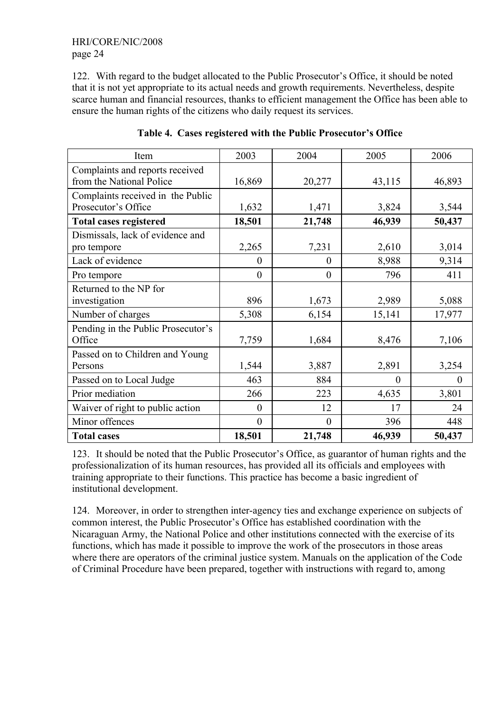122. With regard to the budget allocated to the Public Prosecutor's Office, it should be noted that it is not yet appropriate to its actual needs and growth requirements. Nevertheless, despite scarce human and financial resources, thanks to efficient management the Office has been able to ensure the human rights of the citizens who daily request its services.

| Item                                                        | 2003         | 2004             | 2005     | 2006     |
|-------------------------------------------------------------|--------------|------------------|----------|----------|
| Complaints and reports received<br>from the National Police | 16,869       | 20,277           | 43,115   | 46,893   |
| Complaints received in the Public<br>Prosecutor's Office    | 1,632        | 1,471            | 3,824    | 3,544    |
| <b>Total cases registered</b>                               | 18,501       | 21,748           | 46,939   | 50,437   |
| Dismissals, lack of evidence and<br>pro tempore             | 2,265        | 7,231            | 2,610    | 3,014    |
| Lack of evidence                                            | $\theta$     | $\overline{0}$   | 8,988    | 9,314    |
| Pro tempore                                                 | $\theta$     | $\boldsymbol{0}$ | 796      | 411      |
| Returned to the NP for<br>investigation                     | 896          | 1,673            | 2,989    | 5,088    |
| Number of charges                                           | 5,308        | 6,154            | 15,141   | 17,977   |
| Pending in the Public Prosecutor's<br>Office                | 7,759        | 1,684            | 8,476    | 7,106    |
| Passed on to Children and Young                             |              |                  |          |          |
| Persons                                                     | 1,544        | 3,887            | 2,891    | 3,254    |
| Passed on to Local Judge                                    | 463          | 884              | $\Omega$ | $\Omega$ |
| Prior mediation                                             | 266          | 223              | 4,635    | 3,801    |
| Waiver of right to public action                            | $\theta$     | 12               | 17       | 24       |
| Minor offences                                              | $\mathbf{0}$ | $\overline{0}$   | 396      | 448      |
| <b>Total cases</b>                                          | 18,501       | 21,748           | 46,939   | 50,437   |

123. It should be noted that the Public Prosecutor's Office, as guarantor of human rights and the professionalization of its human resources, has provided all its officials and employees with training appropriate to their functions. This practice has become a basic ingredient of institutional development.

124. Moreover, in order to strengthen inter-agency ties and exchange experience on subjects of common interest, the Public Prosecutor's Office has established coordination with the Nicaraguan Army, the National Police and other institutions connected with the exercise of its functions, which has made it possible to improve the work of the prosecutors in those areas where there are operators of the criminal justice system. Manuals on the application of the Code of Criminal Procedure have been prepared, together with instructions with regard to, among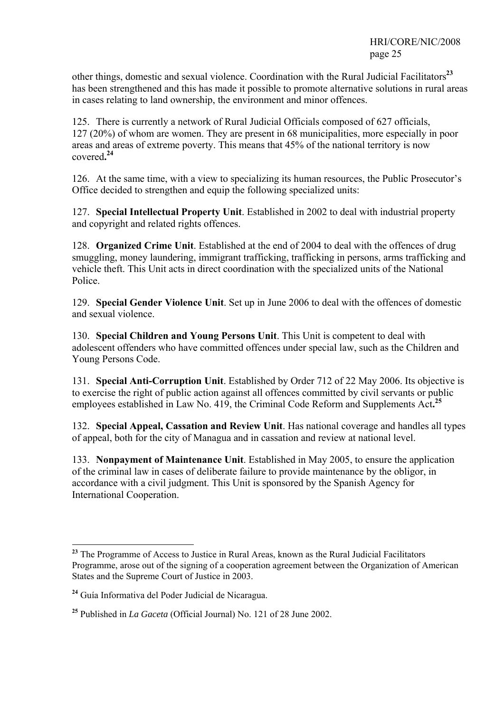other things, domestic and sexual violence. Coordination with the Rural Judicial Facilitators**<sup>23</sup>** has been strengthened and this has made it possible to promote alternative solutions in rural areas in cases relating to land ownership, the environment and minor offences.

125. There is currently a network of Rural Judicial Officials composed of 627 officials, 127 (20%) of whom are women. They are present in 68 municipalities, more especially in poor areas and areas of extreme poverty. This means that 45% of the national territory is now covered**. 24**

126. At the same time, with a view to specializing its human resources, the Public Prosecutor's Office decided to strengthen and equip the following specialized units:

127. **Special Intellectual Property Unit**. Established in 2002 to deal with industrial property and copyright and related rights offences.

128. **Organized Crime Unit**. Established at the end of 2004 to deal with the offences of drug smuggling, money laundering, immigrant trafficking, trafficking in persons, arms trafficking and vehicle theft. This Unit acts in direct coordination with the specialized units of the National Police.

129. **Special Gender Violence Unit**. Set up in June 2006 to deal with the offences of domestic and sexual violence.

130. **Special Children and Young Persons Unit**. This Unit is competent to deal with adolescent offenders who have committed offences under special law, such as the Children and Young Persons Code.

131. **Special Anti-Corruption Unit**. Established by Order 712 of 22 May 2006. Its objective is to exercise the right of public action against all offences committed by civil servants or public employees established in Law No. 419, the Criminal Code Reform and Supplements Act**. 25**

132. **Special Appeal, Cassation and Review Unit**. Has national coverage and handles all types of appeal, both for the city of Managua and in cassation and review at national level.

133. **Nonpayment of Maintenance Unit**. Established in May 2005, to ensure the application of the criminal law in cases of deliberate failure to provide maintenance by the obligor, in accordance with a civil judgment. This Unit is sponsored by the Spanish Agency for International Cooperation.

**.** 

<sup>&</sup>lt;sup>23</sup> The Programme of Access to Justice in Rural Areas, known as the Rural Judicial Facilitators Programme, arose out of the signing of a cooperation agreement between the Organization of American States and the Supreme Court of Justice in 2003.

**<sup>24</sup>** Guía Informativa del Poder Judicial de Nicaragua.

**<sup>25</sup>** Published in *La Gaceta* (Official Journal) No. 121 of 28 June 2002.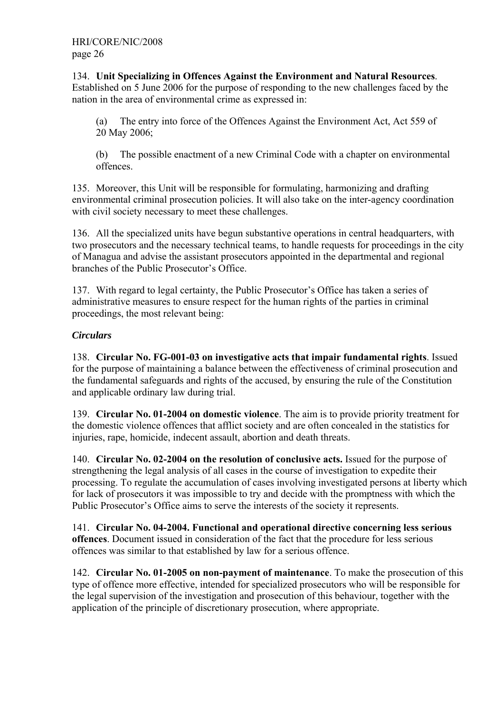134. **Unit Specializing in Offences Against the Environment and Natural Resources**. Established on 5 June 2006 for the purpose of responding to the new challenges faced by the nation in the area of environmental crime as expressed in:

(a) The entry into force of the Offences Against the Environment Act, Act 559 of 20 May 2006;

(b) The possible enactment of a new Criminal Code with a chapter on environmental offences.

135. Moreover, this Unit will be responsible for formulating, harmonizing and drafting environmental criminal prosecution policies. It will also take on the inter-agency coordination with civil society necessary to meet these challenges.

136. All the specialized units have begun substantive operations in central headquarters, with two prosecutors and the necessary technical teams, to handle requests for proceedings in the city of Managua and advise the assistant prosecutors appointed in the departmental and regional branches of the Public Prosecutor's Office.

137. With regard to legal certainty, the Public Prosecutor's Office has taken a series of administrative measures to ensure respect for the human rights of the parties in criminal proceedings, the most relevant being:

## *Circulars*

138. **Circular No. FG-001-03 on investigative acts that impair fundamental rights**. Issued for the purpose of maintaining a balance between the effectiveness of criminal prosecution and the fundamental safeguards and rights of the accused, by ensuring the rule of the Constitution and applicable ordinary law during trial.

139. **Circular No. 01-2004 on domestic violence**. The aim is to provide priority treatment for the domestic violence offences that afflict society and are often concealed in the statistics for injuries, rape, homicide, indecent assault, abortion and death threats.

140. **Circular No. 02-2004 on the resolution of conclusive acts.** Issued for the purpose of strengthening the legal analysis of all cases in the course of investigation to expedite their processing. To regulate the accumulation of cases involving investigated persons at liberty which for lack of prosecutors it was impossible to try and decide with the promptness with which the Public Prosecutor's Office aims to serve the interests of the society it represents.

141. **Circular No. 04-2004. Functional and operational directive concerning less serious offences**. Document issued in consideration of the fact that the procedure for less serious offences was similar to that established by law for a serious offence.

142. **Circular No. 01-2005 on non-payment of maintenance**. To make the prosecution of this type of offence more effective, intended for specialized prosecutors who will be responsible for the legal supervision of the investigation and prosecution of this behaviour, together with the application of the principle of discretionary prosecution, where appropriate.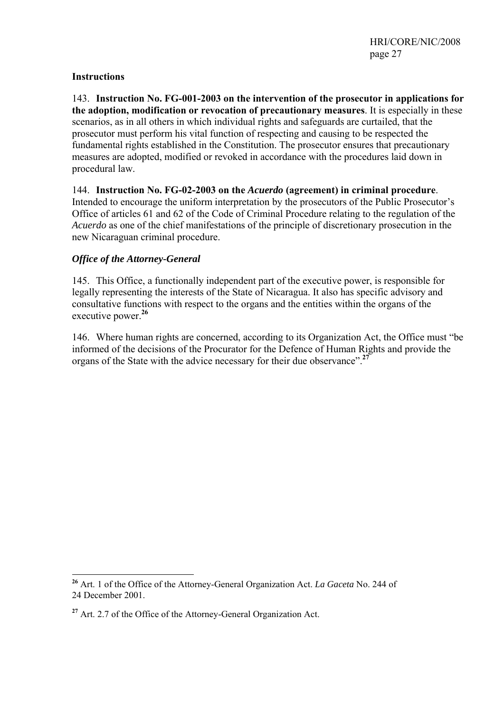#### **Instructions**

**.** 

143. **Instruction No. FG-001-2003 on the intervention of the prosecutor in applications for the adoption, modification or revocation of precautionary measures**. It is especially in these scenarios, as in all others in which individual rights and safeguards are curtailed, that the prosecutor must perform his vital function of respecting and causing to be respected the fundamental rights established in the Constitution. The prosecutor ensures that precautionary measures are adopted, modified or revoked in accordance with the procedures laid down in procedural law.

144. **Instruction No. FG-02-2003 on the** *Acuerdo* **(agreement) in criminal procedure**. Intended to encourage the uniform interpretation by the prosecutors of the Public Prosecutor's Office of articles 61 and 62 of the Code of Criminal Procedure relating to the regulation of the *Acuerdo* as one of the chief manifestations of the principle of discretionary prosecution in the new Nicaraguan criminal procedure.

### *Office of the Attorney-General*

145. This Office, a functionally independent part of the executive power, is responsible for legally representing the interests of the State of Nicaragua. It also has specific advisory and consultative functions with respect to the organs and the entities within the organs of the executive power.**<sup>26</sup>**

146. Where human rights are concerned, according to its Organization Act, the Office must "be informed of the decisions of the Procurator for the Defence of Human Rights and provide the organs of the State with the advice necessary for their due observance".**<sup>27</sup>**

**<sup>26</sup>** Art. 1 of the Office of the Attorney-General Organization Act. *La Gaceta* No. 244 of 24 December 2001.

<sup>&</sup>lt;sup>27</sup> Art. 2.7 of the Office of the Attorney-General Organization Act.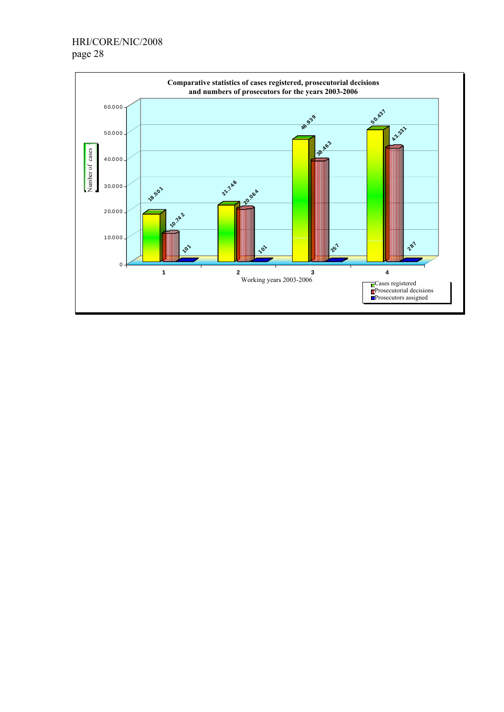HRI/CORE/NIC/2008 page 28

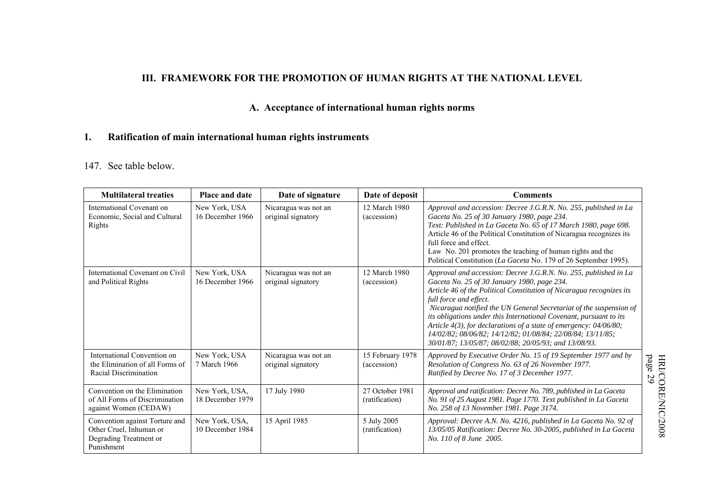#### **III. FRAMEWORK FOR THE PROMOTION OF HUMAN RIGHTS AT THE NATIONAL LEVEL**

# **A. Acceptance of international human rights norms**

#### **1. Ratification of main international human rights instruments**

#### 147. See table below.

| <b>Multilateral treaties</b>                                                                      | Place and date                     | Date of signature                          | Date of deposit                   | <b>Comments</b>                                                                                                                                                                                                                                                                                                                                                                                                                                                                                                                                            |
|---------------------------------------------------------------------------------------------------|------------------------------------|--------------------------------------------|-----------------------------------|------------------------------------------------------------------------------------------------------------------------------------------------------------------------------------------------------------------------------------------------------------------------------------------------------------------------------------------------------------------------------------------------------------------------------------------------------------------------------------------------------------------------------------------------------------|
| International Covenant on<br>Economic, Social and Cultural<br>Rights                              | New York, USA<br>16 December 1966  | Nicaragua was not an<br>original signatory | 12 March 1980<br>(accession)      | Approval and accession: Decree J.G.R.N. No. 255, published in La<br>Gaceta No. 25 of 30 January 1980, page 234.<br>Text: Published in La Gaceta No. 65 of 17 March 1980, page 698.<br>Article 46 of the Political Constitution of Nicaragua recognizes its<br>full force and effect.<br>Law No. 201 promotes the teaching of human rights and the<br>Political Constitution (La Gaceta No. 179 of 26 September 1995).                                                                                                                                      |
| International Covenant on Civil<br>and Political Rights                                           | New York, USA<br>16 December 1966  | Nicaragua was not an<br>original signatory | 12 March 1980<br>(accession)      | Approval and accession: Decree J.G.R.N. No. 255, published in La<br>Gaceta No. 25 of 30 January 1980, page 234.<br>Article 46 of the Political Constitution of Nicaragua recognizes its<br>full force and effect.<br>Nicaragua notified the UN General Secretariat of the suspension of<br>its obligations under this International Covenant, pursuant to its<br>Article 4(3), for declarations of a state of emergency: 04/06/80;<br>14/02/82; 08/06/82; 14/12/82; 01/08/84; 22/08/84; 13/11/85;<br>30/01/87; 13/05/87; 08/02/88; 20/05/93; and 13/08/93. |
| International Convention on<br>the Elimination of all Forms of<br>Racial Discrimination           | New York, USA<br>7 March 1966      | Nicaragua was not an<br>original signatory | 15 February 1978<br>(accession)   | Approved by Executive Order No. 15 of 19 September 1977 and by<br>Resolution of Congress No. 63 of 26 November 1977.<br>Ratified by Decree No. 17 of 3 December 1977.                                                                                                                                                                                                                                                                                                                                                                                      |
| Convention on the Elimination<br>of All Forms of Discrimination<br>against Women (CEDAW)          | New York, USA,<br>18 December 1979 | 17 July 1980                               | 27 October 1981<br>(ratification) | Approval and ratification: Decree No. 789, published in La Gaceta<br>No. 91 of 25 August 1981. Page 1770. Text published in La Gaceta<br>No. 258 of 13 November 1981. Page 3174.                                                                                                                                                                                                                                                                                                                                                                           |
| Convention against Torture and<br>Other Cruel, Inhuman or<br>Degrading Treatment or<br>Punishment | New York, USA,<br>10 December 1984 | 15 April 1985                              | 5 July 2005<br>(ratification)     | Approval: Decree A.N. No. 4216, published in La Gaceta No. 92 of<br>13/05/05 Ratification: Decree No. 30-2005, published in La Gaceta<br>No. 110 of 8 June 2005.                                                                                                                                                                                                                                                                                                                                                                                           |

p age 29 HRI/CORE/NIC/2008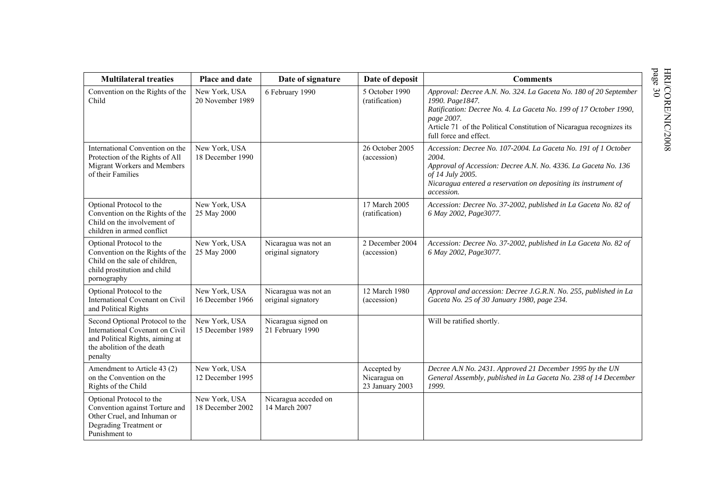| <b>Multilateral treaties</b>                                                                                                                   | Place and date                    | Date of signature                          | Date of deposit                                | <b>Comments</b>                                                                                                                                                                                                                                                          |
|------------------------------------------------------------------------------------------------------------------------------------------------|-----------------------------------|--------------------------------------------|------------------------------------------------|--------------------------------------------------------------------------------------------------------------------------------------------------------------------------------------------------------------------------------------------------------------------------|
| Convention on the Rights of the<br>Child                                                                                                       | New York, USA<br>20 November 1989 | 6 February 1990                            | 5 October 1990<br>(ratification)               | Approval: Decree A.N. No. 324. La Gaceta No. 180 of 20 September<br>1990. Page1847.<br>Ratification: Decree No. 4. La Gaceta No. 199 of 17 October 1990,<br>page 2007.<br>Article 71 of the Political Constitution of Nicaragua recognizes its<br>full force and effect. |
| International Convention on the<br>Protection of the Rights of All<br>Migrant Workers and Members<br>of their Families                         | New York, USA<br>18 December 1990 |                                            | 26 October 2005<br>(accession)                 | Accession: Decree No. 107-2004. La Gaceta No. 191 of 1 October<br>2004.<br>Approval of Accession: Decree A.N. No. 4336. La Gaceta No. 136<br>of 14 July 2005.<br>Nicaragua entered a reservation on depositing its instrument of<br>accession.                           |
| Optional Protocol to the<br>Convention on the Rights of the<br>Child on the involvement of<br>children in armed conflict                       | New York, USA<br>25 May 2000      |                                            | 17 March 2005<br>(ratification)                | Accession: Decree No. 37-2002, published in La Gaceta No. 82 of<br>6 May 2002, Page3077.                                                                                                                                                                                 |
| Optional Protocol to the<br>Convention on the Rights of the<br>Child on the sale of children,<br>child prostitution and child<br>pornography   | New York, USA<br>25 May 2000      | Nicaragua was not an<br>original signatory | 2 December 2004<br>(accession)                 | Accession: Decree No. 37-2002, published in La Gaceta No. 82 of<br>6 May 2002, Page3077.                                                                                                                                                                                 |
| Optional Protocol to the<br>International Covenant on Civil<br>and Political Rights                                                            | New York, USA<br>16 December 1966 | Nicaragua was not an<br>original signatory | 12 March 1980<br>(accession)                   | Approval and accession: Decree J.G.R.N. No. 255, published in La<br>Gaceta No. 25 of 30 January 1980, page 234.                                                                                                                                                          |
| Second Optional Protocol to the<br>International Covenant on Civil<br>and Political Rights, aiming at<br>the abolition of the death<br>penalty | New York, USA<br>15 December 1989 | Nicaragua signed on<br>21 February 1990    |                                                | Will be ratified shortly.                                                                                                                                                                                                                                                |
| Amendment to Article 43 (2)<br>on the Convention on the<br>Rights of the Child                                                                 | New York, USA<br>12 December 1995 |                                            | Accepted by<br>Nicaragua on<br>23 January 2003 | Decree A.N No. 2431. Approved 21 December 1995 by the UN<br>General Assembly, published in La Gaceta No. 238 of 14 December<br>1999.                                                                                                                                     |
| Optional Protocol to the<br>Convention against Torture and<br>Other Cruel, and Inhuman or<br>Degrading Treatment or<br>Punishment to           | New York, USA<br>18 December 2002 | Nicaragua acceded on<br>14 March 2007      |                                                |                                                                                                                                                                                                                                                                          |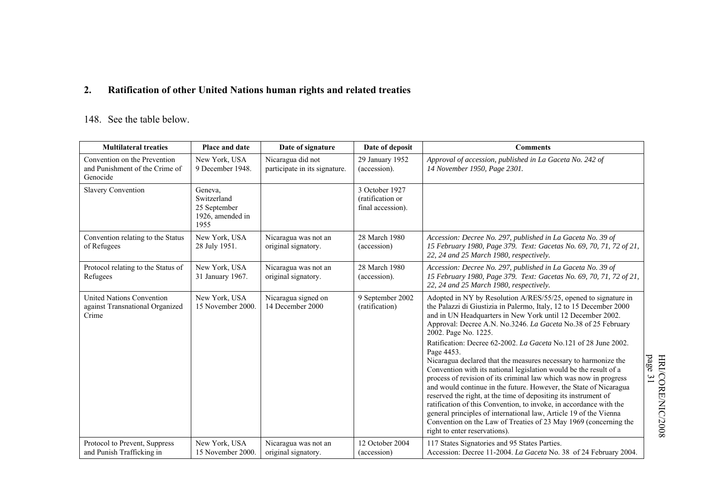# **2. Ratification of other United Nations human rights and related treaties**

#### 148. See the table below.

| <b>Multilateral treaties</b>                                                 | Place and date                                                     | Date of signature                                  | Date of deposit                                         | <b>Comments</b>                                                                                                                                                                                                                                                                                                                                                                                                                                                                                                                                                                                                 |
|------------------------------------------------------------------------------|--------------------------------------------------------------------|----------------------------------------------------|---------------------------------------------------------|-----------------------------------------------------------------------------------------------------------------------------------------------------------------------------------------------------------------------------------------------------------------------------------------------------------------------------------------------------------------------------------------------------------------------------------------------------------------------------------------------------------------------------------------------------------------------------------------------------------------|
| Convention on the Prevention<br>and Punishment of the Crime of<br>Genocide   | New York, USA<br>9 December 1948.                                  | Nicaragua did not<br>participate in its signature. | 29 January 1952<br>(accession).                         | Approval of accession, published in La Gaceta No. 242 of<br>14 November 1950, Page 2301.                                                                                                                                                                                                                                                                                                                                                                                                                                                                                                                        |
| <b>Slavery Convention</b>                                                    | Geneva,<br>Switzerland<br>25 September<br>1926, amended in<br>1955 |                                                    | 3 October 1927<br>(ratification or<br>final accession). |                                                                                                                                                                                                                                                                                                                                                                                                                                                                                                                                                                                                                 |
| Convention relating to the Status<br>of Refugees                             | New York, USA<br>28 July 1951.                                     | Nicaragua was not an<br>original signatory.        | 28 March 1980<br>(accession)                            | Accession: Decree No. 297, published in La Gaceta No. 39 of<br>15 February 1980, Page 379. Text: Gacetas No. 69, 70, 71, 72 of 21,<br>22, 24 and 25 March 1980, respectively.                                                                                                                                                                                                                                                                                                                                                                                                                                   |
| Protocol relating to the Status of<br>Refugees                               | New York, USA<br>31 January 1967.                                  | Nicaragua was not an<br>original signatory.        | 28 March 1980<br>(accession).                           | Accession: Decree No. 297, published in La Gaceta No. 39 of<br>15 February 1980, Page 379. Text: Gacetas No. 69, 70, 71, 72 of 21,<br>22, 24 and 25 March 1980, respectively.                                                                                                                                                                                                                                                                                                                                                                                                                                   |
| <b>United Nations Convention</b><br>against Transnational Organized<br>Crime | New York, USA<br>15 November 2000.                                 | Nicaragua signed on<br>14 December 2000            | 9 September 2002<br>(ratification)                      | Adopted in NY by Resolution A/RES/55/25, opened to signature in<br>the Palazzi di Giustizia in Palermo, Italy, 12 to 15 December 2000<br>and in UN Headquarters in New York until 12 December 2002.<br>Approval: Decree A.N. No.3246. La Gaceta No.38 of 25 February<br>2002. Page No. 1225.<br>Ratification: Decree 62-2002. La Gaceta No.121 of 28 June 2002.                                                                                                                                                                                                                                                 |
|                                                                              |                                                                    |                                                    |                                                         | Page 4453.<br>Nicaragua declared that the measures necessary to harmonize the<br>Convention with its national legislation would be the result of a<br>process of revision of its criminal law which was now in progress<br>and would continue in the future. However, the State of Nicaragua<br>reserved the right, at the time of depositing its instrument of<br>ratification of this Convention, to invoke, in accordance with the<br>general principles of international law, Article 19 of the Vienna<br>Convention on the Law of Treaties of 23 May 1969 (concerning the<br>right to enter reservations). |
| Protocol to Prevent, Suppress<br>and Punish Trafficking in                   | New York, USA<br>15 November 2000.                                 | Nicaragua was not an<br>original signatory.        | 12 October 2004<br>(accession)                          | 117 States Signatories and 95 States Parties.<br>Accession: Decree 11-2004. La Gaceta No. 38 of 24 February 2004.                                                                                                                                                                                                                                                                                                                                                                                                                                                                                               |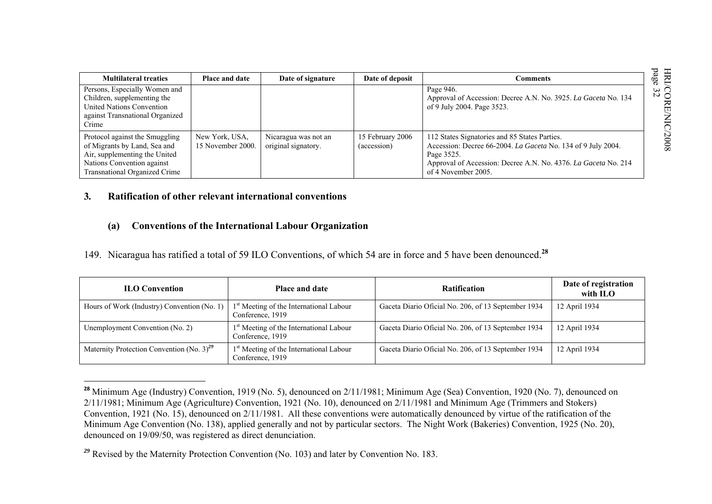| <b>Multilateral treaties</b>                                                                                                                                          | Place and date                      | Date of signature                           | Date of deposit                 | Comments                                                                                                                                                                                                             |
|-----------------------------------------------------------------------------------------------------------------------------------------------------------------------|-------------------------------------|---------------------------------------------|---------------------------------|----------------------------------------------------------------------------------------------------------------------------------------------------------------------------------------------------------------------|
| Persons, Especially Women and<br>Children, supplementing the<br><b>United Nations Convention</b><br>against Transnational Organized<br>Crime                          |                                     |                                             |                                 | Page 946.<br>Approval of Accession: Decree A.N. No. 3925. La Gaceta No. 134<br>of 9 July 2004. Page 3523.                                                                                                            |
| Protocol against the Smuggling<br>of Migrants by Land, Sea and<br>Air, supplementing the United<br>Nations Convention against<br><b>Transnational Organized Crime</b> | New York, USA,<br>15 November 2000. | Nicaragua was not an<br>original signatory. | 15 February 2006<br>(accession) | 112 States Signatories and 85 States Parties.<br>Accession: Decree 66-2004. La Gaceta No. 134 of 9 July 2004.<br>Page 3525.<br>Approval of Accession: Decree A.N. No. 4376. La Gaceta No. 214<br>of 4 November 2005. |

#### **3***.* **Ratification of other relevant international conventions**

#### **(a) Conventions of the International Labour Organization**

149. Nicaragua has ratified a total of 59 ILO Conventions, of which 54 are in force and 5 have been denounced.**<sup>28</sup>**

| <b>ILO Convention</b>                                                                         | <b>Place and date</b>                                                   | <b>Ratification</b>                                 | Date of registration<br>with ILO |
|-----------------------------------------------------------------------------------------------|-------------------------------------------------------------------------|-----------------------------------------------------|----------------------------------|
| Hours of Work (Industry) Convention (No. 1) $\mid 1^{st}$ Meeting of the International Labour | Conference, 1919                                                        | Gaceta Diario Oficial No. 206, of 13 September 1934 | 12 April 1934                    |
| Unemployment Convention (No. 2)                                                               | 1 <sup>st</sup> Meeting of the International Labour<br>Conference, 1919 | Gaceta Diario Oficial No. 206, of 13 September 1934 | 12 April 1934                    |
| Maternity Protection Convention (No. $3)^{29}$                                                | 1 <sup>st</sup> Meeting of the International Labour<br>Conference, 1919 | Gaceta Diario Oficial No. 206, of 13 September 1934 | 12 April 1934                    |

**<sup>28</sup>** Minimum Age (Industry) Convention, 1919 (No. 5), denounced on 2/11/1981; Minimum Age (Sea) Convention, 1920 (No. 7), denounced on 2/11/1981; Minimum Age (Agriculture) Convention, 1921 (No. 10), denounced on 2/11/1981 and Minimum Age (Trimmers and Stokers) Convention, 1921 (No. 15), denounced on 2/11/1981. All these conventions were automatically denounced by virtue of the ratification of the Minimum Age Convention (No. 138), applied generally and not by particular sectors. The Night Work (Bakeries) Convention, 1925 (No. 20), denounced on 19/09/50, was registered as direct denunciation.

<sup>&</sup>lt;sup>29</sup> Revised by the Maternity Protection Convention (No. 103) and later by Convention No. 183.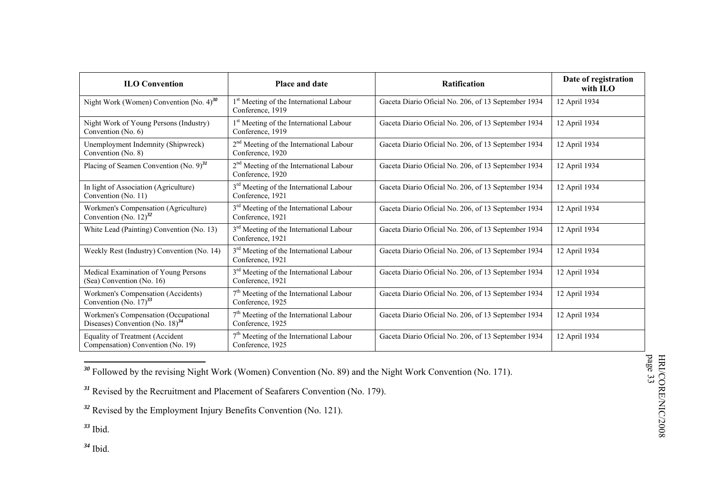| <b>ILO Convention</b>                                                                  | Place and date                                                                                                                 | Ratification                                        | Date of registration<br>with $IIO$ |
|----------------------------------------------------------------------------------------|--------------------------------------------------------------------------------------------------------------------------------|-----------------------------------------------------|------------------------------------|
| Night Work (Women) Convention (No. $4^{30}$                                            | 1 <sup>st</sup> Meeting of the International Labour<br>Conference, 1919                                                        | Gaceta Diario Oficial No. 206, of 13 September 1934 | 12 April 1934                      |
| Night Work of Young Persons (Industry)<br>Convention (No. 6)                           | 1 <sup>st</sup> Meeting of the International Labour<br>Gaceta Diario Oficial No. 206, of 13 September 1934<br>Conference, 1919 |                                                     | 12 April 1934                      |
| Unemployment Indemnity (Shipwreck)<br>Convention (No. 8)                               | 2 <sup>nd</sup> Meeting of the International Labour<br>Gaceta Diario Oficial No. 206, of 13 September 1934<br>Conference, 1920 |                                                     | 12 April 1934                      |
| Placing of Seamen Convention (No. $9)^{31}$                                            | 2 <sup>nd</sup> Meeting of the International Labour<br>Conference, 1920                                                        | Gaceta Diario Oficial No. 206, of 13 September 1934 | 12 April 1934                      |
| In light of Association (Agriculture)<br>Convention (No. 11)                           | 3 <sup>rd</sup> Meeting of the International Labour<br>Conference, 1921                                                        | Gaceta Diario Oficial No. 206, of 13 September 1934 | 12 April 1934                      |
| Workmen's Compensation (Agriculture)<br>Convention (No. $12)^{32}$                     | 3 <sup>rd</sup> Meeting of the International Labour<br>Conference, 1921                                                        | Gaceta Diario Oficial No. 206, of 13 September 1934 | 12 April 1934                      |
| White Lead (Painting) Convention (No. 13)                                              | 3 <sup>rd</sup> Meeting of the International Labour<br>Conference, 1921                                                        | Gaceta Diario Oficial No. 206, of 13 September 1934 | 12 April 1934                      |
| Weekly Rest (Industry) Convention (No. 14)                                             | 3 <sup>rd</sup> Meeting of the International Labour<br>Conference, 1921                                                        | Gaceta Diario Oficial No. 206, of 13 September 1934 | 12 April 1934                      |
| Medical Examination of Young Persons<br>(Sea) Convention (No. 16)                      | 3 <sup>rd</sup> Meeting of the International Labour<br>Conference, 1921                                                        | Gaceta Diario Oficial No. 206, of 13 September 1934 | 12 April 1934                      |
| Workmen's Compensation (Accidents)<br>Convention (No. $17)^{33}$                       | 7 <sup>th</sup> Meeting of the International Labour<br>Conference, 1925                                                        | Gaceta Diario Oficial No. 206, of 13 September 1934 | 12 April 1934                      |
| Workmen's Compensation (Occupational<br>Diseases) Convention (No. $18$ ) <sup>34</sup> | 7 <sup>th</sup> Meeting of the International Labour<br>Gaceta Diario Oficial No. 206, of 13 September 1934<br>Conference, 1925 |                                                     | 12 April 1934                      |
| Equality of Treatment (Accident<br>Compensation) Convention (No. 19)                   | 7 <sup>th</sup> Meeting of the International Labour<br>Conference, 1925                                                        | Gaceta Diario Oficial No. 206, of 13 September 1934 | 12 April 1934                      |

<sup>30</sup> Followed by the revising Night Work (Women) Convention (No. 89) and the Night Work Convention (No. 171).

*<sup>31</sup>* Revised by the Recruitment and Placement of Seafarers Convention (No. 179).

*<sup>32</sup>* Revised by the Employment Injury Benefits Convention (No. 121).

*<sup>33</sup>* Ibid.

*<sup>34</sup>* Ibid.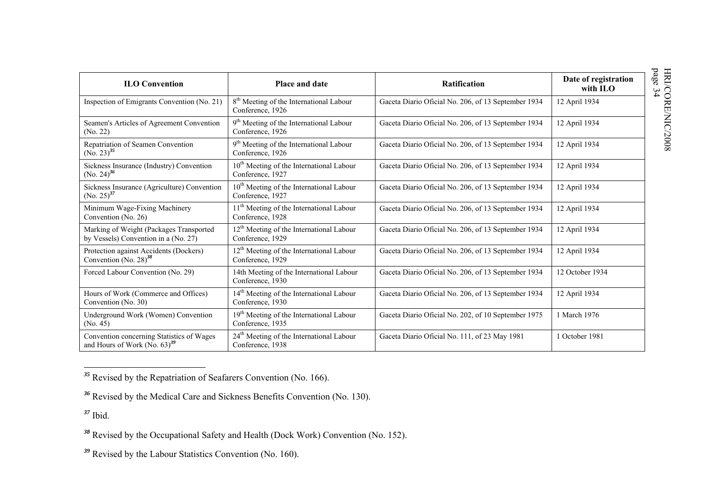| <b>ILO Convention</b>                                                                                                                                      | Place and date                                                           | Ratification                                        | Date of registration<br>with ILO |  |
|------------------------------------------------------------------------------------------------------------------------------------------------------------|--------------------------------------------------------------------------|-----------------------------------------------------|----------------------------------|--|
| Inspection of Emigrants Convention (No. 21)                                                                                                                | 8 <sup>th</sup> Meeting of the International Labour<br>Conference, 1926  | Gaceta Diario Oficial No. 206, of 13 September 1934 | 12 April 1934                    |  |
| Seamen's Articles of Agreement Convention<br>(No. 22)                                                                                                      | 9 <sup>th</sup> Meeting of the International Labour<br>Conference, 1926  | Gaceta Diario Oficial No. 206, of 13 September 1934 | 12 April 1934                    |  |
| Repatriation of Seamen Convention<br>$(No. 23)^{35}$                                                                                                       | 9 <sup>th</sup> Meeting of the International Labour<br>Conference, 1926  | Gaceta Diario Oficial No. 206, of 13 September 1934 | 12 April 1934                    |  |
| Sickness Insurance (Industry) Convention<br>(No. 24) <sup>36</sup>                                                                                         | 10 <sup>th</sup> Meeting of the International Labour<br>Conference, 1927 | Gaceta Diario Oficial No. 206, of 13 September 1934 | 12 April 1934                    |  |
| Sickness Insurance (Agriculture) Convention<br>(No. $25)^{37}$                                                                                             | 10 <sup>th</sup> Meeting of the International Labour<br>Conference, 1927 | Gaceta Diario Oficial No. 206, of 13 September 1934 | 12 April 1934                    |  |
| Minimum Wage-Fixing Machinery<br>Convention (No. 26)                                                                                                       | 11 <sup>th</sup> Meeting of the International Labour<br>Conference, 1928 | Gaceta Diario Oficial No. 206, of 13 September 1934 | 12 April 1934                    |  |
| Marking of Weight (Packages Transported<br>by Vessels) Convention in a (No. 27)                                                                            | 12 <sup>th</sup> Meeting of the International Labour<br>Conference, 1929 | Gaceta Diario Oficial No. 206, of 13 September 1934 | 12 April 1934                    |  |
| Protection against Accidents (Dockers)<br>Convention (No. 28) $^{38}$                                                                                      | $12th$ Meeting of the International Labour<br>Conference, 1929           | Gaceta Diario Oficial No. 206, of 13 September 1934 | 12 April 1934                    |  |
| Forced Labour Convention (No. 29)                                                                                                                          | 14th Meeting of the International Labour<br>Conference, 1930             | Gaceta Diario Oficial No. 206, of 13 September 1934 | 12 October 1934                  |  |
| Hours of Work (Commerce and Offices)<br>Convention (No. 30)                                                                                                | 14 <sup>th</sup> Meeting of the International Labour<br>Conference, 1930 | Gaceta Diario Oficial No. 206, of 13 September 1934 | 12 April 1934                    |  |
| Underground Work (Women) Convention<br>(No. 45)                                                                                                            | 19 <sup>th</sup> Meeting of the International Labour<br>Conference, 1935 | Gaceta Diario Oficial No. 202, of 10 September 1975 | 1 March 1976                     |  |
| 24 <sup>th</sup> Meeting of the International Labour<br>Convention concerning Statistics of Wages<br>and Hours of Work (No. $63)^{39}$<br>Conference, 1938 |                                                                          | Gaceta Diario Oficial No. 111, of 23 May 1981       | 1 October 1981                   |  |

<sup>&</sup>lt;sup>35</sup> Revised by the Repatriation of Seafarers Convention (No. 166).

*<sup>36</sup>* Revised by the Medical Care and Sickness Benefits Convention (No. 130).

*<sup>37</sup>* Ibid.

*<sup>38</sup>* Revised by the Occupational Safety and Health (Dock Work) Convention (No. 152).

*<sup>39</sup>* Revised by the Labour Statistics Convention (No. 160).

HRI/CORE/NIC/2008<br>page 34 HRI/CORE/NIC/2008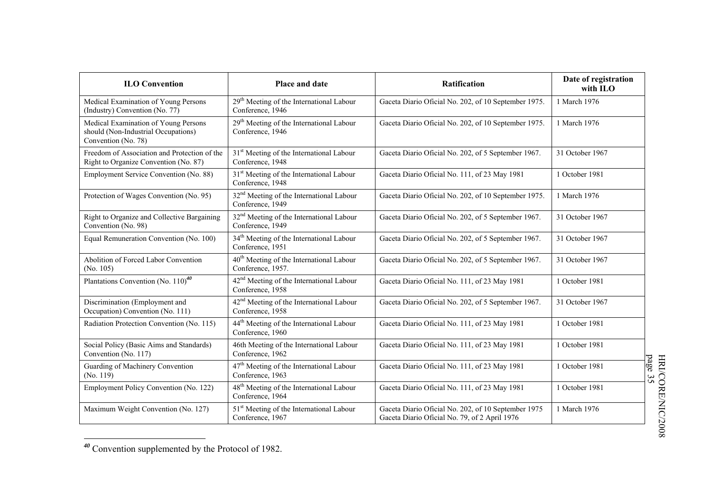| <b>ILO Convention</b>                                                                              | Place and date                                                            | Ratification                                                                                         | Date of registration<br>with ILO |
|----------------------------------------------------------------------------------------------------|---------------------------------------------------------------------------|------------------------------------------------------------------------------------------------------|----------------------------------|
| Medical Examination of Young Persons<br>(Industry) Convention (No. 77)                             | 29 <sup>th</sup> Meeting of the International Labour<br>Conference, 1946  | Gaceta Diario Oficial No. 202, of 10 September 1975.                                                 | 1 March 1976                     |
| Medical Examination of Young Persons<br>should (Non-Industrial Occupations)<br>Convention (No. 78) | $29th$ Meeting of the International Labour<br>Conference, 1946            | Gaceta Diario Oficial No. 202, of 10 September 1975.                                                 | 1 March 1976                     |
| Freedom of Association and Protection of the<br>Right to Organize Convention (No. 87)              | 31 <sup>st</sup> Meeting of the International Labour<br>Conference, 1948  | Gaceta Diario Oficial No. 202, of 5 September 1967.                                                  | 31 October 1967                  |
| Employment Service Convention (No. 88)                                                             | 31 <sup>st</sup> Meeting of the International Labour<br>Conference, 1948  | Gaceta Diario Oficial No. 111, of 23 May 1981                                                        | 1 October 1981                   |
| Protection of Wages Convention (No. 95)                                                            | 32 <sup>nd</sup> Meeting of the International Labour<br>Conference, 1949  | Gaceta Diario Oficial No. 202, of 10 September 1975.                                                 | 1 March 1976                     |
| Right to Organize and Collective Bargaining<br>Convention (No. 98)                                 | 32 <sup>nd</sup> Meeting of the International Labour<br>Conference, 1949  | Gaceta Diario Oficial No. 202, of 5 September 1967.                                                  | 31 October 1967                  |
| Equal Remuneration Convention (No. 100)                                                            | 34 <sup>th</sup> Meeting of the International Labour<br>Conference, 1951  | Gaceta Diario Oficial No. 202, of 5 September 1967.                                                  | 31 October 1967                  |
| Abolition of Forced Labor Convention<br>(No. 105)                                                  | 40 <sup>th</sup> Meeting of the International Labour<br>Conference, 1957. | Gaceta Diario Oficial No. 202, of 5 September 1967.                                                  | 31 October 1967                  |
| Plantations Convention (No. $11040$                                                                | 42 <sup>nd</sup> Meeting of the International Labour<br>Conference, 1958  | Gaceta Diario Oficial No. 111, of 23 May 1981                                                        | 1 October 1981                   |
| Discrimination (Employment and<br>Occupation) Convention (No. 111)                                 | 42 <sup>nd</sup> Meeting of the International Labour<br>Conference, 1958  | Gaceta Diario Oficial No. 202, of 5 September 1967.                                                  | 31 October 1967                  |
| Radiation Protection Convention (No. 115)                                                          | 44 <sup>th</sup> Meeting of the International Labour<br>Conference, 1960  | Gaceta Diario Oficial No. 111, of 23 May 1981                                                        | 1 October 1981                   |
| Social Policy (Basic Aims and Standards)<br>Convention (No. 117)                                   | 46th Meeting of the International Labour<br>Conference, 1962              | Gaceta Diario Oficial No. 111, of 23 May 1981                                                        | 1 October 1981                   |
| Guarding of Machinery Convention<br>(No. 119)                                                      | $47th$ Meeting of the International Labour<br>Conference, 1963            | Gaceta Diario Oficial No. 111, of 23 May 1981                                                        | 1 October 1981                   |
| Employment Policy Convention (No. 122)                                                             | 48 <sup>th</sup> Meeting of the International Labour<br>Conference, 1964  | Gaceta Diario Oficial No. 111, of 23 May 1981                                                        | 1 October 1981                   |
| Maximum Weight Convention (No. 127)                                                                | 51 <sup>st</sup> Meeting of the International Labour<br>Conference, 1967  | Gaceta Diario Oficial No. 202, of 10 September 1975<br>Gaceta Diario Oficial No. 79, of 2 April 1976 | 1 March 1976                     |

*<sup>40</sup>* Convention supplemented by the Protocol of 1982.

p age 35 HRI/CORE/NIC/2008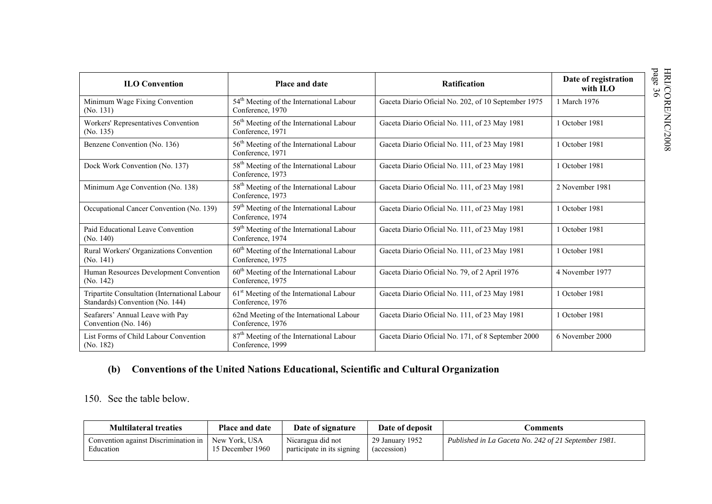| <b>ILO Convention</b><br><b>Place and date</b>                                   |                                                                          | <b>Ratification</b>                                 | Date of registration<br>with ILO |
|----------------------------------------------------------------------------------|--------------------------------------------------------------------------|-----------------------------------------------------|----------------------------------|
| Minimum Wage Fixing Convention<br>(No. 131)                                      | 54 <sup>th</sup> Meeting of the International Labour<br>Conference, 1970 | Gaceta Diario Oficial No. 202, of 10 September 1975 | 1 March 1976                     |
| Workers' Representatives Convention<br>(No. 135)                                 | 56 <sup>th</sup> Meeting of the International Labour<br>Conference, 1971 | Gaceta Diario Oficial No. 111, of 23 May 1981       | 1 October 1981                   |
| Benzene Convention (No. 136)                                                     | 56 <sup>th</sup> Meeting of the International Labour<br>Conference, 1971 | Gaceta Diario Oficial No. 111, of 23 May 1981       | 1 October 1981                   |
| Dock Work Convention (No. 137)                                                   | 58 <sup>th</sup> Meeting of the International Labour<br>Conference, 1973 | Gaceta Diario Oficial No. 111, of 23 May 1981       | 1 October 1981                   |
| Minimum Age Convention (No. 138)                                                 | 58 <sup>th</sup> Meeting of the International Labour<br>Conference, 1973 | Gaceta Diario Oficial No. 111, of 23 May 1981       | 2 November 1981                  |
| Occupational Cancer Convention (No. 139)                                         | 59 <sup>th</sup> Meeting of the International Labour<br>Conference, 1974 | Gaceta Diario Oficial No. 111, of 23 May 1981       | 1 October 1981                   |
| Paid Educational Leave Convention<br>(No. 140)                                   | 59 <sup>th</sup> Meeting of the International Labour<br>Conference, 1974 | Gaceta Diario Oficial No. 111, of 23 May 1981       | 1 October 1981                   |
| Rural Workers' Organizations Convention<br>(No. 141)                             | 60 <sup>th</sup> Meeting of the International Labour<br>Conference, 1975 | Gaceta Diario Oficial No. 111, of 23 May 1981       | 1 October 1981                   |
| Human Resources Development Convention<br>(No. 142)                              | 60 <sup>th</sup> Meeting of the International Labour<br>Conference, 1975 | Gaceta Diario Oficial No. 79, of 2 April 1976       | 4 November 1977                  |
| Tripartite Consultation (International Labour<br>Standards) Convention (No. 144) | 61 <sup>st</sup> Meeting of the International Labour<br>Conference, 1976 | Gaceta Diario Oficial No. 111, of 23 May 1981       | 1 October 1981                   |
| Seafarers' Annual Leave with Pay<br>Convention (No. 146)                         | 62nd Meeting of the International Labour<br>Conference, 1976             | Gaceta Diario Oficial No. 111, of 23 May 1981       | 1 October 1981                   |
| List Forms of Child Labour Convention<br>(No. 182)                               | 87 <sup>th</sup> Meeting of the International Labour<br>Conference, 1999 | Gaceta Diario Oficial No. 171, of 8 September 2000  | 6 November 2000                  |

# **(b) Conventions of the United Nations Educational, Scientific and Cultural Organization**

#### 150. See the table below.

| <b>Multilateral treaties</b>         | <b>Place and date</b> | Date of signature          | Date of deposit | :\omments                                            |
|--------------------------------------|-----------------------|----------------------------|-----------------|------------------------------------------------------|
| Convention against Discrimination in | New York, USA         | Nicaragua did not          | 29 January 1952 | Published in La Gaceta No. 242 of 21 September 1981. |
| Education                            | 15 December 1960      | participate in its signing | $(\arccos 10n)$ |                                                      |

HRI/CORE/NIC/2008<br>page 36 HRI/CORE/NIC/2008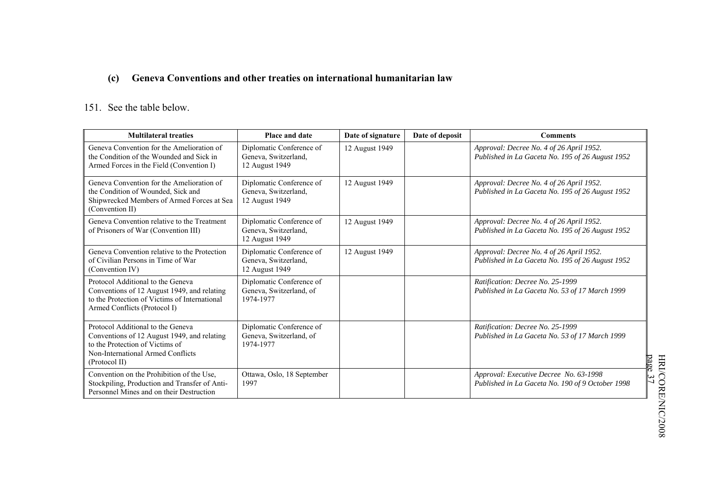# **(c) Geneva Conventions and other treaties on international humanitarian law**

#### 151. See the table below.

| <b>Multilateral treaties</b>                                                                                                                                              | Place and date                                                     | Date of signature | Date of deposit | <b>Comments</b>                                                                              |
|---------------------------------------------------------------------------------------------------------------------------------------------------------------------------|--------------------------------------------------------------------|-------------------|-----------------|----------------------------------------------------------------------------------------------|
| Geneva Convention for the Amelioration of<br>the Condition of the Wounded and Sick in<br>Armed Forces in the Field (Convention I)                                         | Diplomatic Conference of<br>Geneva, Switzerland,<br>12 August 1949 | 12 August 1949    |                 | Approval: Decree No. 4 of 26 April 1952.<br>Published in La Gaceta No. 195 of 26 August 1952 |
| Geneva Convention for the Amelioration of<br>the Condition of Wounded, Sick and<br>Shipwrecked Members of Armed Forces at Sea<br>(Convention II)                          | Diplomatic Conference of<br>Geneva, Switzerland,<br>12 August 1949 | 12 August 1949    |                 | Approval: Decree No. 4 of 26 April 1952.<br>Published in La Gaceta No. 195 of 26 August 1952 |
| Geneva Convention relative to the Treatment<br>of Prisoners of War (Convention III)                                                                                       | Diplomatic Conference of<br>Geneva, Switzerland,<br>12 August 1949 | 12 August 1949    |                 | Approval: Decree No. 4 of 26 April 1952.<br>Published in La Gaceta No. 195 of 26 August 1952 |
| Geneva Convention relative to the Protection<br>of Civilian Persons in Time of War<br>(Convention IV)                                                                     | Diplomatic Conference of<br>Geneva, Switzerland,<br>12 August 1949 | 12 August 1949    |                 | Approval: Decree No. 4 of 26 April 1952.<br>Published in La Gaceta No. 195 of 26 August 1952 |
| Protocol Additional to the Geneva<br>Conventions of 12 August 1949, and relating<br>to the Protection of Victims of International<br>Armed Conflicts (Protocol I)         | Diplomatic Conference of<br>Geneva, Switzerland, of<br>1974-1977   |                   |                 | Ratification: Decree No. 25-1999<br>Published in La Gaceta No. 53 of 17 March 1999           |
| Protocol Additional to the Geneva<br>Conventions of 12 August 1949, and relating<br>to the Protection of Victims of<br>Non-International Armed Conflicts<br>(Protocol II) | Diplomatic Conference of<br>Geneva, Switzerland, of<br>1974-1977   |                   |                 | Ratification: Decree No. 25-1999<br>Published in La Gaceta No. 53 of 17 March 1999           |
| Convention on the Prohibition of the Use,<br>Stockpiling, Production and Transfer of Anti-<br>Personnel Mines and on their Destruction                                    | Ottawa, Oslo, 18 September<br>1997                                 |                   |                 | Approval: Executive Decree No. 63-1998<br>Published in La Gaceta No. 190 of 9 October 1998   |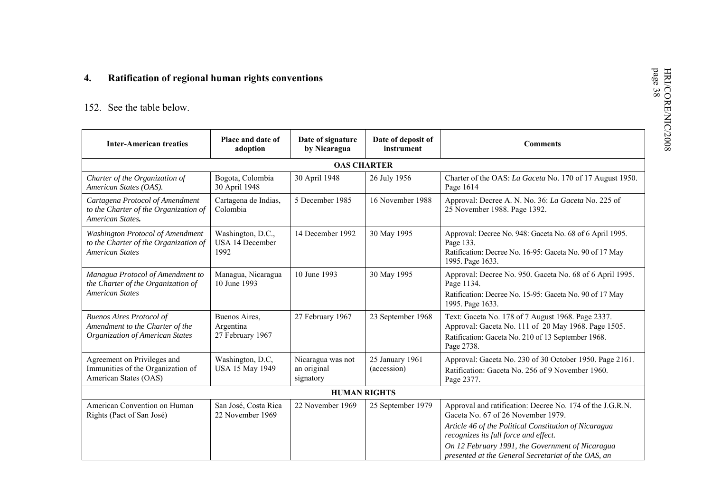# age 38 **4. Ratification of regional human rights conventions**

#### 152. See the table below.

|                                                                                                              | Place and date of                              | Date of signature                             | Date of deposit of             |                                                                                                                                                                                                                                                                                                              |  |
|--------------------------------------------------------------------------------------------------------------|------------------------------------------------|-----------------------------------------------|--------------------------------|--------------------------------------------------------------------------------------------------------------------------------------------------------------------------------------------------------------------------------------------------------------------------------------------------------------|--|
| <b>Inter-American treaties</b>                                                                               | adoption                                       | by Nicaragua                                  | instrument                     | <b>Comments</b>                                                                                                                                                                                                                                                                                              |  |
| <b>OAS CHARTER</b>                                                                                           |                                                |                                               |                                |                                                                                                                                                                                                                                                                                                              |  |
| Charter of the Organization of<br>American States (OAS).                                                     | Bogota, Colombia<br>30 April 1948              | 30 April 1948                                 | 26 July 1956                   | Charter of the OAS: La Gaceta No. 170 of 17 August 1950.<br>Page 1614                                                                                                                                                                                                                                        |  |
| Cartagena Protocol of Amendment<br>to the Charter of the Organization of<br>American States.                 | Cartagena de Indias,<br>Colombia               | 5 December 1985                               | 16 November 1988               | Approval: Decree A. N. No. 36: La Gaceta No. 225 of<br>25 November 1988. Page 1392.                                                                                                                                                                                                                          |  |
| Washington Protocol of Amendment<br>to the Charter of the Organization of<br><b>American States</b>          | Washington, D.C.,<br>USA 14 December<br>1992   | 14 December 1992                              | 30 May 1995                    | Approval: Decree No. 948: Gaceta No. 68 of 6 April 1995.<br>Page 133.<br>Ratification: Decree No. 16-95: Gaceta No. 90 of 17 May<br>1995. Page 1633.                                                                                                                                                         |  |
| Managua Protocol of Amendment to<br>the Charter of the Organization of<br><b>American States</b>             | Managua, Nicaragua<br>10 June 1993             | 10 June 1993                                  | 30 May 1995                    | Approval: Decree No. 950. Gaceta No. 68 of 6 April 1995.<br>Page 1134.<br>Ratification: Decree No. 15-95: Gaceta No. 90 of 17 May<br>1995. Page 1633.                                                                                                                                                        |  |
| <b>Buenos Aires Protocol of</b><br>Amendment to the Charter of the<br><b>Organization of American States</b> | Buenos Aires,<br>Argentina<br>27 February 1967 | 27 February 1967                              | 23 September 1968              | Text: Gaceta No. 178 of 7 August 1968. Page 2337.<br>Approval: Gaceta No. 111 of 20 May 1968. Page 1505.<br>Ratification: Gaceta No. 210 of 13 September 1968.<br>Page 2738.                                                                                                                                 |  |
| Agreement on Privileges and<br>Immunities of the Organization of<br>American States (OAS)                    | Washington, D.C,<br>USA 15 May 1949            | Nicaragua was not<br>an original<br>signatory | 25 January 1961<br>(accession) | Approval: Gaceta No. 230 of 30 October 1950. Page 2161.<br>Ratification: Gaceta No. 256 of 9 November 1960.<br>Page 2377.                                                                                                                                                                                    |  |
| <b>HUMAN RIGHTS</b>                                                                                          |                                                |                                               |                                |                                                                                                                                                                                                                                                                                                              |  |
| American Convention on Human<br>Rights (Pact of San José)                                                    | San José, Costa Rica<br>22 November 1969       | 22 November 1969                              | 25 September 1979              | Approval and ratification: Decree No. 174 of the J.G.R.N.<br>Gaceta No. 67 of 26 November 1979.<br>Article 46 of the Political Constitution of Nicaragua<br>recognizes its full force and effect.<br>On 12 February 1991, the Government of Nicaragua<br>presented at the General Secretariat of the OAS, an |  |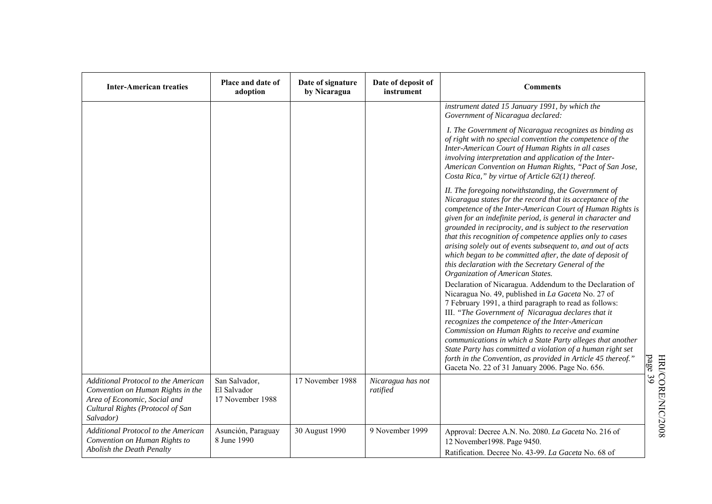| <b>Inter-American treaties</b>                                                                                                                            | Place and date of<br>adoption                    | Date of signature<br>by Nicaragua | Date of deposit of<br>instrument | <b>Comments</b>                                                                                                                                                                                                                                                                                                                                                                                                                                                                                                                                                                                                                                                                                                                                                                                                                                                                                                                                                                                                                                                                                                                                                                                  |
|-----------------------------------------------------------------------------------------------------------------------------------------------------------|--------------------------------------------------|-----------------------------------|----------------------------------|--------------------------------------------------------------------------------------------------------------------------------------------------------------------------------------------------------------------------------------------------------------------------------------------------------------------------------------------------------------------------------------------------------------------------------------------------------------------------------------------------------------------------------------------------------------------------------------------------------------------------------------------------------------------------------------------------------------------------------------------------------------------------------------------------------------------------------------------------------------------------------------------------------------------------------------------------------------------------------------------------------------------------------------------------------------------------------------------------------------------------------------------------------------------------------------------------|
|                                                                                                                                                           |                                                  |                                   |                                  | instrument dated 15 January 1991, by which the<br>Government of Nicaragua declared:                                                                                                                                                                                                                                                                                                                                                                                                                                                                                                                                                                                                                                                                                                                                                                                                                                                                                                                                                                                                                                                                                                              |
|                                                                                                                                                           |                                                  |                                   |                                  | I. The Government of Nicaragua recognizes as binding as<br>of right with no special convention the competence of the<br>Inter-American Court of Human Rights in all cases<br>involving interpretation and application of the Inter-<br>American Convention on Human Rights, "Pact of San Jose,<br>Costa Rica," by virtue of Article $62(1)$ thereof.                                                                                                                                                                                                                                                                                                                                                                                                                                                                                                                                                                                                                                                                                                                                                                                                                                             |
|                                                                                                                                                           |                                                  |                                   |                                  | II. The foregoing notwithstanding, the Government of<br>Nicaragua states for the record that its acceptance of the<br>competence of the Inter-American Court of Human Rights is<br>given for an indefinite period, is general in character and<br>grounded in reciprocity, and is subject to the reservation<br>that this recognition of competence applies only to cases<br>arising solely out of events subsequent to, and out of acts<br>which began to be committed after, the date of deposit of<br>this declaration with the Secretary General of the<br>Organization of American States.<br>Declaration of Nicaragua. Addendum to the Declaration of<br>Nicaragua No. 49, published in La Gaceta No. 27 of<br>7 February 1991, a third paragraph to read as follows:<br>III. "The Government of Nicaragua declares that it<br>recognizes the competence of the Inter-American<br>Commission on Human Rights to receive and examine<br>communications in which a State Party alleges that another<br>State Party has committed a violation of a human right set<br>page<br>forth in the Convention, as provided in Article 45 thereof."<br>Gaceta No. 22 of 31 January 2006. Page No. 656. |
| Additional Protocol to the American<br>Convention on Human Rights in the<br>Area of Economic, Social and<br>Cultural Rights (Protocol of San<br>Salvador) | San Salvador,<br>El Salvador<br>17 November 1988 | 17 November 1988                  | Nicaragua has not<br>ratified    |                                                                                                                                                                                                                                                                                                                                                                                                                                                                                                                                                                                                                                                                                                                                                                                                                                                                                                                                                                                                                                                                                                                                                                                                  |
| Additional Protocol to the American<br>Convention on Human Rights to<br>Abolish the Death Penalty                                                         | Asunción, Paraguay<br>8 June 1990                | 30 August 1990                    | 9 November 1999                  | Approval: Decree A.N. No. 2080. La Gaceta No. 216 of<br>12 November 1998. Page 9450.<br>Ratification. Decree No. 43-99. La Gaceta No. 68 of                                                                                                                                                                                                                                                                                                                                                                                                                                                                                                                                                                                                                                                                                                                                                                                                                                                                                                                                                                                                                                                      |

HRI/CORE/NIC/2008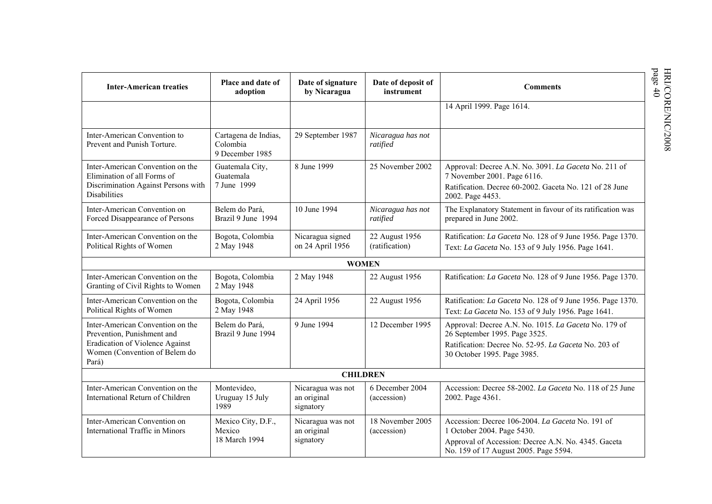| <b>Inter-American treaties</b>                                                                                                                     | Place and date of<br>adoption                       | Date of signature<br>by Nicaragua             | Date of deposit of<br>instrument | <b>Comments</b>                                                                                                                                                                |  |
|----------------------------------------------------------------------------------------------------------------------------------------------------|-----------------------------------------------------|-----------------------------------------------|----------------------------------|--------------------------------------------------------------------------------------------------------------------------------------------------------------------------------|--|
|                                                                                                                                                    |                                                     |                                               |                                  | 14 April 1999. Page 1614.                                                                                                                                                      |  |
| Inter-American Convention to<br>Prevent and Punish Torture.                                                                                        | Cartagena de Indias,<br>Colombia<br>9 December 1985 | 29 September 1987                             | Nicaragua has not<br>ratified    |                                                                                                                                                                                |  |
| Inter-American Convention on the<br>Elimination of all Forms of<br>Discrimination Against Persons with<br><b>Disabilities</b>                      | Guatemala City,<br>Guatemala<br>7 June 1999         | 8 June 1999                                   | 25 November 2002                 | Approval: Decree A.N. No. 3091. La Gaceta No. 211 of<br>7 November 2001. Page 6116.<br>Ratification. Decree 60-2002. Gaceta No. 121 of 28 June<br>2002. Page 4453.             |  |
| Inter-American Convention on<br>Forced Disappearance of Persons                                                                                    | Belem do Pará,<br>Brazil 9 June 1994                | 10 June 1994                                  | Nicaragua has not<br>ratified    | The Explanatory Statement in favour of its ratification was<br>prepared in June 2002.                                                                                          |  |
| Inter-American Convention on the<br>Political Rights of Women                                                                                      | Bogota, Colombia<br>2 May 1948                      | Nicaragua signed<br>on 24 April 1956          | 22 August 1956<br>(ratification) | Ratification: La Gaceta No. 128 of 9 June 1956. Page 1370.<br>Text: La Gaceta No. 153 of 9 July 1956. Page 1641.                                                               |  |
| <b>WOMEN</b>                                                                                                                                       |                                                     |                                               |                                  |                                                                                                                                                                                |  |
| Inter-American Convention on the<br>Granting of Civil Rights to Women                                                                              | Bogota, Colombia<br>2 May 1948                      | 2 May 1948                                    | 22 August 1956                   | Ratification: La Gaceta No. 128 of 9 June 1956. Page 1370.                                                                                                                     |  |
| Inter-American Convention on the<br>Political Rights of Women                                                                                      | Bogota, Colombia<br>2 May 1948                      | 24 April 1956                                 | 22 August 1956                   | Ratification: La Gaceta No. 128 of 9 June 1956. Page 1370.<br>Text: La Gaceta No. 153 of 9 July 1956. Page 1641.                                                               |  |
| Inter-American Convention on the<br>Prevention, Punishment and<br><b>Eradication of Violence Against</b><br>Women (Convention of Belem do<br>Pará) | Belem do Pará,<br>Brazil 9 June 1994                | 9 June 1994                                   | 12 December 1995                 | Approval: Decree A.N. No. 1015. La Gaceta No. 179 of<br>26 September 1995. Page 3525.<br>Ratification: Decree No. 52-95. La Gaceta No. 203 of<br>30 October 1995. Page 3985.   |  |
| <b>CHILDREN</b>                                                                                                                                    |                                                     |                                               |                                  |                                                                                                                                                                                |  |
| Inter-American Convention on the<br>International Return of Children                                                                               | Montevideo,<br>Uruguay 15 July<br>1989              | Nicaragua was not<br>an original<br>signatory | 6 December 2004<br>(accession)   | Accession: Decree 58-2002. La Gaceta No. 118 of 25 June<br>2002. Page 4361.                                                                                                    |  |
| Inter-American Convention on<br>International Traffic in Minors                                                                                    | Mexico City, D.F.,<br>Mexico<br>18 March 1994       | Nicaragua was not<br>an original<br>signatory | 18 November 2005<br>(accession)  | Accession: Decree 106-2004. La Gaceta No. 191 of<br>1 October 2004. Page 5430.<br>Approval of Accession: Decree A.N. No. 4345. Gaceta<br>No. 159 of 17 August 2005. Page 5594. |  |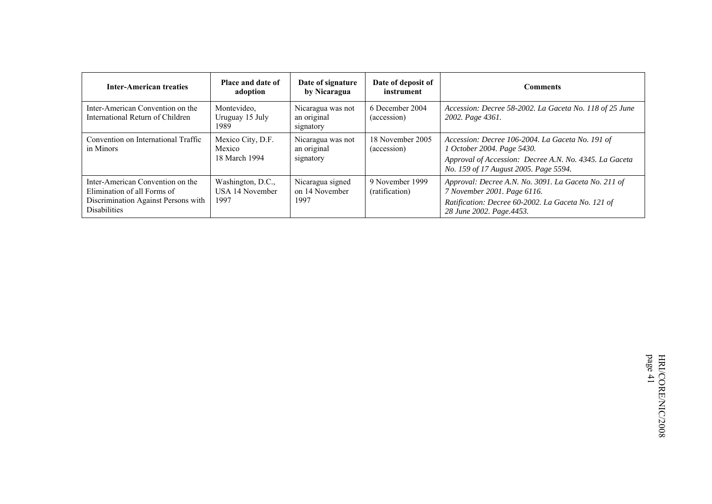| <b>Inter-American treaties</b>                                                                                                | Place and date of<br>adoption                | Date of signature<br>by Nicaragua             | Date of deposit of<br>instrument  | Comments                                                                                                                                                                          |
|-------------------------------------------------------------------------------------------------------------------------------|----------------------------------------------|-----------------------------------------------|-----------------------------------|-----------------------------------------------------------------------------------------------------------------------------------------------------------------------------------|
| Inter-American Convention on the<br>International Return of Children                                                          | Montevideo,<br>Uruguay 15 July<br>1989       | Nicaragua was not<br>an original<br>signatory | 6 December 2004<br>(accession)    | Accession: Decree 58-2002. La Gaceta No. 118 of 25 June<br>2002. Page 4361.                                                                                                       |
| Convention on International Traffic<br>in Minors                                                                              | Mexico City, D.F.<br>Mexico<br>18 March 1994 | Nicaragua was not<br>an original<br>signatory | 18 November 2005<br>(accession)   | Accession: Decree 106-2004. La Gaceta No. 191 of<br>1 October 2004. Page 5430.<br>Approval of Accession: Decree A.N. No. 4345. La Gaceta<br>No. 159 of 17 August 2005. Page 5594. |
| Inter-American Convention on the<br>Elimination of all Forms of<br>Discrimination Against Persons with<br><b>Disabilities</b> | Washington, D.C.,<br>USA 14 November<br>1997 | Nicaragua signed<br>on 14 November<br>1997    | 9 November 1999<br>(ratification) | Approval: Decree A.N. No. 3091. La Gaceta No. 211 of<br>7 November 2001. Page 6116.<br>Ratification: Decree 60-2002. La Gaceta No. 121 of<br>28 June 2002. Page.4453.             |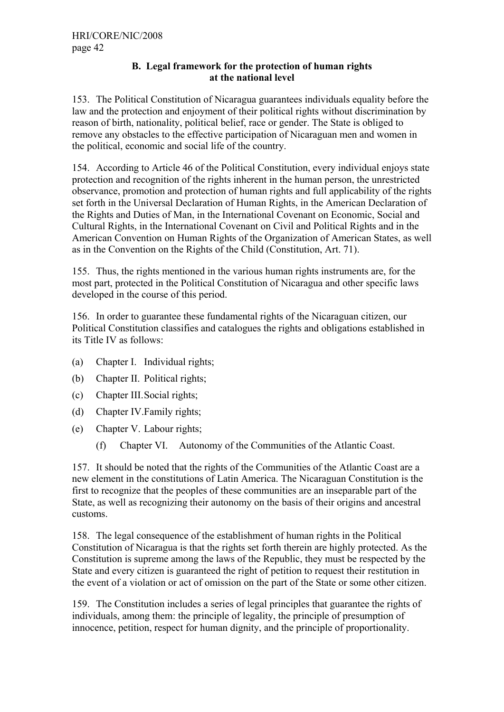#### **B. Legal framework for the protection of human rights at the national level**

153. The Political Constitution of Nicaragua guarantees individuals equality before the law and the protection and enjoyment of their political rights without discrimination by reason of birth, nationality, political belief, race or gender. The State is obliged to remove any obstacles to the effective participation of Nicaraguan men and women in the political, economic and social life of the country.

154. According to Article 46 of the Political Constitution, every individual enjoys state protection and recognition of the rights inherent in the human person, the unrestricted observance, promotion and protection of human rights and full applicability of the rights set forth in the Universal Declaration of Human Rights, in the American Declaration of the Rights and Duties of Man, in the International Covenant on Economic, Social and Cultural Rights, in the International Covenant on Civil and Political Rights and in the American Convention on Human Rights of the Organization of American States, as well as in the Convention on the Rights of the Child (Constitution, Art. 71).

155. Thus, the rights mentioned in the various human rights instruments are, for the most part, protected in the Political Constitution of Nicaragua and other specific laws developed in the course of this period.

156. In order to guarantee these fundamental rights of the Nicaraguan citizen, our Political Constitution classifies and catalogues the rights and obligations established in its Title IV as follows:

- (a) Chapter I. Individual rights;
- (b) Chapter II. Political rights;
- (c) Chapter III. Social rights;
- (d) Chapter IV. Family rights;
- (e) Chapter V. Labour rights;
	- (f) Chapter VI. Autonomy of the Communities of the Atlantic Coast.

157. It should be noted that the rights of the Communities of the Atlantic Coast are a new element in the constitutions of Latin America. The Nicaraguan Constitution is the first to recognize that the peoples of these communities are an inseparable part of the State, as well as recognizing their autonomy on the basis of their origins and ancestral customs.

158. The legal consequence of the establishment of human rights in the Political Constitution of Nicaragua is that the rights set forth therein are highly protected. As the Constitution is supreme among the laws of the Republic, they must be respected by the State and every citizen is guaranteed the right of petition to request their restitution in the event of a violation or act of omission on the part of the State or some other citizen.

159. The Constitution includes a series of legal principles that guarantee the rights of individuals, among them: the principle of legality, the principle of presumption of innocence, petition, respect for human dignity, and the principle of proportionality.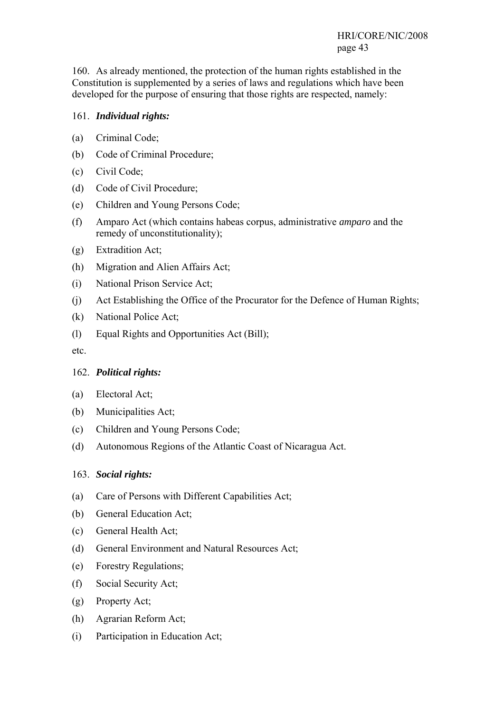160. As already mentioned, the protection of the human rights established in the Constitution is supplemented by a series of laws and regulations which have been developed for the purpose of ensuring that those rights are respected, namely:

#### 161. *Individual rights:*

- (a) Criminal Code;
- (b) Code of Criminal Procedure;
- (c) Civil Code;
- (d) Code of Civil Procedure;
- (e) Children and Young Persons Code;
- (f) Amparo Act (which contains habeas corpus, administrative *amparo* and the remedy of unconstitutionality);
- (g) Extradition Act;
- (h) Migration and Alien Affairs Act;
- (i) National Prison Service Act;
- (j) Act Establishing the Office of the Procurator for the Defence of Human Rights;
- (k) National Police Act;
- (l) Equal Rights and Opportunities Act (Bill);

etc.

#### 162. *Political rights:*

- (a) Electoral Act;
- (b) Municipalities Act;
- (c) Children and Young Persons Code;
- (d) Autonomous Regions of the Atlantic Coast of Nicaragua Act.

#### 163. *Social rights:*

- (a) Care of Persons with Different Capabilities Act;
- (b) General Education Act;
- (c) General Health Act;
- (d) General Environment and Natural Resources Act;
- (e) Forestry Regulations;
- (f) Social Security Act;
- (g) Property Act;
- (h) Agrarian Reform Act;
- (i) Participation in Education Act;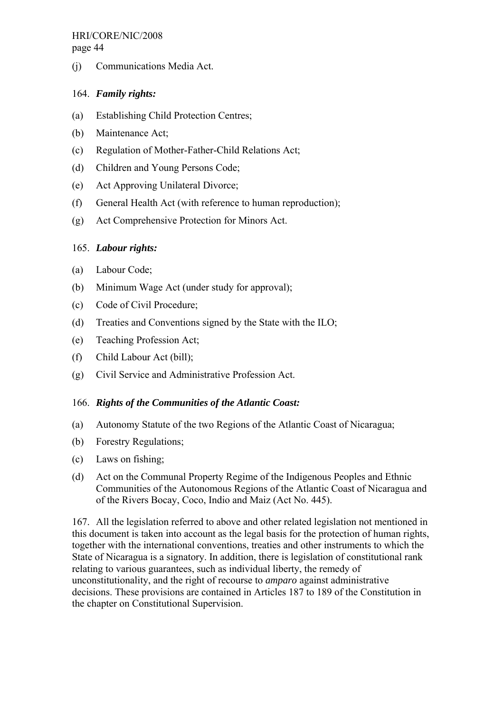# HRI/CORE/NIC/2008

page 44

(j) Communications Media Act.

# 164. *Family rights:*

- (a) Establishing Child Protection Centres;
- (b) Maintenance Act;
- (c) Regulation of Mother-Father-Child Relations Act;
- (d) Children and Young Persons Code;
- (e) Act Approving Unilateral Divorce;
- (f) General Health Act (with reference to human reproduction);
- (g) Act Comprehensive Protection for Minors Act.

#### 165. *Labour rights:*

- (a) Labour Code;
- (b) Minimum Wage Act (under study for approval);
- (c) Code of Civil Procedure;
- (d) Treaties and Conventions signed by the State with the ILO;
- (e) Teaching Profession Act;
- (f) Child Labour Act (bill);
- (g) Civil Service and Administrative Profession Act.

#### 166. *Rights of the Communities of the Atlantic Coast:*

- (a) Autonomy Statute of the two Regions of the Atlantic Coast of Nicaragua;
- (b) Forestry Regulations;
- (c) Laws on fishing;
- (d) Act on the Communal Property Regime of the Indigenous Peoples and Ethnic Communities of the Autonomous Regions of the Atlantic Coast of Nicaragua and of the Rivers Bocay, Coco, Indio and Maiz (Act No. 445).

167. All the legislation referred to above and other related legislation not mentioned in this document is taken into account as the legal basis for the protection of human rights, together with the international conventions, treaties and other instruments to which the State of Nicaragua is a signatory. In addition, there is legislation of constitutional rank relating to various guarantees, such as individual liberty, the remedy of unconstitutionality, and the right of recourse to *amparo* against administrative decisions. These provisions are contained in Articles 187 to 189 of the Constitution in the chapter on Constitutional Supervision.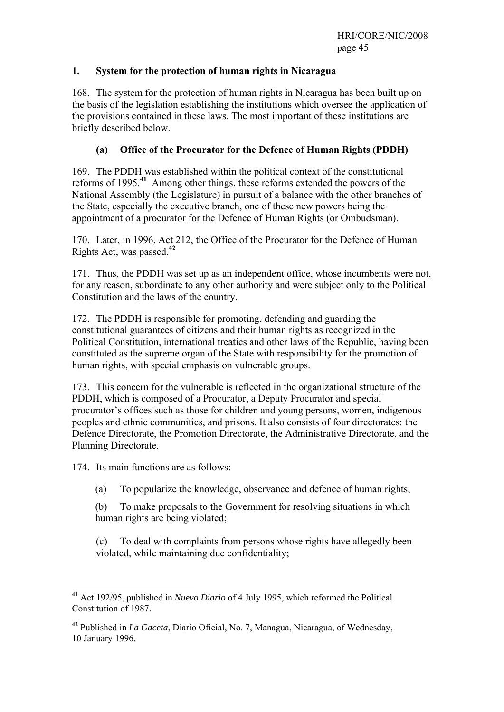#### **1. System for the protection of human rights in Nicaragua**

168. The system for the protection of human rights in Nicaragua has been built up on the basis of the legislation establishing the institutions which oversee the application of the provisions contained in these laws. The most important of these institutions are briefly described below.

#### **(a) Office of the Procurator for the Defence of Human Rights (PDDH)**

169. The PDDH was established within the political context of the constitutional reforms of 1995.**<sup>41</sup>** Among other things, these reforms extended the powers of the National Assembly (the Legislature) in pursuit of a balance with the other branches of the State, especially the executive branch, one of these new powers being the appointment of a procurator for the Defence of Human Rights (or Ombudsman).

170. Later, in 1996, Act 212, the Office of the Procurator for the Defence of Human Rights Act, was passed.**<sup>42</sup>**

171. Thus, the PDDH was set up as an independent office, whose incumbents were not, for any reason, subordinate to any other authority and were subject only to the Political Constitution and the laws of the country.

172. The PDDH is responsible for promoting, defending and guarding the constitutional guarantees of citizens and their human rights as recognized in the Political Constitution, international treaties and other laws of the Republic, having been constituted as the supreme organ of the State with responsibility for the promotion of human rights, with special emphasis on vulnerable groups.

173. This concern for the vulnerable is reflected in the organizational structure of the PDDH, which is composed of a Procurator, a Deputy Procurator and special procurator's offices such as those for children and young persons, women, indigenous peoples and ethnic communities, and prisons. It also consists of four directorates: the Defence Directorate, the Promotion Directorate, the Administrative Directorate, and the Planning Directorate.

174. Its main functions are as follows:

**.** 

(a) To popularize the knowledge, observance and defence of human rights;

(b) To make proposals to the Government for resolving situations in which human rights are being violated;

(c) To deal with complaints from persons whose rights have allegedly been violated, while maintaining due confidentiality;

**<sup>41</sup>** Act 192/95, published in *Nuevo Diario* of 4 July 1995, which reformed the Political Constitution of 1987.

**<sup>42</sup>** Published in *La Gaceta*, Diario Oficial, No. 7, Managua, Nicaragua, of Wednesday, 10 January 1996.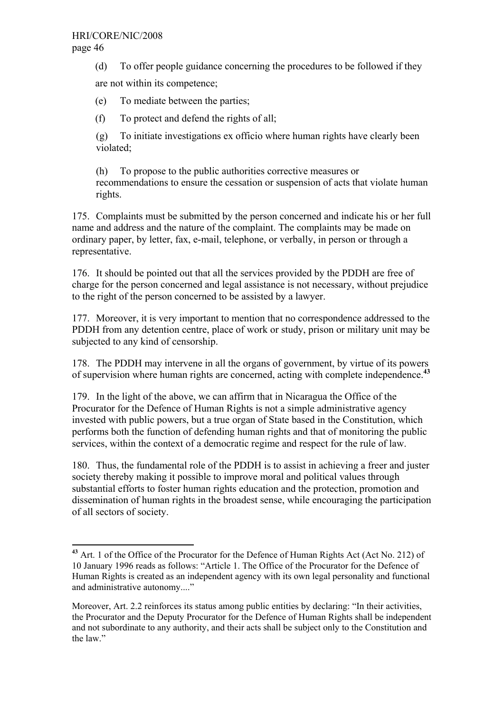**.** 

(d) To offer people guidance concerning the procedures to be followed if they

are not within its competence;

(e) To mediate between the parties;

(f) To protect and defend the rights of all;

(g) To initiate investigations ex officio where human rights have clearly been violated;

(h) To propose to the public authorities corrective measures or recommendations to ensure the cessation or suspension of acts that violate human rights.

175. Complaints must be submitted by the person concerned and indicate his or her full name and address and the nature of the complaint. The complaints may be made on ordinary paper, by letter, fax, e-mail, telephone, or verbally, in person or through a representative.

176. It should be pointed out that all the services provided by the PDDH are free of charge for the person concerned and legal assistance is not necessary, without prejudice to the right of the person concerned to be assisted by a lawyer.

177. Moreover, it is very important to mention that no correspondence addressed to the PDDH from any detention centre, place of work or study, prison or military unit may be subjected to any kind of censorship.

178. The PDDH may intervene in all the organs of government, by virtue of its powers of supervision where human rights are concerned, acting with complete independence.**<sup>43</sup>**

179. In the light of the above, we can affirm that in Nicaragua the Office of the Procurator for the Defence of Human Rights is not a simple administrative agency invested with public powers, but a true organ of State based in the Constitution, which performs both the function of defending human rights and that of monitoring the public services, within the context of a democratic regime and respect for the rule of law.

180. Thus, the fundamental role of the PDDH is to assist in achieving a freer and juster society thereby making it possible to improve moral and political values through substantial efforts to foster human rights education and the protection, promotion and dissemination of human rights in the broadest sense, while encouraging the participation of all sectors of society.

**<sup>43</sup>** Art. 1 of the Office of the Procurator for the Defence of Human Rights Act (Act No. 212) of 10 January 1996 reads as follows: "Article 1. The Office of the Procurator for the Defence of Human Rights is created as an independent agency with its own legal personality and functional and administrative autonomy...."

Moreover, Art. 2.2 reinforces its status among public entities by declaring: "In their activities, the Procurator and the Deputy Procurator for the Defence of Human Rights shall be independent and not subordinate to any authority, and their acts shall be subject only to the Constitution and the law."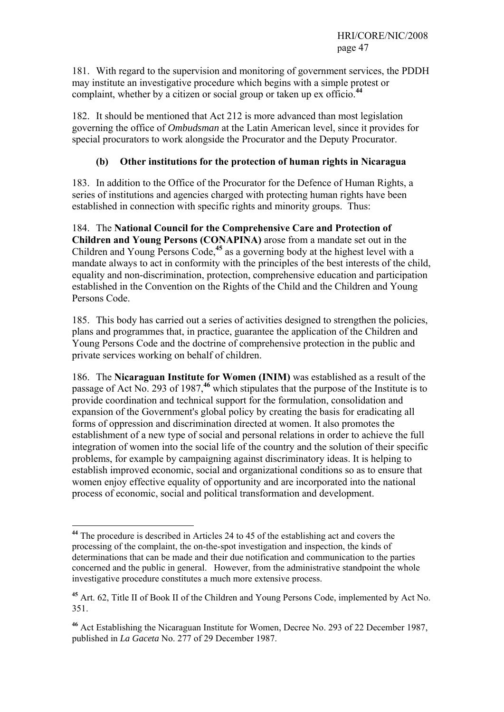181. With regard to the supervision and monitoring of government services, the PDDH may institute an investigative procedure which begins with a simple protest or complaint, whether by a citizen or social group or taken up ex officio.**<sup>44</sup>**

182. It should be mentioned that Act 212 is more advanced than most legislation governing the office of *Ombudsman* at the Latin American level, since it provides for special procurators to work alongside the Procurator and the Deputy Procurator.

# **(b) Other institutions for the protection of human rights in Nicaragua**

183. In addition to the Office of the Procurator for the Defence of Human Rights, a series of institutions and agencies charged with protecting human rights have been established in connection with specific rights and minority groups. Thus:

184. The **National Council for the Comprehensive Care and Protection of Children and Young Persons (CONAPINA)** arose from a mandate set out in the Children and Young Persons Code,**<sup>45</sup>** as a governing body at the highest level with a mandate always to act in conformity with the principles of the best interests of the child, equality and non-discrimination, protection, comprehensive education and participation established in the Convention on the Rights of the Child and the Children and Young Persons Code.

185. This body has carried out a series of activities designed to strengthen the policies, plans and programmes that, in practice, guarantee the application of the Children and Young Persons Code and the doctrine of comprehensive protection in the public and private services working on behalf of children.

186. The **Nicaraguan Institute for Women (INIM)** was established as a result of the passage of Act No. 293 of 1987,**<sup>46</sup>** which stipulates that the purpose of the Institute is to provide coordination and technical support for the formulation, consolidation and expansion of the Government's global policy by creating the basis for eradicating all forms of oppression and discrimination directed at women. It also promotes the establishment of a new type of social and personal relations in order to achieve the full integration of women into the social life of the country and the solution of their specific problems, for example by campaigning against discriminatory ideas. It is helping to establish improved economic, social and organizational conditions so as to ensure that women enjoy effective equality of opportunity and are incorporated into the national process of economic, social and political transformation and development.

**<sup>44</sup>** The procedure is described in Articles 24 to 45 of the establishing act and covers the processing of the complaint, the on-the-spot investigation and inspection, the kinds of determinations that can be made and their due notification and communication to the parties concerned and the public in general. However, from the administrative standpoint the whole investigative procedure constitutes a much more extensive process.

**<sup>45</sup>** Art. 62, Title II of Book II of the Children and Young Persons Code, implemented by Act No. 351.

**<sup>46</sup>** Act Establishing the Nicaraguan Institute for Women, Decree No. 293 of 22 December 1987, published in *La Gaceta* No. 277 of 29 December 1987.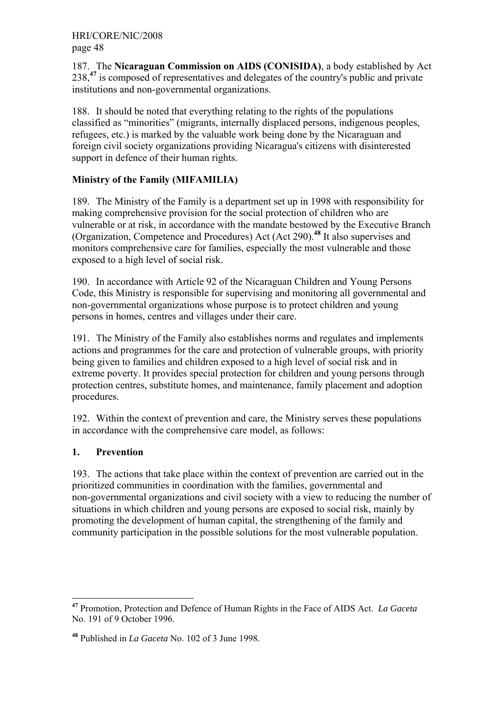187. The **Nicaraguan Commission on AIDS (CONISIDA)**, a body established by Act 238,**<sup>47</sup>** is composed of representatives and delegates of the country's public and private institutions and non-governmental organizations.

188. It should be noted that everything relating to the rights of the populations classified as "minorities" (migrants, internally displaced persons, indigenous peoples, refugees, etc.) is marked by the valuable work being done by the Nicaraguan and foreign civil society organizations providing Nicaragua's citizens with disinterested support in defence of their human rights.

# **Ministry of the Family (MIFAMILIA)**

189. The Ministry of the Family is a department set up in 1998 with responsibility for making comprehensive provision for the social protection of children who are vulnerable or at risk, in accordance with the mandate bestowed by the Executive Branch (Organization, Competence and Procedures) Act (Act 290).**<sup>48</sup>** It also supervises and monitors comprehensive care for families, especially the most vulnerable and those exposed to a high level of social risk.

190. In accordance with Article 92 of the Nicaraguan Children and Young Persons Code, this Ministry is responsible for supervising and monitoring all governmental and non-governmental organizations whose purpose is to protect children and young persons in homes, centres and villages under their care.

191. The Ministry of the Family also establishes norms and regulates and implements actions and programmes for the care and protection of vulnerable groups, with priority being given to families and children exposed to a high level of social risk and in extreme poverty. It provides special protection for children and young persons through protection centres, substitute homes, and maintenance, family placement and adoption procedures.

192. Within the context of prevention and care, the Ministry serves these populations in accordance with the comprehensive care model, as follows:

#### **1. Prevention**

**.** 

193. The actions that take place within the context of prevention are carried out in the prioritized communities in coordination with the families, governmental and non-governmental organizations and civil society with a view to reducing the number of situations in which children and young persons are exposed to social risk, mainly by promoting the development of human capital, the strengthening of the family and community participation in the possible solutions for the most vulnerable population.

**<sup>47</sup>** Promotion, Protection and Defence of Human Rights in the Face of AIDS Act. *La Gaceta* No. 191 of 9 October 1996.

**<sup>48</sup>** Published in *La Gaceta* No. 102 of 3 June 1998.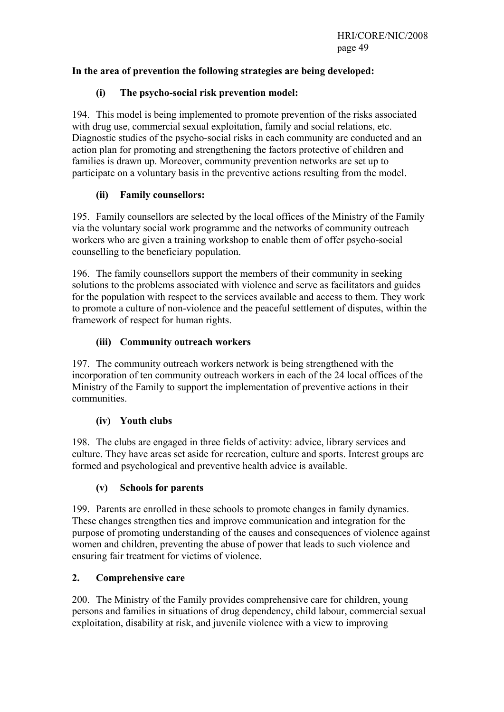### **In the area of prevention the following strategies are being developed:**

# **(i) The psycho-social risk prevention model:**

194. This model is being implemented to promote prevention of the risks associated with drug use, commercial sexual exploitation, family and social relations, etc. Diagnostic studies of the psycho-social risks in each community are conducted and an action plan for promoting and strengthening the factors protective of children and families is drawn up. Moreover, community prevention networks are set up to participate on a voluntary basis in the preventive actions resulting from the model.

## **(ii) Family counsellors:**

195. Family counsellors are selected by the local offices of the Ministry of the Family via the voluntary social work programme and the networks of community outreach workers who are given a training workshop to enable them of offer psycho-social counselling to the beneficiary population.

196. The family counsellors support the members of their community in seeking solutions to the problems associated with violence and serve as facilitators and guides for the population with respect to the services available and access to them. They work to promote a culture of non-violence and the peaceful settlement of disputes, within the framework of respect for human rights.

## **(iii) Community outreach workers**

197. The community outreach workers network is being strengthened with the incorporation of ten community outreach workers in each of the 24 local offices of the Ministry of the Family to support the implementation of preventive actions in their communities.

# **(iv) Youth clubs**

198. The clubs are engaged in three fields of activity: advice, library services and culture. They have areas set aside for recreation, culture and sports. Interest groups are formed and psychological and preventive health advice is available.

#### **(v) Schools for parents**

199. Parents are enrolled in these schools to promote changes in family dynamics. These changes strengthen ties and improve communication and integration for the purpose of promoting understanding of the causes and consequences of violence against women and children, preventing the abuse of power that leads to such violence and ensuring fair treatment for victims of violence.

# **2. Comprehensive care**

200. The Ministry of the Family provides comprehensive care for children, young persons and families in situations of drug dependency, child labour, commercial sexual exploitation, disability at risk, and juvenile violence with a view to improving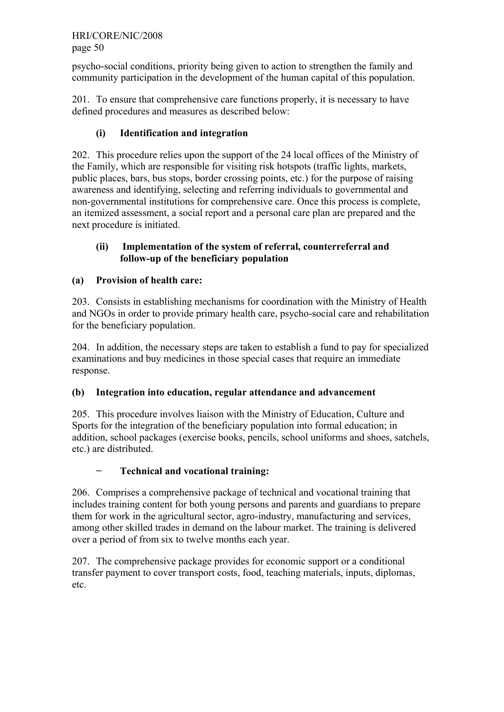psycho-social conditions, priority being given to action to strengthen the family and community participation in the development of the human capital of this population.

201. To ensure that comprehensive care functions properly, it is necessary to have defined procedures and measures as described below:

# **(i) Identification and integration**

202. This procedure relies upon the support of the 24 local offices of the Ministry of the Family, which are responsible for visiting risk hotspots (traffic lights, markets, public places, bars, bus stops, border crossing points, etc.) for the purpose of raising awareness and identifying, selecting and referring individuals to governmental and non-governmental institutions for comprehensive care. Once this process is complete, an itemized assessment, a social report and a personal care plan are prepared and the next procedure is initiated.

# **(ii) Implementation of the system of referral, counterreferral and follow-up of the beneficiary population**

# **(a) Provision of health care:**

203. Consists in establishing mechanisms for coordination with the Ministry of Health and NGOs in order to provide primary health care, psycho-social care and rehabilitation for the beneficiary population.

204. In addition, the necessary steps are taken to establish a fund to pay for specialized examinations and buy medicines in those special cases that require an immediate response.

# **(b) Integration into education, regular attendance and advancement**

205. This procedure involves liaison with the Ministry of Education, Culture and Sports for the integration of the beneficiary population into formal education; in addition, school packages (exercise books, pencils, school uniforms and shoes, satchels, etc.) are distributed.

# **− Technical and vocational training:**

206. Comprises a comprehensive package of technical and vocational training that includes training content for both young persons and parents and guardians to prepare them for work in the agricultural sector, agro-industry, manufacturing and services, among other skilled trades in demand on the labour market. The training is delivered over a period of from six to twelve months each year.

207. The comprehensive package provides for economic support or a conditional transfer payment to cover transport costs, food, teaching materials, inputs, diplomas, etc.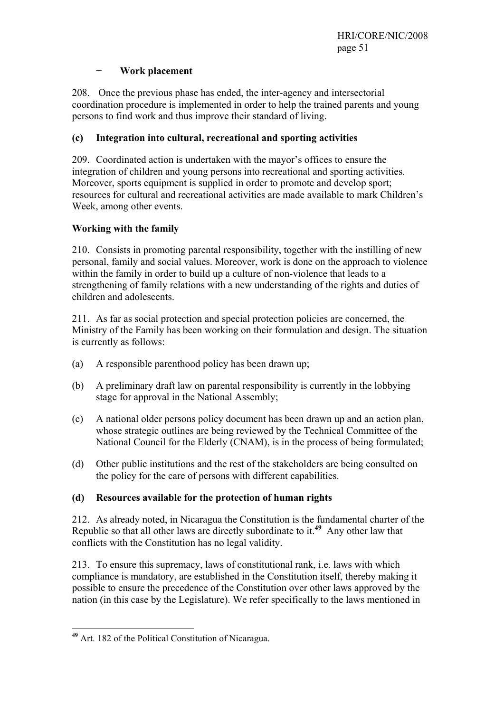## **− Work placement**

208. Once the previous phase has ended, the inter-agency and intersectorial coordination procedure is implemented in order to help the trained parents and young persons to find work and thus improve their standard of living.

# **(c) Integration into cultural, recreational and sporting activities**

209. Coordinated action is undertaken with the mayor's offices to ensure the integration of children and young persons into recreational and sporting activities. Moreover, sports equipment is supplied in order to promote and develop sport; resources for cultural and recreational activities are made available to mark Children's Week, among other events.

## **Working with the family**

210. Consists in promoting parental responsibility, together with the instilling of new personal, family and social values. Moreover, work is done on the approach to violence within the family in order to build up a culture of non-violence that leads to a strengthening of family relations with a new understanding of the rights and duties of children and adolescents.

211. As far as social protection and special protection policies are concerned, the Ministry of the Family has been working on their formulation and design. The situation is currently as follows:

- (a) A responsible parenthood policy has been drawn up;
- (b) A preliminary draft law on parental responsibility is currently in the lobbying stage for approval in the National Assembly;
- (c) A national older persons policy document has been drawn up and an action plan, whose strategic outlines are being reviewed by the Technical Committee of the National Council for the Elderly (CNAM), is in the process of being formulated;
- (d) Other public institutions and the rest of the stakeholders are being consulted on the policy for the care of persons with different capabilities.

# **(d) Resources available for the protection of human rights**

212. As already noted, in Nicaragua the Constitution is the fundamental charter of the Republic so that all other laws are directly subordinate to it.**<sup>49</sup>** Any other law that conflicts with the Constitution has no legal validity.

213. To ensure this supremacy, laws of constitutional rank, i.e. laws with which compliance is mandatory, are established in the Constitution itself, thereby making it possible to ensure the precedence of the Constitution over other laws approved by the nation (in this case by the Legislature). We refer specifically to the laws mentioned in

**<sup>.</sup> <sup>49</sup>** Art. 182 of the Political Constitution of Nicaragua.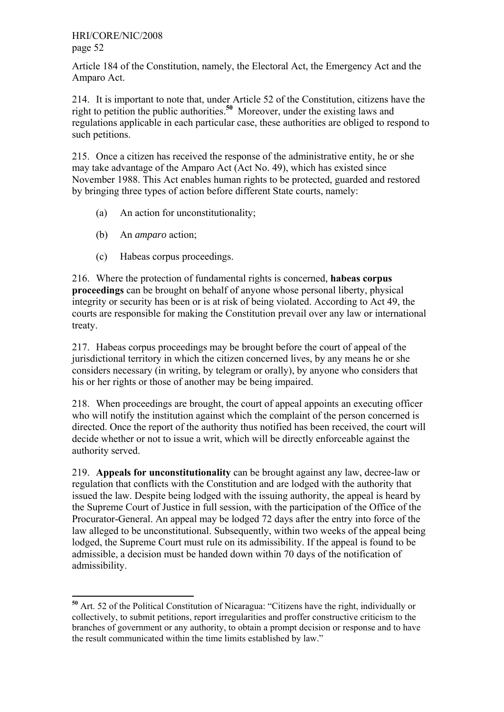Article 184 of the Constitution, namely, the Electoral Act, the Emergency Act and the Amparo Act.

214. It is important to note that, under Article 52 of the Constitution, citizens have the right to petition the public authorities.**<sup>50</sup>** Moreover, under the existing laws and regulations applicable in each particular case, these authorities are obliged to respond to such petitions.

215. Once a citizen has received the response of the administrative entity, he or she may take advantage of the Amparo Act (Act No. 49), which has existed since November 1988. This Act enables human rights to be protected, guarded and restored by bringing three types of action before different State courts, namely:

- (a) An action for unconstitutionality;
- (b) An *amparo* action;

 $\overline{a}$ 

(c) Habeas corpus proceedings.

216. Where the protection of fundamental rights is concerned, **habeas corpus proceedings** can be brought on behalf of anyone whose personal liberty, physical integrity or security has been or is at risk of being violated. According to Act 49, the courts are responsible for making the Constitution prevail over any law or international treaty.

217. Habeas corpus proceedings may be brought before the court of appeal of the jurisdictional territory in which the citizen concerned lives, by any means he or she considers necessary (in writing, by telegram or orally), by anyone who considers that his or her rights or those of another may be being impaired.

218. When proceedings are brought, the court of appeal appoints an executing officer who will notify the institution against which the complaint of the person concerned is directed. Once the report of the authority thus notified has been received, the court will decide whether or not to issue a writ, which will be directly enforceable against the authority served.

219. **Appeals for unconstitutionality** can be brought against any law, decree-law or regulation that conflicts with the Constitution and are lodged with the authority that issued the law. Despite being lodged with the issuing authority, the appeal is heard by the Supreme Court of Justice in full session, with the participation of the Office of the Procurator-General. An appeal may be lodged 72 days after the entry into force of the law alleged to be unconstitutional. Subsequently, within two weeks of the appeal being lodged, the Supreme Court must rule on its admissibility. If the appeal is found to be admissible, a decision must be handed down within 70 days of the notification of admissibility.

**<sup>50</sup>** Art. 52 of the Political Constitution of Nicaragua: "Citizens have the right, individually or collectively, to submit petitions, report irregularities and proffer constructive criticism to the branches of government or any authority, to obtain a prompt decision or response and to have the result communicated within the time limits established by law."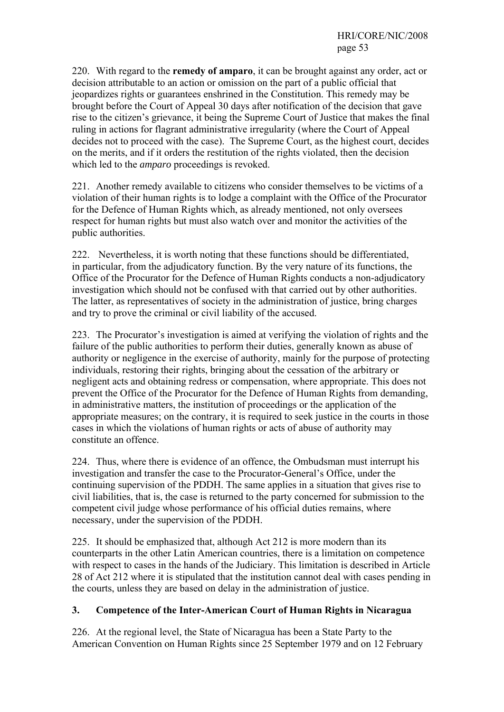220. With regard to the **remedy of amparo**, it can be brought against any order, act or decision attributable to an action or omission on the part of a public official that jeopardizes rights or guarantees enshrined in the Constitution. This remedy may be brought before the Court of Appeal 30 days after notification of the decision that gave rise to the citizen's grievance, it being the Supreme Court of Justice that makes the final ruling in actions for flagrant administrative irregularity (where the Court of Appeal decides not to proceed with the case). The Supreme Court, as the highest court, decides on the merits, and if it orders the restitution of the rights violated, then the decision which led to the *amparo* proceedings is revoked.

221. Another remedy available to citizens who consider themselves to be victims of a violation of their human rights is to lodge a complaint with the Office of the Procurator for the Defence of Human Rights which, as already mentioned, not only oversees respect for human rights but must also watch over and monitor the activities of the public authorities.

222. Nevertheless, it is worth noting that these functions should be differentiated, in particular, from the adjudicatory function. By the very nature of its functions, the Office of the Procurator for the Defence of Human Rights conducts a non-adjudicatory investigation which should not be confused with that carried out by other authorities. The latter, as representatives of society in the administration of justice, bring charges and try to prove the criminal or civil liability of the accused.

223. The Procurator's investigation is aimed at verifying the violation of rights and the failure of the public authorities to perform their duties, generally known as abuse of authority or negligence in the exercise of authority, mainly for the purpose of protecting individuals, restoring their rights, bringing about the cessation of the arbitrary or negligent acts and obtaining redress or compensation, where appropriate. This does not prevent the Office of the Procurator for the Defence of Human Rights from demanding, in administrative matters, the institution of proceedings or the application of the appropriate measures; on the contrary, it is required to seek justice in the courts in those cases in which the violations of human rights or acts of abuse of authority may constitute an offence.

224. Thus, where there is evidence of an offence, the Ombudsman must interrupt his investigation and transfer the case to the Procurator-General's Office, under the continuing supervision of the PDDH. The same applies in a situation that gives rise to civil liabilities, that is, the case is returned to the party concerned for submission to the competent civil judge whose performance of his official duties remains, where necessary, under the supervision of the PDDH.

225. It should be emphasized that, although Act 212 is more modern than its counterparts in the other Latin American countries, there is a limitation on competence with respect to cases in the hands of the Judiciary. This limitation is described in Article 28 of Act 212 where it is stipulated that the institution cannot deal with cases pending in the courts, unless they are based on delay in the administration of justice.

#### **3. Competence of the Inter-American Court of Human Rights in Nicaragua**

226. At the regional level, the State of Nicaragua has been a State Party to the American Convention on Human Rights since 25 September 1979 and on 12 February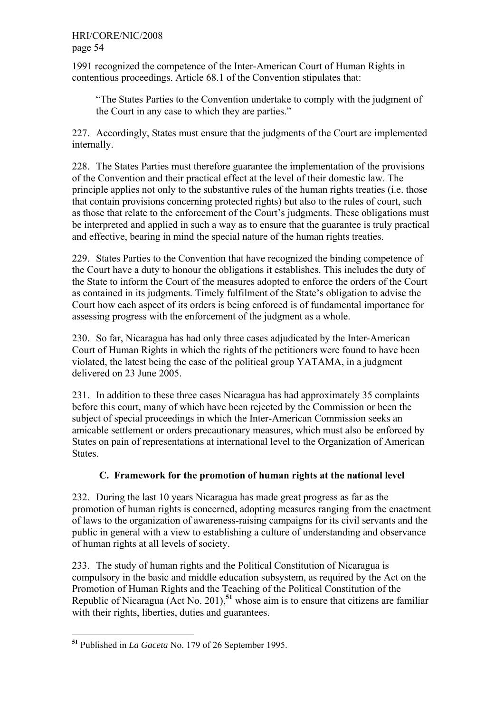1991 recognized the competence of the Inter-American Court of Human Rights in contentious proceedings. Article 68.1 of the Convention stipulates that:

 "The States Parties to the Convention undertake to comply with the judgment of the Court in any case to which they are parties."

227. Accordingly, States must ensure that the judgments of the Court are implemented internally.

228. The States Parties must therefore guarantee the implementation of the provisions of the Convention and their practical effect at the level of their domestic law. The principle applies not only to the substantive rules of the human rights treaties (i.e. those that contain provisions concerning protected rights) but also to the rules of court, such as those that relate to the enforcement of the Court's judgments. These obligations must be interpreted and applied in such a way as to ensure that the guarantee is truly practical and effective, bearing in mind the special nature of the human rights treaties.

229. States Parties to the Convention that have recognized the binding competence of the Court have a duty to honour the obligations it establishes. This includes the duty of the State to inform the Court of the measures adopted to enforce the orders of the Court as contained in its judgments. Timely fulfilment of the State's obligation to advise the Court how each aspect of its orders is being enforced is of fundamental importance for assessing progress with the enforcement of the judgment as a whole.

230. So far, Nicaragua has had only three cases adjudicated by the Inter-American Court of Human Rights in which the rights of the petitioners were found to have been violated, the latest being the case of the political group YATAMA, in a judgment delivered on 23 June 2005.

231. In addition to these three cases Nicaragua has had approximately 35 complaints before this court, many of which have been rejected by the Commission or been the subject of special proceedings in which the Inter-American Commission seeks an amicable settlement or orders precautionary measures, which must also be enforced by States on pain of representations at international level to the Organization of American States.

# **C. Framework for the promotion of human rights at the national level**

232. During the last 10 years Nicaragua has made great progress as far as the promotion of human rights is concerned, adopting measures ranging from the enactment of laws to the organization of awareness-raising campaigns for its civil servants and the public in general with a view to establishing a culture of understanding and observance of human rights at all levels of society.

233. The study of human rights and the Political Constitution of Nicaragua is compulsory in the basic and middle education subsystem, as required by the Act on the Promotion of Human Rights and the Teaching of the Political Constitution of the Republic of Nicaragua (Act No. 201),**<sup>51</sup>** whose aim is to ensure that citizens are familiar with their rights, liberties, duties and guarantees.

**<sup>.</sup> <sup>51</sup>** Published in *La Gaceta* No. 179 of 26 September 1995.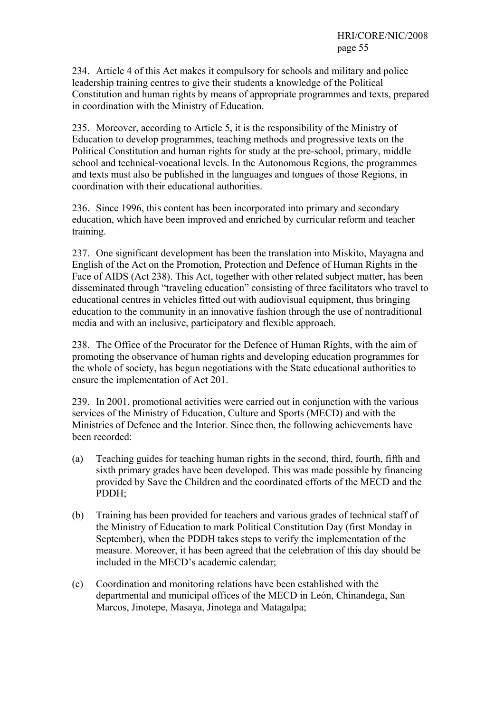234. Article 4 of this Act makes it compulsory for schools and military and police leadership training centres to give their students a knowledge of the Political Constitution and human rights by means of appropriate programmes and texts, prepared in coordination with the Ministry of Education.

235. Moreover, according to Article 5, it is the responsibility of the Ministry of Education to develop programmes, teaching methods and progressive texts on the Political Constitution and human rights for study at the pre-school, primary, middle school and technical-vocational levels. In the Autonomous Regions, the programmes and texts must also be published in the languages and tongues of those Regions, in coordination with their educational authorities.

236. Since 1996, this content has been incorporated into primary and secondary education, which have been improved and enriched by curricular reform and teacher training.

237. One significant development has been the translation into Miskito, Mayagna and English of the Act on the Promotion, Protection and Defence of Human Rights in the Face of AIDS (Act 238). This Act, together with other related subject matter, has been disseminated through "traveling education" consisting of three facilitators who travel to educational centres in vehicles fitted out with audiovisual equipment, thus bringing education to the community in an innovative fashion through the use of nontraditional media and with an inclusive, participatory and flexible approach.

238. The Office of the Procurator for the Defence of Human Rights, with the aim of promoting the observance of human rights and developing education programmes for the whole of society, has begun negotiations with the State educational authorities to ensure the implementation of Act 201.

239. In 2001, promotional activities were carried out in conjunction with the various services of the Ministry of Education, Culture and Sports (MECD) and with the Ministries of Defence and the Interior. Since then, the following achievements have been recorded:

- (a) Teaching guides for teaching human rights in the second, third, fourth, fifth and sixth primary grades have been developed. This was made possible by financing provided by Save the Children and the coordinated efforts of the MECD and the PDDH;
- (b) Training has been provided for teachers and various grades of technical staff of the Ministry of Education to mark Political Constitution Day (first Monday in September), when the PDDH takes steps to verify the implementation of the measure. Moreover, it has been agreed that the celebration of this day should be included in the MECD's academic calendar;
- (c) Coordination and monitoring relations have been established with the departmental and municipal offices of the MECD in León, Chinandega, San Marcos, Jinotepe, Masaya, Jinotega and Matagalpa;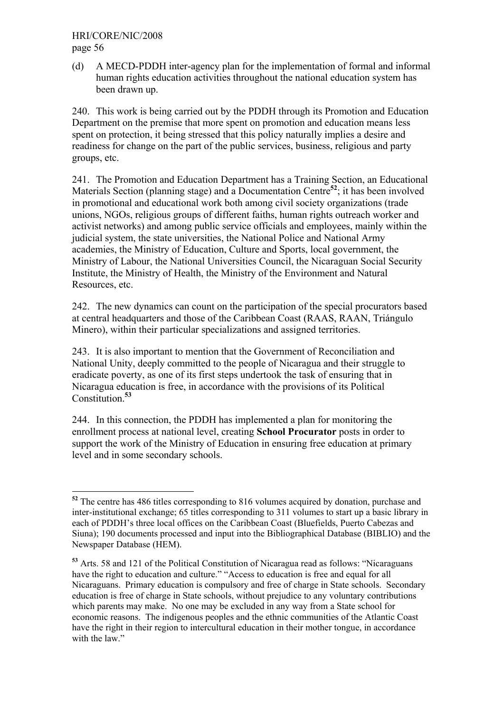(d) A MECD-PDDH inter-agency plan for the implementation of formal and informal human rights education activities throughout the national education system has been drawn up.

240. This work is being carried out by the PDDH through its Promotion and Education Department on the premise that more spent on promotion and education means less spent on protection, it being stressed that this policy naturally implies a desire and readiness for change on the part of the public services, business, religious and party groups, etc.

241. The Promotion and Education Department has a Training Section, an Educational Materials Section (planning stage) and a Documentation Centre**<sup>52</sup>**; it has been involved in promotional and educational work both among civil society organizations (trade unions, NGOs, religious groups of different faiths, human rights outreach worker and activist networks) and among public service officials and employees, mainly within the judicial system, the state universities, the National Police and National Army academies, the Ministry of Education, Culture and Sports, local government, the Ministry of Labour, the National Universities Council, the Nicaraguan Social Security Institute, the Ministry of Health, the Ministry of the Environment and Natural Resources, etc.

242. The new dynamics can count on the participation of the special procurators based at central headquarters and those of the Caribbean Coast (RAAS, RAAN, Triángulo Minero), within their particular specializations and assigned territories.

243. It is also important to mention that the Government of Reconciliation and National Unity, deeply committed to the people of Nicaragua and their struggle to eradicate poverty, as one of its first steps undertook the task of ensuring that in Nicaragua education is free, in accordance with the provisions of its Political Constitution.**<sup>53</sup>**

244. In this connection, the PDDH has implemented a plan for monitoring the enrollment process at national level, creating **School Procurator** posts in order to support the work of the Ministry of Education in ensuring free education at primary level and in some secondary schools.

**<sup>.</sup> <sup>52</sup>** The centre has 486 titles corresponding to 816 volumes acquired by donation, purchase and inter-institutional exchange; 65 titles corresponding to 311 volumes to start up a basic library in each of PDDH's three local offices on the Caribbean Coast (Bluefields, Puerto Cabezas and Siuna); 190 documents processed and input into the Bibliographical Database (BIBLIO) and the Newspaper Database (HEM).

**<sup>53</sup>** Arts. 58 and 121 of the Political Constitution of Nicaragua read as follows: "Nicaraguans have the right to education and culture." "Access to education is free and equal for all Nicaraguans. Primary education is compulsory and free of charge in State schools. Secondary education is free of charge in State schools, without prejudice to any voluntary contributions which parents may make. No one may be excluded in any way from a State school for economic reasons. The indigenous peoples and the ethnic communities of the Atlantic Coast have the right in their region to intercultural education in their mother tongue, in accordance with the law."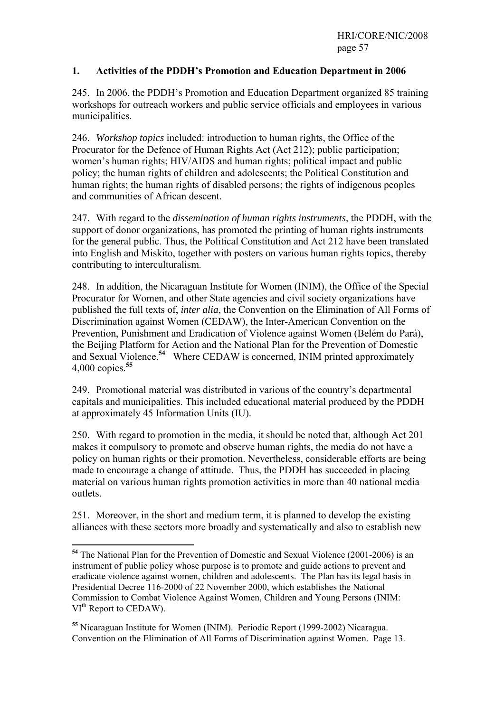#### **1. Activities of the PDDH's Promotion and Education Department in 2006**

245. In 2006, the PDDH's Promotion and Education Department organized 85 training workshops for outreach workers and public service officials and employees in various municipalities.

246. *Workshop topics* included: introduction to human rights, the Office of the Procurator for the Defence of Human Rights Act (Act 212); public participation; women's human rights; HIV/AIDS and human rights; political impact and public policy; the human rights of children and adolescents; the Political Constitution and human rights; the human rights of disabled persons; the rights of indigenous peoples and communities of African descent.

247. With regard to the *dissemination of human rights instruments*, the PDDH, with the support of donor organizations, has promoted the printing of human rights instruments for the general public. Thus, the Political Constitution and Act 212 have been translated into English and Miskito, together with posters on various human rights topics, thereby contributing to interculturalism.

248. In addition, the Nicaraguan Institute for Women (INIM), the Office of the Special Procurator for Women, and other State agencies and civil society organizations have published the full texts of, *inter alia*, the Convention on the Elimination of All Forms of Discrimination against Women (CEDAW), the Inter-American Convention on the Prevention, Punishment and Eradication of Violence against Women (Belém do Pará), the Beijing Platform for Action and the National Plan for the Prevention of Domestic and Sexual Violence.**<sup>54</sup>** Where CEDAW is concerned, INIM printed approximately 4,000 copies.**<sup>55</sup>**

249. Promotional material was distributed in various of the country's departmental capitals and municipalities. This included educational material produced by the PDDH at approximately 45 Information Units (IU).

250. With regard to promotion in the media, it should be noted that, although Act 201 makes it compulsory to promote and observe human rights, the media do not have a policy on human rights or their promotion. Nevertheless, considerable efforts are being made to encourage a change of attitude. Thus, the PDDH has succeeded in placing material on various human rights promotion activities in more than 40 national media outlets.

251. Moreover, in the short and medium term, it is planned to develop the existing alliances with these sectors more broadly and systematically and also to establish new

**<sup>54</sup>** The National Plan for the Prevention of Domestic and Sexual Violence (2001-2006) is an instrument of public policy whose purpose is to promote and guide actions to prevent and eradicate violence against women, children and adolescents. The Plan has its legal basis in Presidential Decree 116-2000 of 22 November 2000, which establishes the National Commission to Combat Violence Against Women, Children and Young Persons (INIM: VI<sup>th</sup> Report to CEDAW).

**<sup>55</sup>** Nicaraguan Institute for Women (INIM). Periodic Report (1999-2002) Nicaragua. Convention on the Elimination of All Forms of Discrimination against Women. Page 13.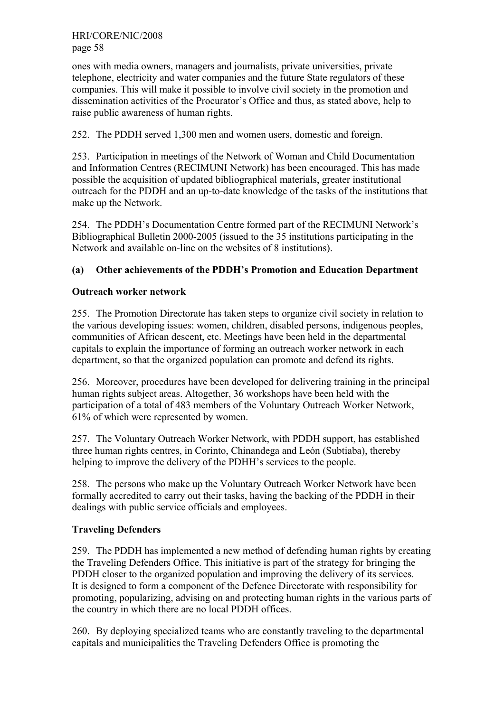ones with media owners, managers and journalists, private universities, private telephone, electricity and water companies and the future State regulators of these companies. This will make it possible to involve civil society in the promotion and dissemination activities of the Procurator's Office and thus, as stated above, help to raise public awareness of human rights.

252. The PDDH served 1,300 men and women users, domestic and foreign.

253. Participation in meetings of the Network of Woman and Child Documentation and Information Centres (RECIMUNI Network) has been encouraged. This has made possible the acquisition of updated bibliographical materials, greater institutional outreach for the PDDH and an up-to-date knowledge of the tasks of the institutions that make up the Network.

254. The PDDH's Documentation Centre formed part of the RECIMUNI Network's Bibliographical Bulletin 2000-2005 (issued to the 35 institutions participating in the Network and available on-line on the websites of 8 institutions).

# **(a) Other achievements of the PDDH's Promotion and Education Department**

#### **Outreach worker network**

255. The Promotion Directorate has taken steps to organize civil society in relation to the various developing issues: women, children, disabled persons, indigenous peoples, communities of African descent, etc. Meetings have been held in the departmental capitals to explain the importance of forming an outreach worker network in each department, so that the organized population can promote and defend its rights.

256. Moreover, procedures have been developed for delivering training in the principal human rights subject areas. Altogether, 36 workshops have been held with the participation of a total of 483 members of the Voluntary Outreach Worker Network, 61% of which were represented by women.

257. The Voluntary Outreach Worker Network, with PDDH support, has established three human rights centres, in Corinto, Chinandega and León (Subtiaba), thereby helping to improve the delivery of the PDHH's services to the people.

258. The persons who make up the Voluntary Outreach Worker Network have been formally accredited to carry out their tasks, having the backing of the PDDH in their dealings with public service officials and employees.

#### **Traveling Defenders**

259. The PDDH has implemented a new method of defending human rights by creating the Traveling Defenders Office. This initiative is part of the strategy for bringing the PDDH closer to the organized population and improving the delivery of its services. It is designed to form a component of the Defence Directorate with responsibility for promoting, popularizing, advising on and protecting human rights in the various parts of the country in which there are no local PDDH offices.

260. By deploying specialized teams who are constantly traveling to the departmental capitals and municipalities the Traveling Defenders Office is promoting the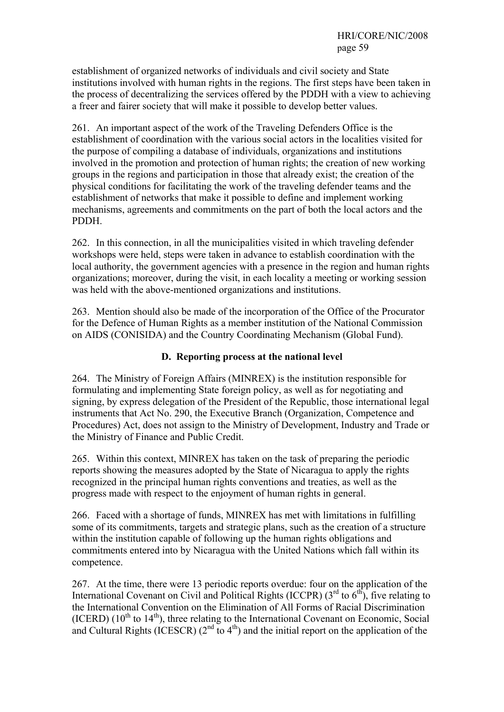establishment of organized networks of individuals and civil society and State institutions involved with human rights in the regions. The first steps have been taken in the process of decentralizing the services offered by the PDDH with a view to achieving a freer and fairer society that will make it possible to develop better values.

261. An important aspect of the work of the Traveling Defenders Office is the establishment of coordination with the various social actors in the localities visited for the purpose of compiling a database of individuals, organizations and institutions involved in the promotion and protection of human rights; the creation of new working groups in the regions and participation in those that already exist; the creation of the physical conditions for facilitating the work of the traveling defender teams and the establishment of networks that make it possible to define and implement working mechanisms, agreements and commitments on the part of both the local actors and the PDDH.

262. In this connection, in all the municipalities visited in which traveling defender workshops were held, steps were taken in advance to establish coordination with the local authority, the government agencies with a presence in the region and human rights organizations; moreover, during the visit, in each locality a meeting or working session was held with the above-mentioned organizations and institutions.

263. Mention should also be made of the incorporation of the Office of the Procurator for the Defence of Human Rights as a member institution of the National Commission on AIDS (CONISIDA) and the Country Coordinating Mechanism (Global Fund).

### **D. Reporting process at the national level**

264. The Ministry of Foreign Affairs (MINREX) is the institution responsible for formulating and implementing State foreign policy, as well as for negotiating and signing, by express delegation of the President of the Republic, those international legal instruments that Act No. 290, the Executive Branch (Organization, Competence and Procedures) Act, does not assign to the Ministry of Development, Industry and Trade or the Ministry of Finance and Public Credit.

265. Within this context, MINREX has taken on the task of preparing the periodic reports showing the measures adopted by the State of Nicaragua to apply the rights recognized in the principal human rights conventions and treaties, as well as the progress made with respect to the enjoyment of human rights in general.

266. Faced with a shortage of funds, MINREX has met with limitations in fulfilling some of its commitments, targets and strategic plans, such as the creation of a structure within the institution capable of following up the human rights obligations and commitments entered into by Nicaragua with the United Nations which fall within its competence.

267. At the time, there were 13 periodic reports overdue: four on the application of the International Covenant on Civil and Political Rights (ICCPR)  $(3<sup>rd</sup>$  to  $6<sup>th</sup>)$ , five relating to the International Convention on the Elimination of All Forms of Racial Discrimination (ICERD)  $(10<sup>th</sup>$  to  $14<sup>th</sup>$ ), three relating to the International Covenant on Economic, Social and Cultural Rights (ICESCR)  $(2^{nd}$  to  $4^{th}$ ) and the initial report on the application of the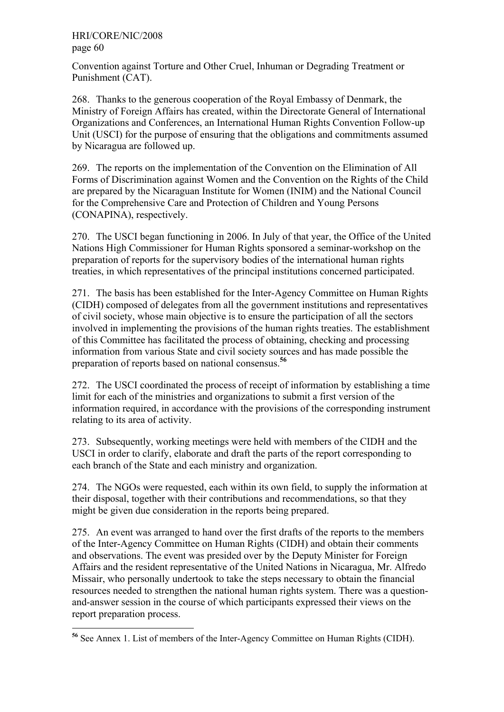**.** 

Convention against Torture and Other Cruel, Inhuman or Degrading Treatment or Punishment (CAT).

268. Thanks to the generous cooperation of the Royal Embassy of Denmark, the Ministry of Foreign Affairs has created, within the Directorate General of International Organizations and Conferences, an International Human Rights Convention Follow-up Unit (USCI) for the purpose of ensuring that the obligations and commitments assumed by Nicaragua are followed up.

269. The reports on the implementation of the Convention on the Elimination of All Forms of Discrimination against Women and the Convention on the Rights of the Child are prepared by the Nicaraguan Institute for Women (INIM) and the National Council for the Comprehensive Care and Protection of Children and Young Persons (CONAPINA), respectively.

270. The USCI began functioning in 2006. In July of that year, the Office of the United Nations High Commissioner for Human Rights sponsored a seminar-workshop on the preparation of reports for the supervisory bodies of the international human rights treaties, in which representatives of the principal institutions concerned participated.

271. The basis has been established for the Inter-Agency Committee on Human Rights (CIDH) composed of delegates from all the government institutions and representatives of civil society, whose main objective is to ensure the participation of all the sectors involved in implementing the provisions of the human rights treaties. The establishment of this Committee has facilitated the process of obtaining, checking and processing information from various State and civil society sources and has made possible the preparation of reports based on national consensus.**<sup>56</sup>**

272. The USCI coordinated the process of receipt of information by establishing a time limit for each of the ministries and organizations to submit a first version of the information required, in accordance with the provisions of the corresponding instrument relating to its area of activity.

273. Subsequently, working meetings were held with members of the CIDH and the USCI in order to clarify, elaborate and draft the parts of the report corresponding to each branch of the State and each ministry and organization.

274. The NGOs were requested, each within its own field, to supply the information at their disposal, together with their contributions and recommendations, so that they might be given due consideration in the reports being prepared.

275. An event was arranged to hand over the first drafts of the reports to the members of the Inter-Agency Committee on Human Rights (CIDH) and obtain their comments and observations. The event was presided over by the Deputy Minister for Foreign Affairs and the resident representative of the United Nations in Nicaragua, Mr. Alfredo Missair, who personally undertook to take the steps necessary to obtain the financial resources needed to strengthen the national human rights system. There was a questionand-answer session in the course of which participants expressed their views on the report preparation process.

**<sup>56</sup>** See Annex 1. List of members of the Inter-Agency Committee on Human Rights (CIDH).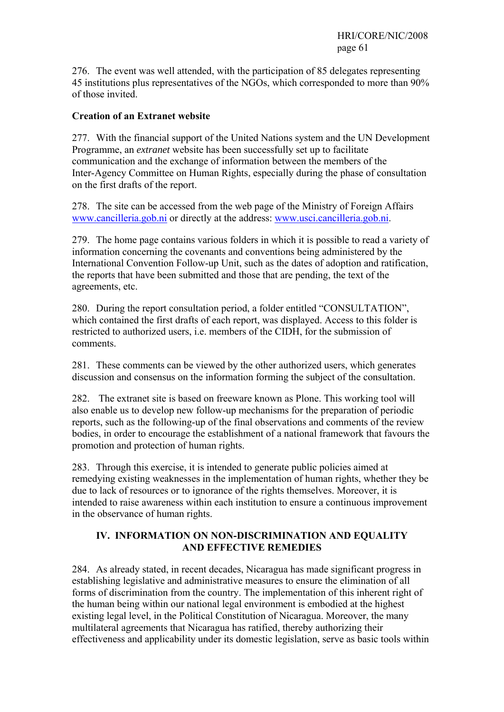276. The event was well attended, with the participation of 85 delegates representing 45 institutions plus representatives of the NGOs, which corresponded to more than 90% of those invited.

#### **Creation of an Extranet website**

277. With the financial support of the United Nations system and the UN Development Programme, an *extranet* website has been successfully set up to facilitate communication and the exchange of information between the members of the Inter-Agency Committee on Human Rights, especially during the phase of consultation on the first drafts of the report.

278. The site can be accessed from the web page of the Ministry of Foreign Affairs www.cancilleria.gob.ni or directly at the address: www.usci.cancilleria.gob.ni.

279. The home page contains various folders in which it is possible to read a variety of information concerning the covenants and conventions being administered by the International Convention Follow-up Unit, such as the dates of adoption and ratification, the reports that have been submitted and those that are pending, the text of the agreements, etc.

280. During the report consultation period, a folder entitled "CONSULTATION", which contained the first drafts of each report, was displayed. Access to this folder is restricted to authorized users, i.e. members of the CIDH, for the submission of comments.

281. These comments can be viewed by the other authorized users, which generates discussion and consensus on the information forming the subject of the consultation.

282. The extranet site is based on freeware known as Plone. This working tool will also enable us to develop new follow-up mechanisms for the preparation of periodic reports, such as the following-up of the final observations and comments of the review bodies, in order to encourage the establishment of a national framework that favours the promotion and protection of human rights.

283. Through this exercise, it is intended to generate public policies aimed at remedying existing weaknesses in the implementation of human rights, whether they be due to lack of resources or to ignorance of the rights themselves. Moreover, it is intended to raise awareness within each institution to ensure a continuous improvement in the observance of human rights.

#### **IV. INFORMATION ON NON-DISCRIMINATION AND EQUALITY AND EFFECTIVE REMEDIES**

284. As already stated, in recent decades, Nicaragua has made significant progress in establishing legislative and administrative measures to ensure the elimination of all forms of discrimination from the country. The implementation of this inherent right of the human being within our national legal environment is embodied at the highest existing legal level, in the Political Constitution of Nicaragua. Moreover, the many multilateral agreements that Nicaragua has ratified, thereby authorizing their effectiveness and applicability under its domestic legislation, serve as basic tools within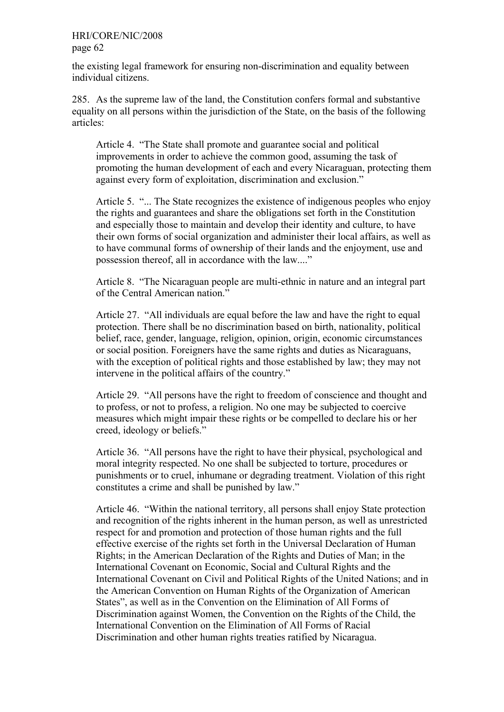the existing legal framework for ensuring non-discrimination and equality between individual citizens.

285. As the supreme law of the land, the Constitution confers formal and substantive equality on all persons within the jurisdiction of the State, on the basis of the following articles:

Article 4. "The State shall promote and guarantee social and political improvements in order to achieve the common good, assuming the task of promoting the human development of each and every Nicaraguan, protecting them against every form of exploitation, discrimination and exclusion."

Article 5. "... The State recognizes the existence of indigenous peoples who enjoy the rights and guarantees and share the obligations set forth in the Constitution and especially those to maintain and develop their identity and culture, to have their own forms of social organization and administer their local affairs, as well as to have communal forms of ownership of their lands and the enjoyment, use and possession thereof, all in accordance with the law...."

 Article 8. "The Nicaraguan people are multi-ethnic in nature and an integral part of the Central American nation."

 Article 27. "All individuals are equal before the law and have the right to equal protection. There shall be no discrimination based on birth, nationality, political belief, race, gender, language, religion, opinion, origin, economic circumstances or social position. Foreigners have the same rights and duties as Nicaraguans, with the exception of political rights and those established by law; they may not intervene in the political affairs of the country."

 Article 29. "All persons have the right to freedom of conscience and thought and to profess, or not to profess, a religion. No one may be subjected to coercive measures which might impair these rights or be compelled to declare his or her creed, ideology or beliefs."

 Article 36. "All persons have the right to have their physical, psychological and moral integrity respected. No one shall be subjected to torture, procedures or punishments or to cruel, inhumane or degrading treatment. Violation of this right constitutes a crime and shall be punished by law."

 Article 46. "Within the national territory, all persons shall enjoy State protection and recognition of the rights inherent in the human person, as well as unrestricted respect for and promotion and protection of those human rights and the full effective exercise of the rights set forth in the Universal Declaration of Human Rights; in the American Declaration of the Rights and Duties of Man; in the International Covenant on Economic, Social and Cultural Rights and the International Covenant on Civil and Political Rights of the United Nations; and in the American Convention on Human Rights of the Organization of American States", as well as in the Convention on the Elimination of All Forms of Discrimination against Women, the Convention on the Rights of the Child, the International Convention on the Elimination of All Forms of Racial Discrimination and other human rights treaties ratified by Nicaragua.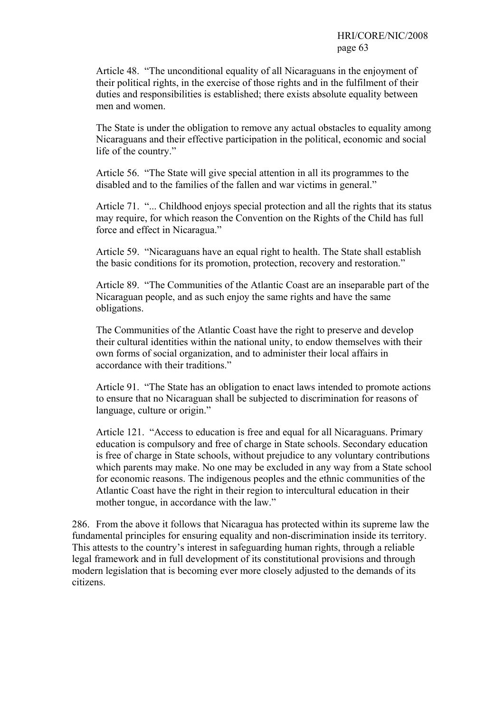Article 48. "The unconditional equality of all Nicaraguans in the enjoyment of their political rights, in the exercise of those rights and in the fulfilment of their duties and responsibilities is established; there exists absolute equality between men and women.

 The State is under the obligation to remove any actual obstacles to equality among Nicaraguans and their effective participation in the political, economic and social life of the country."

 Article 56. "The State will give special attention in all its programmes to the disabled and to the families of the fallen and war victims in general."

 Article 71. "... Childhood enjoys special protection and all the rights that its status may require, for which reason the Convention on the Rights of the Child has full force and effect in Nicaragua."

 Article 59. "Nicaraguans have an equal right to health. The State shall establish the basic conditions for its promotion, protection, recovery and restoration."

 Article 89. "The Communities of the Atlantic Coast are an inseparable part of the Nicaraguan people, and as such enjoy the same rights and have the same obligations.

 The Communities of the Atlantic Coast have the right to preserve and develop their cultural identities within the national unity, to endow themselves with their own forms of social organization, and to administer their local affairs in accordance with their traditions."

 Article 91. "The State has an obligation to enact laws intended to promote actions to ensure that no Nicaraguan shall be subjected to discrimination for reasons of language, culture or origin."

 Article 121. "Access to education is free and equal for all Nicaraguans. Primary education is compulsory and free of charge in State schools. Secondary education is free of charge in State schools, without prejudice to any voluntary contributions which parents may make. No one may be excluded in any way from a State school for economic reasons. The indigenous peoples and the ethnic communities of the Atlantic Coast have the right in their region to intercultural education in their mother tongue, in accordance with the law."

286. From the above it follows that Nicaragua has protected within its supreme law the fundamental principles for ensuring equality and non-discrimination inside its territory. This attests to the country's interest in safeguarding human rights, through a reliable legal framework and in full development of its constitutional provisions and through modern legislation that is becoming ever more closely adjusted to the demands of its citizens.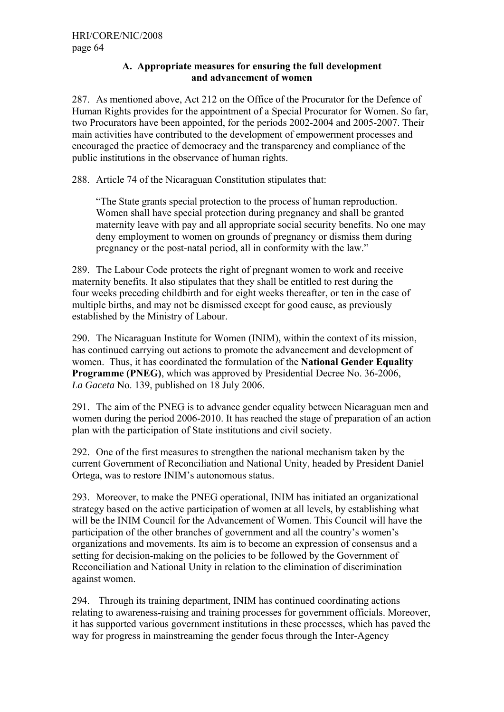#### **A. Appropriate measures for ensuring the full development and advancement of women**

287. As mentioned above, Act 212 on the Office of the Procurator for the Defence of Human Rights provides for the appointment of a Special Procurator for Women. So far, two Procurators have been appointed, for the periods 2002-2004 and 2005-2007. Their main activities have contributed to the development of empowerment processes and encouraged the practice of democracy and the transparency and compliance of the public institutions in the observance of human rights.

288. Article 74 of the Nicaraguan Constitution stipulates that:

"The State grants special protection to the process of human reproduction. Women shall have special protection during pregnancy and shall be granted maternity leave with pay and all appropriate social security benefits. No one may deny employment to women on grounds of pregnancy or dismiss them during pregnancy or the post-natal period, all in conformity with the law."

289. The Labour Code protects the right of pregnant women to work and receive maternity benefits. It also stipulates that they shall be entitled to rest during the four weeks preceding childbirth and for eight weeks thereafter, or ten in the case of multiple births, and may not be dismissed except for good cause, as previously established by the Ministry of Labour.

290. The Nicaraguan Institute for Women (INIM), within the context of its mission, has continued carrying out actions to promote the advancement and development of women. Thus, it has coordinated the formulation of the **National Gender Equality Programme (PNEG)**, which was approved by Presidential Decree No. 36-2006, *La Gaceta* No. 139, published on 18 July 2006.

291. The aim of the PNEG is to advance gender equality between Nicaraguan men and women during the period 2006-2010. It has reached the stage of preparation of an action plan with the participation of State institutions and civil society.

292. One of the first measures to strengthen the national mechanism taken by the current Government of Reconciliation and National Unity, headed by President Daniel Ortega, was to restore INIM's autonomous status.

293. Moreover, to make the PNEG operational, INIM has initiated an organizational strategy based on the active participation of women at all levels, by establishing what will be the INIM Council for the Advancement of Women. This Council will have the participation of the other branches of government and all the country's women's organizations and movements. Its aim is to become an expression of consensus and a setting for decision-making on the policies to be followed by the Government of Reconciliation and National Unity in relation to the elimination of discrimination against women.

294. Through its training department, INIM has continued coordinating actions relating to awareness-raising and training processes for government officials. Moreover, it has supported various government institutions in these processes, which has paved the way for progress in mainstreaming the gender focus through the Inter-Agency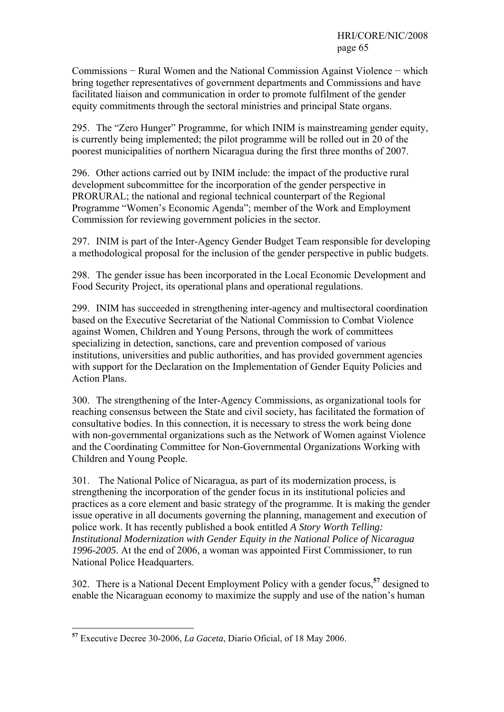Commissions − Rural Women and the National Commission Against Violence − which bring together representatives of government departments and Commissions and have facilitated liaison and communication in order to promote fulfilment of the gender equity commitments through the sectoral ministries and principal State organs.

295. The "Zero Hunger" Programme, for which INIM is mainstreaming gender equity, is currently being implemented; the pilot programme will be rolled out in 20 of the poorest municipalities of northern Nicaragua during the first three months of 2007.

296. Other actions carried out by INIM include: the impact of the productive rural development subcommittee for the incorporation of the gender perspective in PRORURAL; the national and regional technical counterpart of the Regional Programme "Women's Economic Agenda"; member of the Work and Employment Commission for reviewing government policies in the sector.

297. INIM is part of the Inter-Agency Gender Budget Team responsible for developing a methodological proposal for the inclusion of the gender perspective in public budgets.

298. The gender issue has been incorporated in the Local Economic Development and Food Security Project, its operational plans and operational regulations.

299. INIM has succeeded in strengthening inter-agency and multisectoral coordination based on the Executive Secretariat of the National Commission to Combat Violence against Women, Children and Young Persons, through the work of committees specializing in detection, sanctions, care and prevention composed of various institutions, universities and public authorities, and has provided government agencies with support for the Declaration on the Implementation of Gender Equity Policies and Action Plans.

300. The strengthening of the Inter-Agency Commissions, as organizational tools for reaching consensus between the State and civil society, has facilitated the formation of consultative bodies. In this connection, it is necessary to stress the work being done with non-governmental organizations such as the Network of Women against Violence and the Coordinating Committee for Non-Governmental Organizations Working with Children and Young People.

301. The National Police of Nicaragua, as part of its modernization process, is strengthening the incorporation of the gender focus in its institutional policies and practices as a core element and basic strategy of the programme. It is making the gender issue operative in all documents governing the planning, management and execution of police work. It has recently published a book entitled *A Story Worth Telling: Institutional Modernization with Gender Equity in the National Police of Nicaragua 1996-2005*. At the end of 2006, a woman was appointed First Commissioner, to run National Police Headquarters.

302. There is a National Decent Employment Policy with a gender focus,**<sup>57</sup>** designed to enable the Nicaraguan economy to maximize the supply and use of the nation's human

**<sup>57</sup>** Executive Decree 30-2006, *La Gaceta*, Diario Oficial, of 18 May 2006.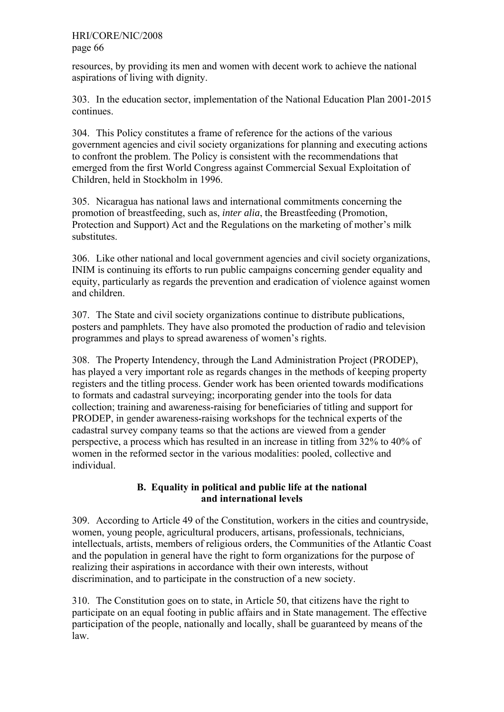resources, by providing its men and women with decent work to achieve the national aspirations of living with dignity.

303. In the education sector, implementation of the National Education Plan 2001-2015 continues.

304. This Policy constitutes a frame of reference for the actions of the various government agencies and civil society organizations for planning and executing actions to confront the problem. The Policy is consistent with the recommendations that emerged from the first World Congress against Commercial Sexual Exploitation of Children, held in Stockholm in 1996.

305. Nicaragua has national laws and international commitments concerning the promotion of breastfeeding, such as, *inter alia*, the Breastfeeding (Promotion, Protection and Support) Act and the Regulations on the marketing of mother's milk substitutes.

306. Like other national and local government agencies and civil society organizations, INIM is continuing its efforts to run public campaigns concerning gender equality and equity, particularly as regards the prevention and eradication of violence against women and children.

307. The State and civil society organizations continue to distribute publications, posters and pamphlets. They have also promoted the production of radio and television programmes and plays to spread awareness of women's rights.

308. The Property Intendency, through the Land Administration Project (PRODEP), has played a very important role as regards changes in the methods of keeping property registers and the titling process. Gender work has been oriented towards modifications to formats and cadastral surveying; incorporating gender into the tools for data collection; training and awareness-raising for beneficiaries of titling and support for PRODEP, in gender awareness-raising workshops for the technical experts of the cadastral survey company teams so that the actions are viewed from a gender perspective, a process which has resulted in an increase in titling from 32% to 40% of women in the reformed sector in the various modalities: pooled, collective and individual.

#### **B. Equality in political and public life at the national and international levels**

309. According to Article 49 of the Constitution, workers in the cities and countryside, women, young people, agricultural producers, artisans, professionals, technicians, intellectuals, artists, members of religious orders, the Communities of the Atlantic Coast and the population in general have the right to form organizations for the purpose of realizing their aspirations in accordance with their own interests, without discrimination, and to participate in the construction of a new society.

310. The Constitution goes on to state, in Article 50, that citizens have the right to participate on an equal footing in public affairs and in State management. The effective participation of the people, nationally and locally, shall be guaranteed by means of the law.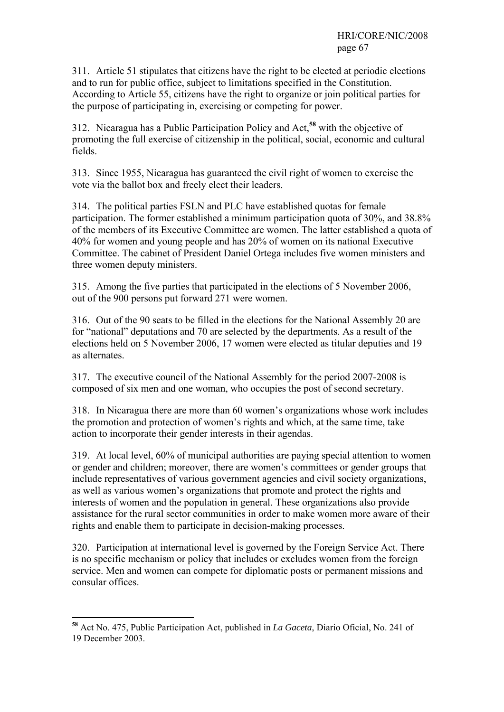311. Article 51 stipulates that citizens have the right to be elected at periodic elections and to run for public office, subject to limitations specified in the Constitution. According to Article 55, citizens have the right to organize or join political parties for the purpose of participating in, exercising or competing for power.

312. Nicaragua has a Public Participation Policy and Act,**<sup>58</sup>** with the objective of promoting the full exercise of citizenship in the political, social, economic and cultural fields.

313. Since 1955, Nicaragua has guaranteed the civil right of women to exercise the vote via the ballot box and freely elect their leaders.

314. The political parties FSLN and PLC have established quotas for female participation. The former established a minimum participation quota of 30%, and 38.8% of the members of its Executive Committee are women. The latter established a quota of 40% for women and young people and has 20% of women on its national Executive Committee. The cabinet of President Daniel Ortega includes five women ministers and three women deputy ministers.

315. Among the five parties that participated in the elections of 5 November 2006, out of the 900 persons put forward 271 were women.

316. Out of the 90 seats to be filled in the elections for the National Assembly 20 are for "national" deputations and 70 are selected by the departments. As a result of the elections held on 5 November 2006, 17 women were elected as titular deputies and 19 as alternates.

317. The executive council of the National Assembly for the period 2007-2008 is composed of six men and one woman, who occupies the post of second secretary.

318. In Nicaragua there are more than 60 women's organizations whose work includes the promotion and protection of women's rights and which, at the same time, take action to incorporate their gender interests in their agendas.

319. At local level, 60% of municipal authorities are paying special attention to women or gender and children; moreover, there are women's committees or gender groups that include representatives of various government agencies and civil society organizations, as well as various women's organizations that promote and protect the rights and interests of women and the population in general. These organizations also provide assistance for the rural sector communities in order to make women more aware of their rights and enable them to participate in decision-making processes.

320. Participation at international level is governed by the Foreign Service Act. There is no specific mechanism or policy that includes or excludes women from the foreign service. Men and women can compete for diplomatic posts or permanent missions and consular offices.

**<sup>58</sup>** Act No. 475, Public Participation Act, published in *La Gaceta*, Diario Oficial, No. 241 of 19 December 2003.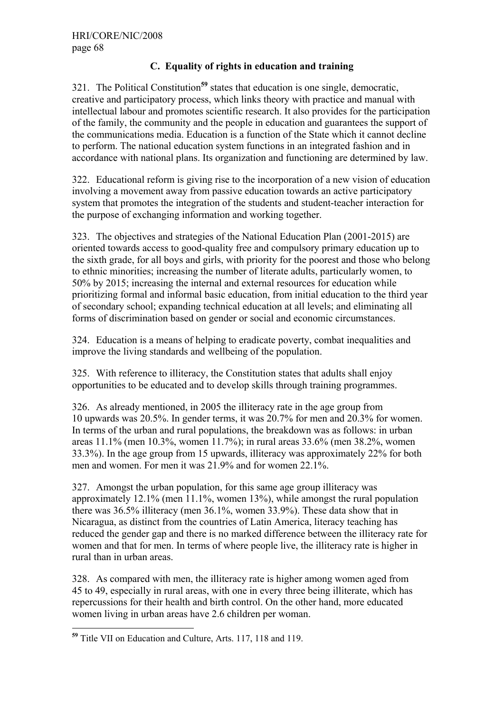# **C. Equality of rights in education and training**

321. The Political Constitution**<sup>59</sup>** states that education is one single, democratic, creative and participatory process, which links theory with practice and manual with intellectual labour and promotes scientific research. It also provides for the participation of the family, the community and the people in education and guarantees the support of the communications media. Education is a function of the State which it cannot decline to perform. The national education system functions in an integrated fashion and in accordance with national plans. Its organization and functioning are determined by law.

322. Educational reform is giving rise to the incorporation of a new vision of education involving a movement away from passive education towards an active participatory system that promotes the integration of the students and student-teacher interaction for the purpose of exchanging information and working together.

323. The objectives and strategies of the National Education Plan (2001-2015) are oriented towards access to good-quality free and compulsory primary education up to the sixth grade, for all boys and girls, with priority for the poorest and those who belong to ethnic minorities; increasing the number of literate adults, particularly women, to 50% by 2015; increasing the internal and external resources for education while prioritizing formal and informal basic education, from initial education to the third year of secondary school; expanding technical education at all levels; and eliminating all forms of discrimination based on gender or social and economic circumstances.

324. Education is a means of helping to eradicate poverty, combat inequalities and improve the living standards and wellbeing of the population.

325. With reference to illiteracy, the Constitution states that adults shall enjoy opportunities to be educated and to develop skills through training programmes.

326. As already mentioned, in 2005 the illiteracy rate in the age group from 10 upwards was 20.5%. In gender terms, it was 20.7% for men and 20.3% for women. In terms of the urban and rural populations, the breakdown was as follows: in urban areas 11.1% (men 10.3%, women 11.7%); in rural areas 33.6% (men 38.2%, women 33.3%). In the age group from 15 upwards, illiteracy was approximately 22% for both men and women. For men it was 21.9% and for women 22.1%.

327. Amongst the urban population, for this same age group illiteracy was approximately 12.1% (men 11.1%, women 13%), while amongst the rural population there was 36.5% illiteracy (men 36.1%, women 33.9%). These data show that in Nicaragua, as distinct from the countries of Latin America, literacy teaching has reduced the gender gap and there is no marked difference between the illiteracy rate for women and that for men. In terms of where people live, the illiteracy rate is higher in rural than in urban areas.

328. As compared with men, the illiteracy rate is higher among women aged from 45 to 49, especially in rural areas, with one in every three being illiterate, which has repercussions for their health and birth control. On the other hand, more educated women living in urban areas have 2.6 children per woman.

**<sup>59</sup>** Title VII on Education and Culture, Arts. 117, 118 and 119.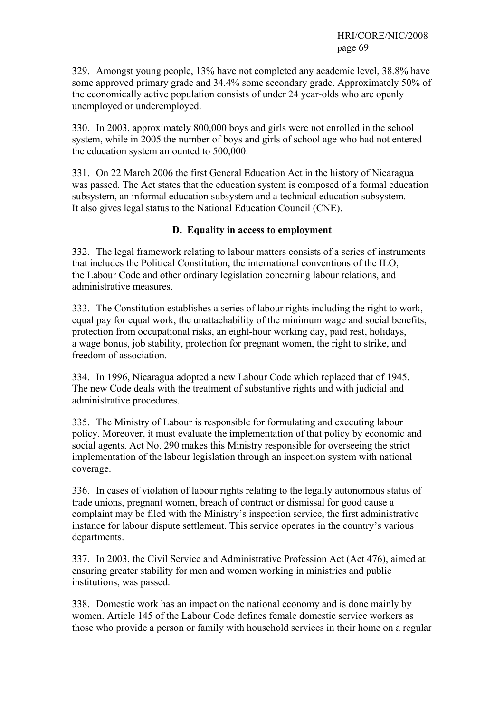329. Amongst young people, 13% have not completed any academic level, 38.8% have some approved primary grade and 34.4% some secondary grade. Approximately 50% of the economically active population consists of under 24 year-olds who are openly unemployed or underemployed.

330. In 2003, approximately 800,000 boys and girls were not enrolled in the school system, while in 2005 the number of boys and girls of school age who had not entered the education system amounted to 500,000.

331. On 22 March 2006 the first General Education Act in the history of Nicaragua was passed. The Act states that the education system is composed of a formal education subsystem, an informal education subsystem and a technical education subsystem. It also gives legal status to the National Education Council (CNE).

## **D. Equality in access to employment**

332. The legal framework relating to labour matters consists of a series of instruments that includes the Political Constitution, the international conventions of the ILO, the Labour Code and other ordinary legislation concerning labour relations, and administrative measures.

333. The Constitution establishes a series of labour rights including the right to work, equal pay for equal work, the unattachability of the minimum wage and social benefits, protection from occupational risks, an eight-hour working day, paid rest, holidays, a wage bonus, job stability, protection for pregnant women, the right to strike, and freedom of association.

334. In 1996, Nicaragua adopted a new Labour Code which replaced that of 1945. The new Code deals with the treatment of substantive rights and with judicial and administrative procedures.

335. The Ministry of Labour is responsible for formulating and executing labour policy. Moreover, it must evaluate the implementation of that policy by economic and social agents. Act No. 290 makes this Ministry responsible for overseeing the strict implementation of the labour legislation through an inspection system with national coverage.

336. In cases of violation of labour rights relating to the legally autonomous status of trade unions, pregnant women, breach of contract or dismissal for good cause a complaint may be filed with the Ministry's inspection service, the first administrative instance for labour dispute settlement. This service operates in the country's various departments.

337. In 2003, the Civil Service and Administrative Profession Act (Act 476), aimed at ensuring greater stability for men and women working in ministries and public institutions, was passed.

338. Domestic work has an impact on the national economy and is done mainly by women. Article 145 of the Labour Code defines female domestic service workers as those who provide a person or family with household services in their home on a regular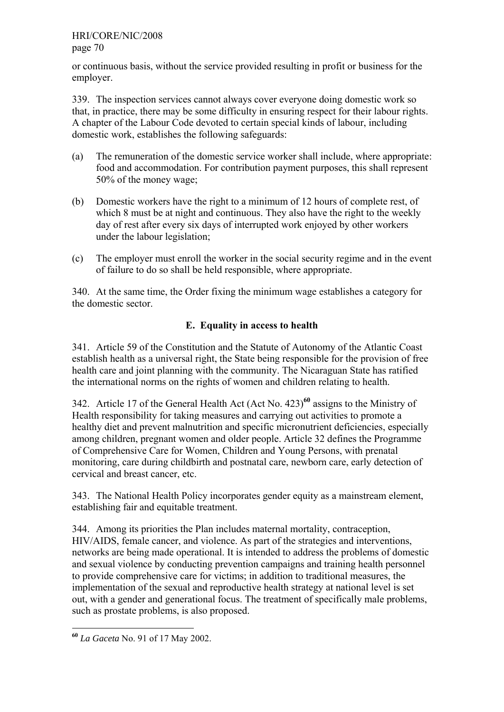or continuous basis, without the service provided resulting in profit or business for the employer.

339. The inspection services cannot always cover everyone doing domestic work so that, in practice, there may be some difficulty in ensuring respect for their labour rights. A chapter of the Labour Code devoted to certain special kinds of labour, including domestic work, establishes the following safeguards:

- (a) The remuneration of the domestic service worker shall include, where appropriate: food and accommodation. For contribution payment purposes, this shall represent 50% of the money wage;
- (b) Domestic workers have the right to a minimum of 12 hours of complete rest, of which 8 must be at night and continuous. They also have the right to the weekly day of rest after every six days of interrupted work enjoyed by other workers under the labour legislation;
- (c) The employer must enroll the worker in the social security regime and in the event of failure to do so shall be held responsible, where appropriate.

340. At the same time, the Order fixing the minimum wage establishes a category for the domestic sector.

## **E. Equality in access to health**

341. Article 59 of the Constitution and the Statute of Autonomy of the Atlantic Coast establish health as a universal right, the State being responsible for the provision of free health care and joint planning with the community. The Nicaraguan State has ratified the international norms on the rights of women and children relating to health.

342. Article 17 of the General Health Act (Act No. 423)**<sup>60</sup>** assigns to the Ministry of Health responsibility for taking measures and carrying out activities to promote a healthy diet and prevent malnutrition and specific micronutrient deficiencies, especially among children, pregnant women and older people. Article 32 defines the Programme of Comprehensive Care for Women, Children and Young Persons, with prenatal monitoring, care during childbirth and postnatal care, newborn care, early detection of cervical and breast cancer, etc.

343. The National Health Policy incorporates gender equity as a mainstream element, establishing fair and equitable treatment.

344. Among its priorities the Plan includes maternal mortality, contraception, HIV/AIDS, female cancer, and violence. As part of the strategies and interventions, networks are being made operational. It is intended to address the problems of domestic and sexual violence by conducting prevention campaigns and training health personnel to provide comprehensive care for victims; in addition to traditional measures, the implementation of the sexual and reproductive health strategy at national level is set out, with a gender and generational focus. The treatment of specifically male problems, such as prostate problems, is also proposed.

**<sup>60</sup>** *La Gaceta* No. 91 of 17 May 2002.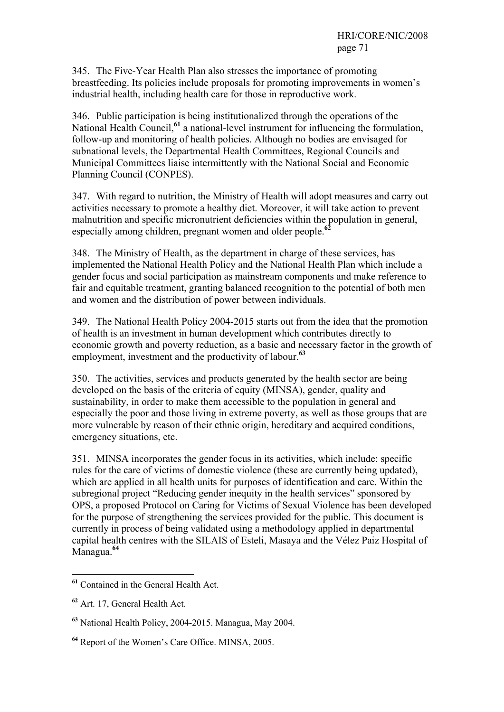345. The Five-Year Health Plan also stresses the importance of promoting breastfeeding. Its policies include proposals for promoting improvements in women's industrial health, including health care for those in reproductive work.

346. Public participation is being institutionalized through the operations of the National Health Council,**<sup>61</sup>** a national-level instrument for influencing the formulation, follow-up and monitoring of health policies. Although no bodies are envisaged for subnational levels, the Departmental Health Committees, Regional Councils and Municipal Committees liaise intermittently with the National Social and Economic Planning Council (CONPES).

347. With regard to nutrition, the Ministry of Health will adopt measures and carry out activities necessary to promote a healthy diet. Moreover, it will take action to prevent malnutrition and specific micronutrient deficiencies within the population in general, especially among children, pregnant women and older people.<sup>62</sup>

348. The Ministry of Health, as the department in charge of these services, has implemented the National Health Policy and the National Health Plan which include a gender focus and social participation as mainstream components and make reference to fair and equitable treatment, granting balanced recognition to the potential of both men and women and the distribution of power between individuals.

349. The National Health Policy 2004-2015 starts out from the idea that the promotion of health is an investment in human development which contributes directly to economic growth and poverty reduction, as a basic and necessary factor in the growth of employment, investment and the productivity of labour.**<sup>63</sup>**

350. The activities, services and products generated by the health sector are being developed on the basis of the criteria of equity (MINSA), gender, quality and sustainability, in order to make them accessible to the population in general and especially the poor and those living in extreme poverty, as well as those groups that are more vulnerable by reason of their ethnic origin, hereditary and acquired conditions, emergency situations, etc.

351. MINSA incorporates the gender focus in its activities, which include: specific rules for the care of victims of domestic violence (these are currently being updated), which are applied in all health units for purposes of identification and care. Within the subregional project "Reducing gender inequity in the health services" sponsored by OPS, a proposed Protocol on Caring for Victims of Sexual Violence has been developed for the purpose of strengthening the services provided for the public. This document is currently in process of being validated using a methodology applied in departmental capital health centres with the SILAIS of Esteli, Masaya and the Vélez Paiz Hospital of Managua.**<sup>64</sup>**

1

**<sup>61</sup>** Contained in the General Health Act.

**<sup>62</sup>** Art. 17, General Health Act.

**<sup>63</sup>** National Health Policy, 2004-2015. Managua, May 2004.

**<sup>64</sup>** Report of the Women's Care Office. MINSA, 2005.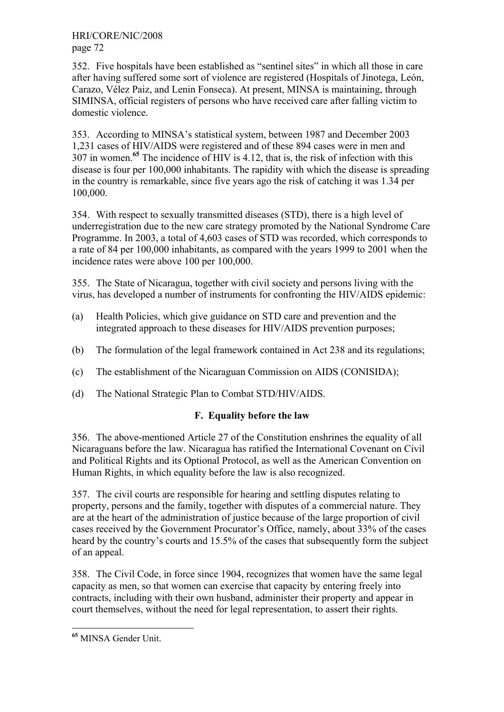352. Five hospitals have been established as "sentinel sites" in which all those in care after having suffered some sort of violence are registered (Hospitals of Jinotega, León, Carazo, Vélez Paiz, and Lenin Fonseca). At present, MINSA is maintaining, through SIMINSA, official registers of persons who have received care after falling victim to domestic violence.

353. According to MINSA's statistical system, between 1987 and December 2003 1,231 cases of HIV/AIDS were registered and of these 894 cases were in men and 307 in women.**<sup>65</sup>** The incidence of HIV is 4.12, that is, the risk of infection with this disease is four per 100,000 inhabitants. The rapidity with which the disease is spreading in the country is remarkable, since five years ago the risk of catching it was 1.34 per 100,000.

354. With respect to sexually transmitted diseases (STD), there is a high level of underregistration due to the new care strategy promoted by the National Syndrome Care Programme. In 2003, a total of 4,603 cases of STD was recorded, which corresponds to a rate of 84 per 100,000 inhabitants, as compared with the years 1999 to 2001 when the incidence rates were above 100 per 100,000.

355. The State of Nicaragua, together with civil society and persons living with the virus, has developed a number of instruments for confronting the HIV/AIDS epidemic:

- (a) Health Policies, which give guidance on STD care and prevention and the integrated approach to these diseases for HIV/AIDS prevention purposes;
- (b) The formulation of the legal framework contained in Act 238 and its regulations;
- (c) The establishment of the Nicaraguan Commission on AIDS (CONISIDA);
- (d) The National Strategic Plan to Combat STD/HIV/AIDS.

## **F. Equality before the law**

356. The above-mentioned Article 27 of the Constitution enshrines the equality of all Nicaraguans before the law. Nicaragua has ratified the International Covenant on Civil and Political Rights and its Optional Protocol, as well as the American Convention on Human Rights, in which equality before the law is also recognized.

357. The civil courts are responsible for hearing and settling disputes relating to property, persons and the family, together with disputes of a commercial nature. They are at the heart of the administration of justice because of the large proportion of civil cases received by the Government Procurator's Office, namely, about 33% of the cases heard by the country's courts and 15.5% of the cases that subsequently form the subject of an appeal.

358. The Civil Code, in force since 1904, recognizes that women have the same legal capacity as men, so that women can exercise that capacity by entering freely into contracts, including with their own husband, administer their property and appear in court themselves, without the need for legal representation, to assert their rights.

**<sup>65</sup>** MINSA Gender Unit.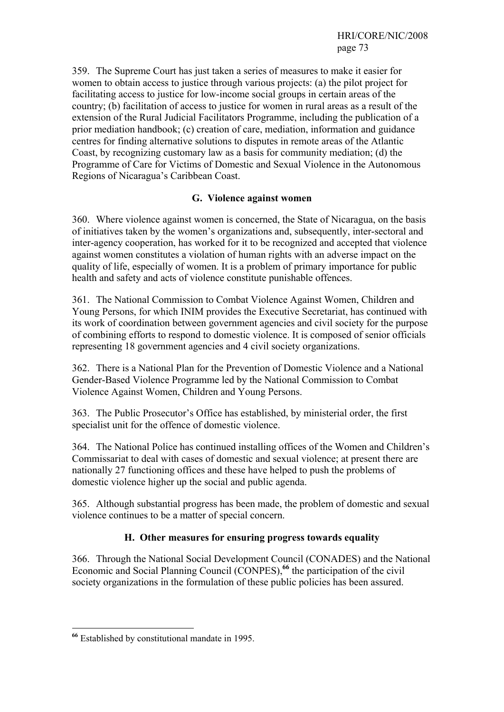359. The Supreme Court has just taken a series of measures to make it easier for women to obtain access to justice through various projects: (a) the pilot project for facilitating access to justice for low-income social groups in certain areas of the country; (b) facilitation of access to justice for women in rural areas as a result of the extension of the Rural Judicial Facilitators Programme, including the publication of a prior mediation handbook; (c) creation of care, mediation, information and guidance centres for finding alternative solutions to disputes in remote areas of the Atlantic Coast, by recognizing customary law as a basis for community mediation; (d) the Programme of Care for Victims of Domestic and Sexual Violence in the Autonomous Regions of Nicaragua's Caribbean Coast.

# **G. Violence against women**

360. Where violence against women is concerned, the State of Nicaragua, on the basis of initiatives taken by the women's organizations and, subsequently, inter-sectoral and inter-agency cooperation, has worked for it to be recognized and accepted that violence against women constitutes a violation of human rights with an adverse impact on the quality of life, especially of women. It is a problem of primary importance for public health and safety and acts of violence constitute punishable offences.

361. The National Commission to Combat Violence Against Women, Children and Young Persons, for which INIM provides the Executive Secretariat, has continued with its work of coordination between government agencies and civil society for the purpose of combining efforts to respond to domestic violence. It is composed of senior officials representing 18 government agencies and 4 civil society organizations.

362. There is a National Plan for the Prevention of Domestic Violence and a National Gender-Based Violence Programme led by the National Commission to Combat Violence Against Women, Children and Young Persons.

363. The Public Prosecutor's Office has established, by ministerial order, the first specialist unit for the offence of domestic violence.

364. The National Police has continued installing offices of the Women and Children's Commissariat to deal with cases of domestic and sexual violence; at present there are nationally 27 functioning offices and these have helped to push the problems of domestic violence higher up the social and public agenda.

365. Although substantial progress has been made, the problem of domestic and sexual violence continues to be a matter of special concern.

# **H. Other measures for ensuring progress towards equality**

366. Through the National Social Development Council (CONADES) and the National Economic and Social Planning Council (CONPES),**<sup>66</sup>** the participation of the civil society organizations in the formulation of these public policies has been assured.

**.** 

**<sup>66</sup>** Established by constitutional mandate in 1995.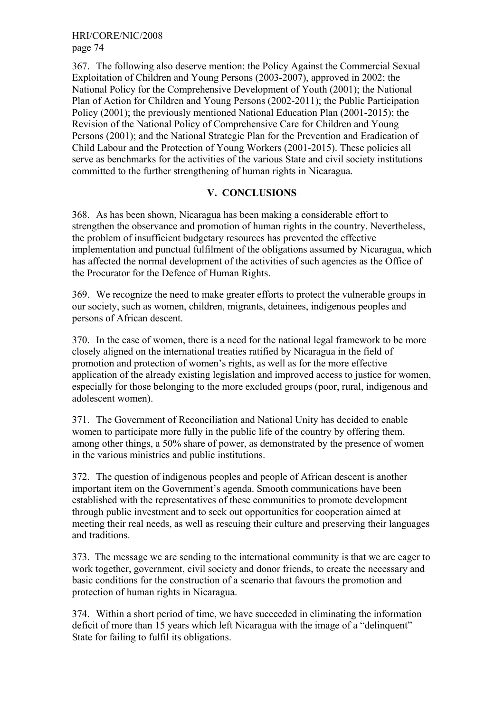HRI/CORE/NIC/2008 page 74

367. The following also deserve mention: the Policy Against the Commercial Sexual Exploitation of Children and Young Persons (2003-2007), approved in 2002; the National Policy for the Comprehensive Development of Youth (2001); the National Plan of Action for Children and Young Persons (2002-2011); the Public Participation Policy (2001); the previously mentioned National Education Plan (2001-2015); the Revision of the National Policy of Comprehensive Care for Children and Young Persons (2001); and the National Strategic Plan for the Prevention and Eradication of Child Labour and the Protection of Young Workers (2001-2015). These policies all serve as benchmarks for the activities of the various State and civil society institutions committed to the further strengthening of human rights in Nicaragua.

### **V. CONCLUSIONS**

368. As has been shown, Nicaragua has been making a considerable effort to strengthen the observance and promotion of human rights in the country. Nevertheless, the problem of insufficient budgetary resources has prevented the effective implementation and punctual fulfilment of the obligations assumed by Nicaragua, which has affected the normal development of the activities of such agencies as the Office of the Procurator for the Defence of Human Rights.

369. We recognize the need to make greater efforts to protect the vulnerable groups in our society, such as women, children, migrants, detainees, indigenous peoples and persons of African descent.

370. In the case of women, there is a need for the national legal framework to be more closely aligned on the international treaties ratified by Nicaragua in the field of promotion and protection of women's rights, as well as for the more effective application of the already existing legislation and improved access to justice for women, especially for those belonging to the more excluded groups (poor, rural, indigenous and adolescent women).

371. The Government of Reconciliation and National Unity has decided to enable women to participate more fully in the public life of the country by offering them, among other things, a 50% share of power, as demonstrated by the presence of women in the various ministries and public institutions.

372. The question of indigenous peoples and people of African descent is another important item on the Government's agenda. Smooth communications have been established with the representatives of these communities to promote development through public investment and to seek out opportunities for cooperation aimed at meeting their real needs, as well as rescuing their culture and preserving their languages and traditions.

373. The message we are sending to the international community is that we are eager to work together, government, civil society and donor friends, to create the necessary and basic conditions for the construction of a scenario that favours the promotion and protection of human rights in Nicaragua.

374. Within a short period of time, we have succeeded in eliminating the information deficit of more than 15 years which left Nicaragua with the image of a "delinquent" State for failing to fulfil its obligations.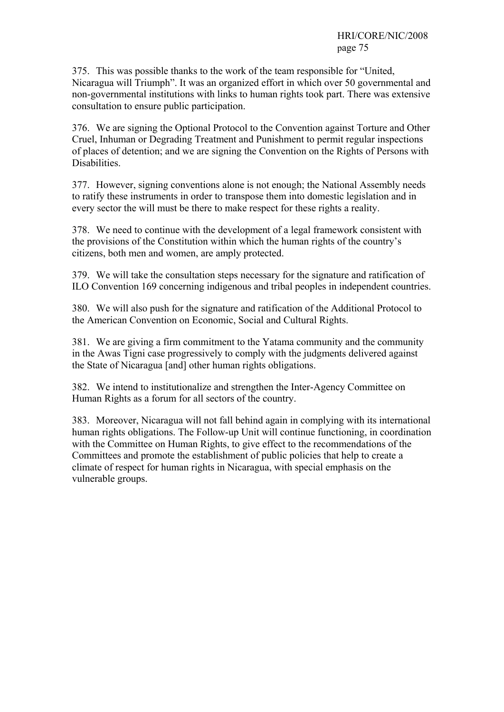375. This was possible thanks to the work of the team responsible for "United, Nicaragua will Triumph". It was an organized effort in which over 50 governmental and non-governmental institutions with links to human rights took part. There was extensive consultation to ensure public participation.

376. We are signing the Optional Protocol to the Convention against Torture and Other Cruel, Inhuman or Degrading Treatment and Punishment to permit regular inspections of places of detention; and we are signing the Convention on the Rights of Persons with Disabilities.

377. However, signing conventions alone is not enough; the National Assembly needs to ratify these instruments in order to transpose them into domestic legislation and in every sector the will must be there to make respect for these rights a reality.

378. We need to continue with the development of a legal framework consistent with the provisions of the Constitution within which the human rights of the country's citizens, both men and women, are amply protected.

379. We will take the consultation steps necessary for the signature and ratification of ILO Convention 169 concerning indigenous and tribal peoples in independent countries.

380. We will also push for the signature and ratification of the Additional Protocol to the American Convention on Economic, Social and Cultural Rights.

381. We are giving a firm commitment to the Yatama community and the community in the Awas Tigni case progressively to comply with the judgments delivered against the State of Nicaragua [and] other human rights obligations.

382. We intend to institutionalize and strengthen the Inter-Agency Committee on Human Rights as a forum for all sectors of the country.

383. Moreover, Nicaragua will not fall behind again in complying with its international human rights obligations. The Follow-up Unit will continue functioning, in coordination with the Committee on Human Rights, to give effect to the recommendations of the Committees and promote the establishment of public policies that help to create a climate of respect for human rights in Nicaragua, with special emphasis on the vulnerable groups.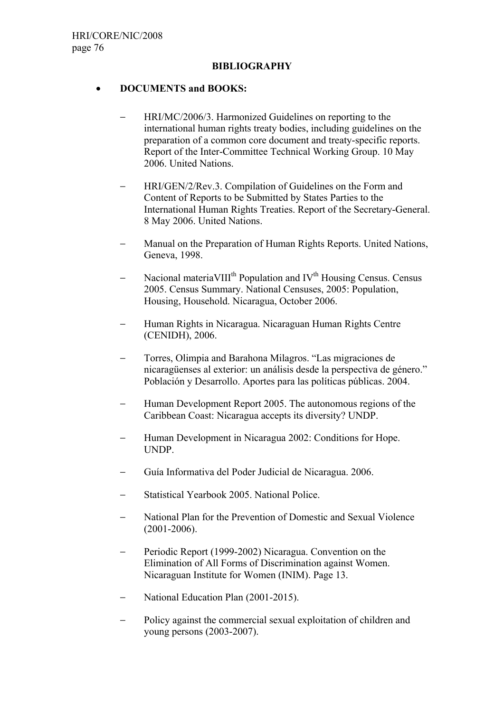### **BIBLIOGRAPHY**

### • **DOCUMENTS and BOOKS:**

- − HRI/MC/2006/3. Harmonized Guidelines on reporting to the international human rights treaty bodies, including guidelines on the preparation of a common core document and treaty-specific reports. Report of the Inter-Committee Technical Working Group. 10 May 2006. United Nations.
- − HRI/GEN/2/Rev.3. Compilation of Guidelines on the Form and Content of Reports to be Submitted by States Parties to the International Human Rights Treaties. Report of the Secretary-General. 8 May 2006. United Nations.
- Manual on the Preparation of Human Rights Reports. United Nations, Geneva, 1998.
- − Nacional materiaVIII<sup>th</sup> Population and IV<sup>th</sup> Housing Census. Census 2005. Census Summary. National Censuses, 2005: Population, Housing, Household. Nicaragua, October 2006.
- − Human Rights in Nicaragua. Nicaraguan Human Rights Centre (CENIDH), 2006.
- − Torres, Olimpia and Barahona Milagros. "Las migraciones de nicaragüenses al exterior: un análisis desde la perspectiva de género." Población y Desarrollo. Aportes para las políticas públicas. 2004.
- − Human Development Report 2005. The autonomous regions of the Caribbean Coast: Nicaragua accepts its diversity? UNDP.
- − Human Development in Nicaragua 2002: Conditions for Hope. UNDP.
- − Guía Informativa del Poder Judicial de Nicaragua. 2006.
- − Statistical Yearbook 2005. National Police.
- − National Plan for the Prevention of Domestic and Sexual Violence (2001-2006).
- − Periodic Report (1999-2002) Nicaragua. Convention on the Elimination of All Forms of Discrimination against Women. Nicaraguan Institute for Women (INIM). Page 13.
- − National Education Plan (2001-2015).
- Policy against the commercial sexual exploitation of children and young persons (2003-2007).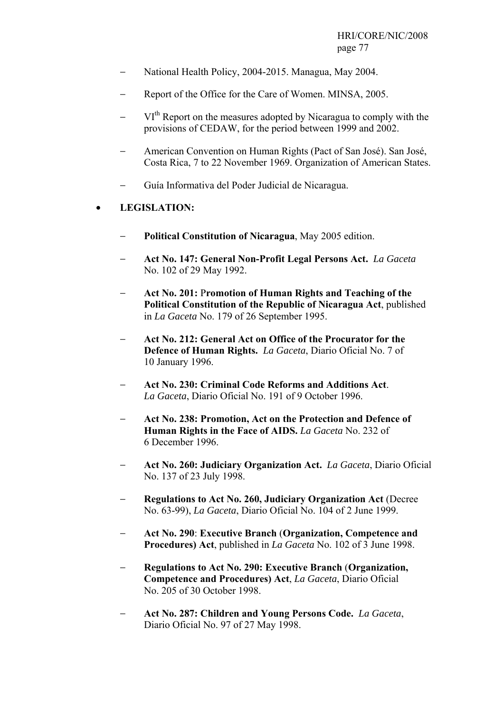- − National Health Policy, 2004-2015. Managua, May 2004.
- Report of the Office for the Care of Women. MINSA, 2005.
- VI<sup>th</sup> Report on the measures adopted by Nicaragua to comply with the provisions of CEDAW, for the period between 1999 and 2002.
- − American Convention on Human Rights (Pact of San José). San José, Costa Rica, 7 to 22 November 1969. Organization of American States.
- − Guía Informativa del Poder Judicial de Nicaragua.
- **LEGISLATION:** 
	- − **Political Constitution of Nicaragua**, May 2005 edition.
	- − **Act No. 147: General Non-Profit Legal Persons Act.** *La Gaceta* No. 102 of 29 May 1992.
	- − **Act No. 201:** P**romotion of Human Rights and Teaching of the Political Constitution of the Republic of Nicaragua Act**, published in *La Gaceta* No. 179 of 26 September 1995.
	- − **Act No. 212: General Act on Office of the Procurator for the Defence of Human Rights.** *La Gaceta*, Diario Oficial No. 7 of 10 January 1996.
	- − **Act No. 230: Criminal Code Reforms and Additions Act**. *La Gaceta*, Diario Oficial No. 191 of 9 October 1996.
	- − **Act No. 238: Promotion, Act on the Protection and Defence of Human Rights in the Face of AIDS.** *La Gaceta* No. 232 of 6 December 1996.
	- − **Act No. 260: Judiciary Organization Act.** *La Gaceta*, Diario Oficial No. 137 of 23 July 1998.
	- − **Regulations to Act No. 260, Judiciary Organization Act** (Decree No. 63-99), *La Gaceta*, Diario Oficial No. 104 of 2 June 1999.
	- − **Act No. 290**: **Executive Branch** (**Organization, Competence and Procedures) Act**, published in *La Gaceta* No. 102 of 3 June 1998.
	- − **Regulations to Act No. 290: Executive Branch** (**Organization, Competence and Procedures) Act**, *La Gaceta*, Diario Oficial No. 205 of 30 October 1998.
	- − **Act No. 287: Children and Young Persons Code.** *La Gaceta*, Diario Oficial No. 97 of 27 May 1998.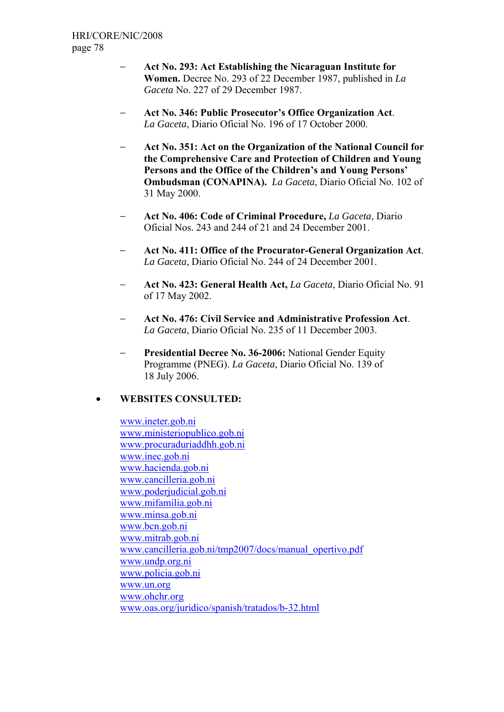- − **Act No. 293: Act Establishing the Nicaraguan Institute for Women.** Decree No. 293 of 22 December 1987, published in *La Gaceta* No. 227 of 29 December 1987.
- − **Act No. 346: Public Prosecutor's Office Organization Act**. *La Gaceta*, Diario Oficial No. 196 of 17 October 2000.
- − **Act No. 351: Act on the Organization of the National Council for the Comprehensive Care and Protection of Children and Young Persons and the Office of the Children's and Young Persons' Ombudsman (CONAPINA).** *La Gaceta*, Diario Oficial No. 102 of 31 May 2000.
- − **Act No. 406: Code of Criminal Procedure,** *La Gaceta*, Diario Oficial Nos. 243 and 244 of 21 and 24 December 2001.
- − **Act No. 411: Office of the Procurator-General Organization Act**. *La Gaceta*, Diario Oficial No. 244 of 24 December 2001.
- − **Act No. 423: General Health Act,** *La Gaceta*, Diario Oficial No. 91 of 17 May 2002.
- − **Act No. 476: Civil Service and Administrative Profession Act**. *La Gaceta*, Diario Oficial No. 235 of 11 December 2003.
- − **Presidential Decree No. 36-2006:** National Gender Equity Programme (PNEG). *La Gaceta*, Diario Oficial No. 139 of 18 July 2006.

# • **WEBSITES CONSULTED:**

www.ineter.gob.ni www.ministeriopublico.gob.ni www.procuraduriaddhh.gob.ni www.inec.gob.ni www.hacienda.gob.ni www.cancilleria.gob.ni www.poderjudicial.gob.ni www.mifamilia.gob.ni www.minsa.gob.ni www.bcn.gob.ni www.mitrab.gob.ni www.cancilleria.gob.ni/tmp2007/docs/manual\_opertivo.pdf www.undp.org.ni www.policia.gob.ni www.un.org www.ohchr.org www.oas.org/juridico/spanish/tratados/b-32.html